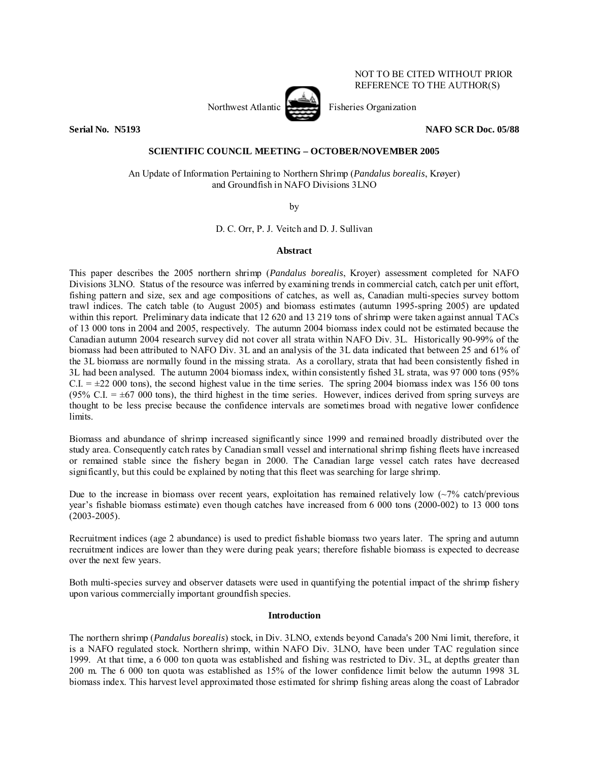# Northwest Atlantic Fisheries Organization

NOT TO BE CITED WITHOUT PRIOR REFERENCE TO THE AUTHOR(S)

**Serial No. N5193 NAFO SCR Doc. 05/88** 

#### **SCIENTIFIC COUNCIL MEETING – OCTOBER/NOVEMBER 2005**

An Update of Information Pertaining to Northern Shrimp (*Pandalus borealis*, Krøyer) and Groundfish in NAFO Divisions 3LNO

by

D. C. Orr, P. J. Veitch and D. J. Sullivan

#### **Abstract**

This paper describes the 2005 northern shrimp (*Pandalus borealis*, Kroyer) assessment completed for NAFO Divisions 3LNO. Status of the resource was inferred by examining trends in commercial catch, catch per unit effort, fishing pattern and size, sex and age compositions of catches, as well as, Canadian multi-species survey bottom trawl indices. The catch table (to August 2005) and biomass estimates (autumn 1995-spring 2005) are updated within this report. Preliminary data indicate that 12 620 and 13 219 tons of shrimp were taken against annual TACs of 13 000 tons in 2004 and 2005, respectively. The autumn 2004 biomass index could not be estimated because the Canadian autumn 2004 research survey did not cover all strata within NAFO Div. 3L. Historically 90-99% of the biomass had been attributed to NAFO Div. 3L and an analysis of the 3L data indicated that between 25 and 61% of the 3L biomass are normally found in the missing strata. As a corollary, strata that had been consistently fished in 3L had been analysed. The autumn 2004 biomass index, within consistently fished 3L strata, was 97 000 tons (95% C.I.  $= \pm 22000$  tons), the second highest value in the time series. The spring 2004 biomass index was 156 00 tons (95% C.I.  $= \pm 67,000$  tons), the third highest in the time series. However, indices derived from spring surveys are thought to be less precise because the confidence intervals are sometimes broad with negative lower confidence limits.

Biomass and abundance of shrimp increased significantly since 1999 and remained broadly distributed over the study area. Consequently catch rates by Canadian small vessel and international shrimp fishing fleets have increased or remained stable since the fishery began in 2000. The Canadian large vessel catch rates have decreased significantly, but this could be explained by noting that this fleet was searching for large shrimp.

Due to the increase in biomass over recent years, exploitation has remained relatively low  $\langle \sim 7\% \text{ catch/previous} \rangle$ year's fishable biomass estimate) even though catches have increased from 6 000 tons (2000-002) to 13 000 tons (2003-2005).

Recruitment indices (age 2 abundance) is used to predict fishable biomass two years later. The spring and autumn recruitment indices are lower than they were during peak years; therefore fishable biomass is expected to decrease over the next few years.

Both multi-species survey and observer datasets were used in quantifying the potential impact of the shrimp fishery upon various commercially important groundfish species.

#### **Introduction**

The northern shrimp (*Pandalus borealis*) stock, in Div. 3LNO, extends beyond Canada's 200 Nmi limit, therefore, it is a NAFO regulated stock. Northern shrimp, within NAFO Div. 3LNO, have been under TAC regulation since 1999. At that time, a 6 000 ton quota was established and fishing was restricted to Div. 3L, at depths greater than 200 m. The 6 000 ton quota was established as 15% of the lower confidence limit below the autumn 1998 3L biomass index. This harvest level approximated those estimated for shrimp fishing areas along the coast of Labrador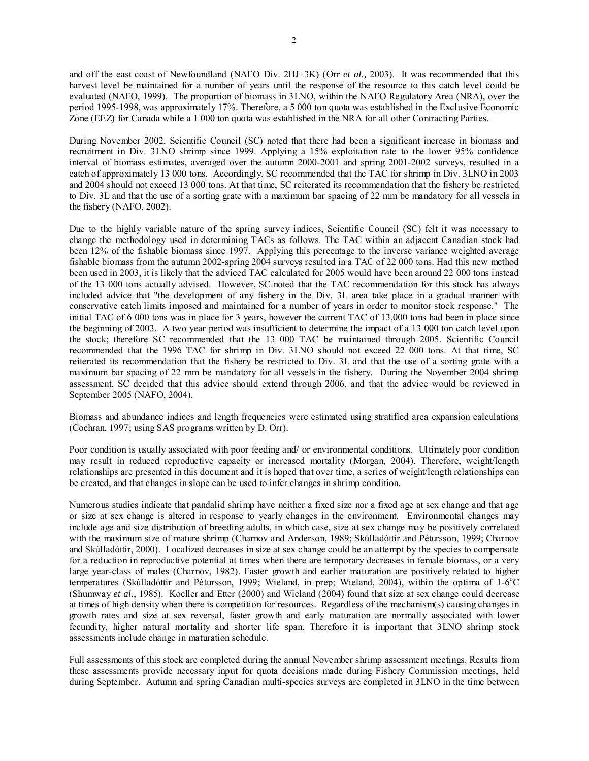and off the east coast of Newfoundland (NAFO Div. 2HJ+3K) (Orr *et al.,* 2003). It was recommended that this harvest level be maintained for a number of years until the response of the resource to this catch level could be evaluated (NAFO, 1999). The proportion of biomass in 3LNO, within the NAFO Regulatory Area (NRA), over the period 1995-1998, was approximately 17%. Therefore, a 5 000 ton quota was established in the Exclusive Economic Zone (EEZ) for Canada while a 1 000 ton quota was established in the NRA for all other Contracting Parties.

During November 2002, Scientific Council (SC) noted that there had been a significant increase in biomass and recruitment in Div. 3LNO shrimp since 1999. Applying a 15% exploitation rate to the lower 95% confidence interval of biomass estimates, averaged over the autumn 2000-2001 and spring 2001-2002 surveys, resulted in a catch of approximately 13 000 tons. Accordingly, SC recommended that the TAC for shrimp in Div. 3LNO in 2003 and 2004 should not exceed 13 000 tons. At that time, SC reiterated its recommendation that the fishery be restricted to Div. 3L and that the use of a sorting grate with a maximum bar spacing of 22 mm be mandatory for all vessels in the fishery (NAFO, 2002).

Due to the highly variable nature of the spring survey indices, Scientific Council (SC) felt it was necessary to change the methodology used in determining TACs as follows. The TAC within an adjacent Canadian stock had been 12% of the fishable biomass since 1997. Applying this percentage to the inverse variance weighted average fishable biomass from the autumn 2002-spring 2004 surveys resulted in a TAC of 22 000 tons. Had this new method been used in 2003, it is likely that the adviced TAC calculated for 2005 would have been around 22 000 tons instead of the 13 000 tons actually advised. However, SC noted that the TAC recommendation for this stock has always included advice that "the development of any fishery in the Div. 3L area take place in a gradual manner with conservative catch limits imposed and maintained for a number of years in order to monitor stock response." The initial TAC of 6 000 tons was in place for 3 years, however the current TAC of 13,000 tons had been in place since the beginning of 2003. A two year period was insufficient to determine the impact of a 13 000 ton catch level upon the stock; therefore SC recommended that the 13 000 TAC be maintained through 2005. Scientific Council recommended that the 1996 TAC for shrimp in Div. 3LNO should not exceed 22 000 tons. At that time, SC reiterated its recommendation that the fishery be restricted to Div. 3L and that the use of a sorting grate with a maximum bar spacing of 22 mm be mandatory for all vessels in the fishery. During the November 2004 shrimp assessment, SC decided that this advice should extend through 2006, and that the advice would be reviewed in September 2005 (NAFO, 2004).

Biomass and abundance indices and length frequencies were estimated using stratified area expansion calculations (Cochran, 1997; using SAS programs written by D. Orr).

Poor condition is usually associated with poor feeding and/ or environmental conditions. Ultimately poor condition may result in reduced reproductive capacity or increased mortality (Morgan, 2004). Therefore, weight/length relationships are presented in this document and it is hoped that over time, a series of weight/length relationships can be created, and that changes in slope can be used to infer changes in shrimp condition.

Numerous studies indicate that pandalid shrimp have neither a fixed size nor a fixed age at sex change and that age or size at sex change is altered in response to yearly changes in the environment. Environmental changes may include age and size distribution of breeding adults, in which case, size at sex change may be positively correlated with the maximum size of mature shrimp (Charnov and Anderson, 1989; Skúlladóttir and Pétursson, 1999; Charnov and Skúlladóttir, 2000). Localized decreases in size at sex change could be an attempt by the species to compensate for a reduction in reproductive potential at times when there are temporary decreases in female biomass, or a very large year-class of males (Charnov, 1982). Faster growth and earlier maturation are positively related to higher temperatures (Skúlladóttir and Pétursson, 1999; Wieland, in prep; Wieland, 2004), within the optima of 1-6°C (Shumway *et al.*, 1985). Koeller and Etter (2000) and Wieland (2004) found that size at sex change could decrease at times of high density when there is competition for resources. Regardless of the mechanism(s) causing changes in growth rates and size at sex reversal, faster growth and early maturation are normally associated with lower fecundity, higher natural mortality and shorter life span. Therefore it is important that 3LNO shrimp stock assessments include change in maturation schedule.

Full assessments of this stock are completed during the annual November shrimp assessment meetings. Results from these assessments provide necessary input for quota decisions made during Fishery Commission meetings, held during September. Autumn and spring Canadian multi-species surveys are completed in 3LNO in the time between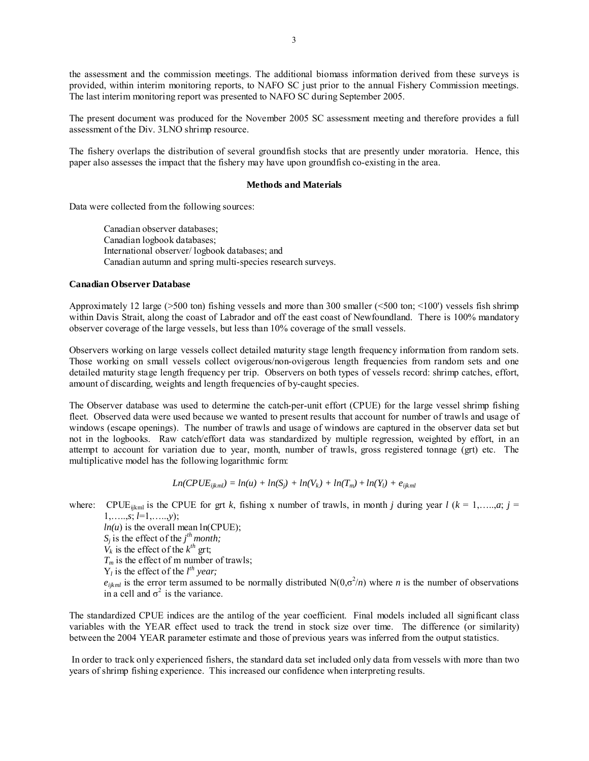the assessment and the commission meetings. The additional biomass information derived from these surveys is provided, within interim monitoring reports, to NAFO SC just prior to the annual Fishery Commission meetings. The last interim monitoring report was presented to NAFO SC during September 2005.

The present document was produced for the November 2005 SC assessment meeting and therefore provides a full assessment of the Div. 3LNO shrimp resource.

The fishery overlaps the distribution of several groundfish stocks that are presently under moratoria. Hence, this paper also assesses the impact that the fishery may have upon groundfish co-existing in the area.

#### **Methods and Materials**

Data were collected from the following sources:

Canadian observer databases; Canadian logbook databases; International observer/ logbook databases; and Canadian autumn and spring multi-species research surveys.

#### **Canadian Observer Database**

Approximately 12 large ( $>500$  ton) fishing vessels and more than 300 smaller ( $<500$  ton;  $<100'$ ) vessels fish shrimp within Davis Strait, along the coast of Labrador and off the east coast of Newfoundland. There is 100% mandatory observer coverage of the large vessels, but less than 10% coverage of the small vessels.

Observers working on large vessels collect detailed maturity stage length frequency information from random sets. Those working on small vessels collect ovigerous/non-ovigerous length frequencies from random sets and one detailed maturity stage length frequency per trip. Observers on both types of vessels record: shrimp catches, effort, amount of discarding, weights and length frequencies of by-caught species.

The Observer database was used to determine the catch-per-unit effort (CPUE) for the large vessel shrimp fishing fleet. Observed data were used because we wanted to present results that account for number of trawls and usage of windows (escape openings). The number of trawls and usage of windows are captured in the observer data set but not in the logbooks. Raw catch/effort data was standardized by multiple regression, weighted by effort, in an attempt to account for variation due to year, month, number of trawls, gross registered tonnage (grt) etc. The multiplicative model has the following logarithmic form:

$$
Ln(CPUE_{ijkl}) = ln(u) + ln(S_j) + ln(V_k) + ln(T_m) + ln(Y_l) + e_{ijkl}
$$

where: CPUE<sub>ijkml</sub> is the CPUE for grt *k*, fishing x number of trawls, in month *j* during year  $l$  ( $k = 1, \ldots, a; j =$ 1,…..,*s*; *l*=1,…..,*y*);  $ln(u)$  is the overall mean  $ln(CPUE)$ ;  $S_j$  is the effect of the *j*<sup>th</sup> month;  $\dot{V}_k$  is the effect of the  $k^{th}$  grt;  $T_m$  is the effect of m number of trawls;

 $Y_l$  is the effect of the  $l^{th}$  year;

 $e_{ijklm}$  is the error term assumed to be normally distributed N( $0,\sigma^2/n$ ) where *n* is the number of observations in a cell and  $\sigma^2$  is the variance.

The standardized CPUE indices are the antilog of the year coefficient. Final models included all significant class variables with the YEAR effect used to track the trend in stock size over time. The difference (or similarity) between the 2004 YEAR parameter estimate and those of previous years was inferred from the output statistics.

 In order to track only experienced fishers, the standard data set included only data from vessels with more than two years of shrimp fishing experience. This increased our confidence when interpreting results.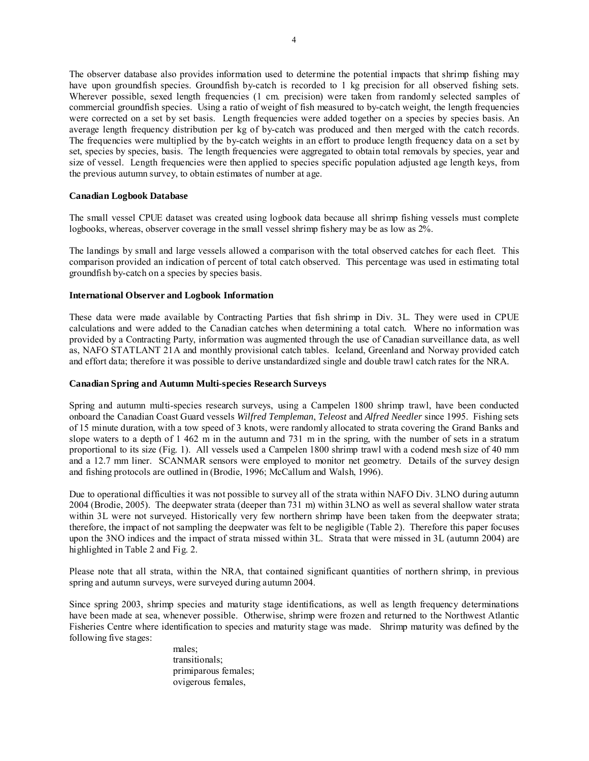The observer database also provides information used to determine the potential impacts that shrimp fishing may have upon groundfish species. Groundfish by-catch is recorded to 1 kg precision for all observed fishing sets. Wherever possible, sexed length frequencies (1 cm. precision) were taken from randomly selected samples of commercial groundfish species. Using a ratio of weight of fish measured to by-catch weight, the length frequencies were corrected on a set by set basis. Length frequencies were added together on a species by species basis. An average length frequency distribution per kg of by-catch was produced and then merged with the catch records. The frequencies were multiplied by the by-catch weights in an effort to produce length frequency data on a set by set, species by species, basis. The length frequencies were aggregated to obtain total removals by species, year and size of vessel. Length frequencies were then applied to species specific population adjusted age length keys, from the previous autumn survey, to obtain estimates of number at age.

#### **Canadian Logbook Database**

The small vessel CPUE dataset was created using logbook data because all shrimp fishing vessels must complete logbooks, whereas, observer coverage in the small vessel shrimp fishery may be as low as 2%.

The landings by small and large vessels allowed a comparison with the total observed catches for each fleet. This comparison provided an indication of percent of total catch observed. This percentage was used in estimating total groundfish by-catch on a species by species basis.

#### **International Observer and Logbook Information**

These data were made available by Contracting Parties that fish shrimp in Div. 3L. They were used in CPUE calculations and were added to the Canadian catches when determining a total catch. Where no information was provided by a Contracting Party, information was augmented through the use of Canadian surveillance data, as well as, NAFO STATLANT 21A and monthly provisional catch tables. Iceland, Greenland and Norway provided catch and effort data; therefore it was possible to derive unstandardized single and double trawl catch rates for the NRA.

### **Canadian Spring and Autumn Multi-species Research Surveys**

Spring and autumn multi-species research surveys, using a Campelen 1800 shrimp trawl, have been conducted onboard the Canadian Coast Guard vessels *Wilfred Templeman*, *Teleost* and *Alfred Needler* since 1995. Fishing sets of 15 minute duration, with a tow speed of 3 knots, were randomly allocated to strata covering the Grand Banks and slope waters to a depth of 1 462 m in the autumn and 731 m in the spring, with the number of sets in a stratum proportional to its size (Fig. 1). All vessels used a Campelen 1800 shrimp trawl with a codend mesh size of 40 mm and a 12.7 mm liner. SCANMAR sensors were employed to monitor net geometry. Details of the survey design and fishing protocols are outlined in (Brodie, 1996; McCallum and Walsh, 1996).

Due to operational difficulties it was not possible to survey all of the strata within NAFO Div. 3LNO during autumn 2004 (Brodie, 2005). The deepwater strata (deeper than 731 m) within 3LNO as well as several shallow water strata within 3L were not surveyed. Historically very few northern shrimp have been taken from the deepwater strata; therefore, the impact of not sampling the deepwater was felt to be negligible (Table 2). Therefore this paper focuses upon the 3NO indices and the impact of strata missed within 3L. Strata that were missed in 3L (autumn 2004) are highlighted in Table 2 and Fig. 2.

Please note that all strata, within the NRA, that contained significant quantities of northern shrimp, in previous spring and autumn surveys, were surveyed during autumn 2004.

Since spring 2003, shrimp species and maturity stage identifications, as well as length frequency determinations have been made at sea, whenever possible. Otherwise, shrimp were frozen and returned to the Northwest Atlantic Fisheries Centre where identification to species and maturity stage was made. Shrimp maturity was defined by the following five stages:

males; transitionals; primiparous females; ovigerous females,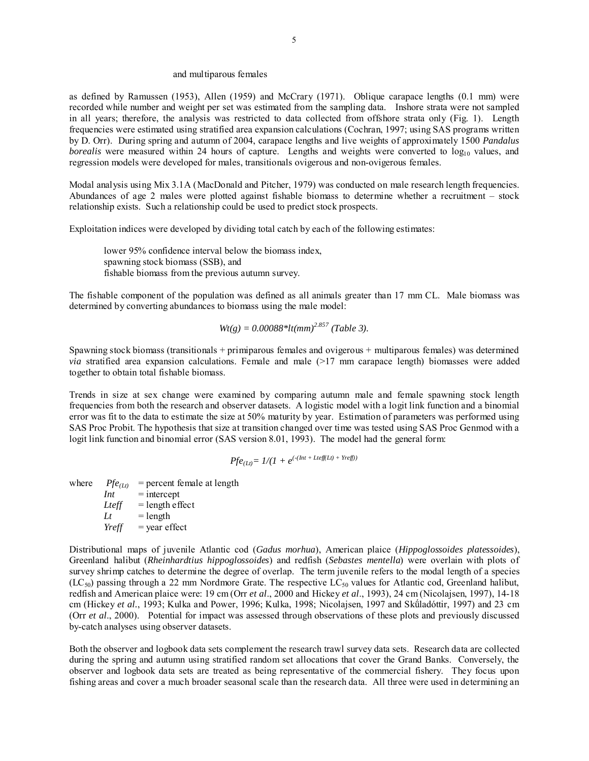#### and multiparous females

as defined by Ramussen (1953), Allen (1959) and McCrary (1971). Oblique carapace lengths (0.1 mm) were recorded while number and weight per set was estimated from the sampling data. Inshore strata were not sampled in all years; therefore, the analysis was restricted to data collected from offshore strata only (Fig. 1). Length frequencies were estimated using stratified area expansion calculations (Cochran, 1997; using SAS programs written by D. Orr). During spring and autumn of 2004, carapace lengths and live weights of approximately 1500 *Pandalus borealis* were measured within 24 hours of capture. Lengths and weights were converted to  $log_{10}$  values, and regression models were developed for males, transitionals ovigerous and non-ovigerous females.

Modal analysis using Mix 3.1A (MacDonald and Pitcher, 1979) was conducted on male research length frequencies. Abundances of age 2 males were plotted against fishable biomass to determine whether a recruitment – stock relationship exists. Such a relationship could be used to predict stock prospects.

Exploitation indices were developed by dividing total catch by each of the following estimates:

lower 95% confidence interval below the biomass index, spawning stock biomass (SSB), and fishable biomass from the previous autumn survey.

The fishable component of the population was defined as all animals greater than 17 mm CL. Male biomass was determined by converting abundances to biomass using the male model:

$$
Wt(g) = 0.00088 * lt(nm)^{2.857} (Table 3).
$$

Spawning stock biomass (transitionals + primiparous females and ovigerous + multiparous females) was determined  $via$  stratified area expansion calculations. Female and male  $(>17$  mm carapace length) biomasses were added together to obtain total fishable biomass.

Trends in size at sex change were examined by comparing autumn male and female spawning stock length frequencies from both the research and observer datasets. A logistic model with a logit link function and a binomial error was fit to the data to estimate the size at 50% maturity by year. Estimation of parameters was performed using SAS Proc Probit. The hypothesis that size at transition changed over time was tested using SAS Proc Genmod with a logit link function and binomial error (SAS version 8.01, 1993). The model had the general form:

$$
Pf e_{(Lt)} = 1/(1 + e^{(-(Int + Let \hat{f}(Lt) + Yref))})
$$

where  $Pf e_{(Lt)}$  = percent female at length  $Int =$ intercept  $Let f = \text{length effect}$  $Lt = length$  $Yreff = \text{year effect}$ 

Distributional maps of juvenile Atlantic cod (*Gadus morhua*), American plaice (*Hippoglossoides platessoides*), Greenland halibut (*Rheinhardtius hippoglossoides*) and redfish (*Sebastes mentella*) were overlain with plots of survey shrimp catches to determine the degree of overlap. The term juvenile refers to the modal length of a species  $(LC_{50})$  passing through a 22 mm Nordmore Grate. The respective LC<sub>50</sub> values for Atlantic cod, Greenland halibut, redfish and American plaice were: 19 cm (Orr *et al*., 2000 and Hickey *et al*., 1993), 24 cm (Nicolajsen, 1997), 14-18 cm (Hickey *et al.*, 1993; Kulka and Power, 1996; Kulka, 1998; Nicolajsen, 1997 and Skǘladóttir, 1997) and 23 cm (Orr *et al*., 2000). Potential for impact was assessed through observations of these plots and previously discussed by-catch analyses using observer datasets.

Both the observer and logbook data sets complement the research trawl survey data sets. Research data are collected during the spring and autumn using stratified random set allocations that cover the Grand Banks. Conversely, the observer and logbook data sets are treated as being representative of the commercial fishery. They focus upon fishing areas and cover a much broader seasonal scale than the research data. All three were used in determining an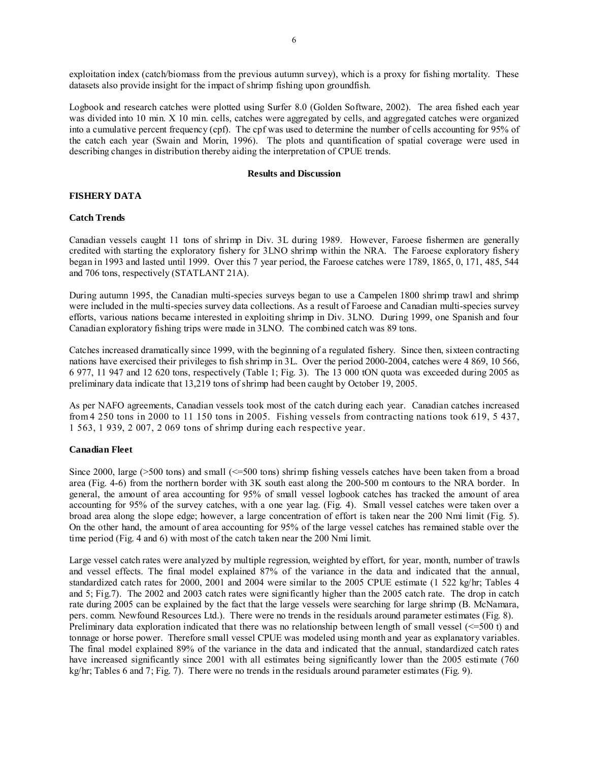exploitation index (catch/biomass from the previous autumn survey), which is a proxy for fishing mortality. These datasets also provide insight for the impact of shrimp fishing upon groundfish.

Logbook and research catches were plotted using Surfer 8.0 (Golden Software, 2002). The area fished each year was divided into 10 min. X 10 min. cells, catches were aggregated by cells, and aggregated catches were organized into a cumulative percent frequency (cpf). The cpf was used to determine the number of cells accounting for 95% of the catch each year (Swain and Morin, 1996). The plots and quantification of spatial coverage were used in describing changes in distribution thereby aiding the interpretation of CPUE trends.

#### **Results and Discussion**

### **FISHERY DATA**

#### **Catch Trends**

Canadian vessels caught 11 tons of shrimp in Div. 3L during 1989. However, Faroese fishermen are generally credited with starting the exploratory fishery for 3LNO shrimp within the NRA. The Faroese exploratory fishery began in 1993 and lasted until 1999. Over this 7 year period, the Faroese catches were 1789, 1865, 0, 171, 485, 544 and 706 tons, respectively (STATLANT 21A).

During autumn 1995, the Canadian multi-species surveys began to use a Campelen 1800 shrimp trawl and shrimp were included in the multi-species survey data collections. As a result of Faroese and Canadian multi-species survey efforts, various nations became interested in exploiting shrimp in Div. 3LNO. During 1999, one Spanish and four Canadian exploratory fishing trips were made in 3LNO. The combined catch was 89 tons.

Catches increased dramatically since 1999, with the beginning of a regulated fishery. Since then, sixteen contracting nations have exercised their privileges to fish shrimp in 3L. Over the period 2000-2004, catches were 4 869, 10 566, 6 977, 11 947 and 12 620 tons, respectively (Table 1; Fig. 3). The 13 000 tON quota was exceeded during 2005 as preliminary data indicate that 13,219 tons of shrimp had been caught by October 19, 2005.

As per NAFO agreements, Canadian vessels took most of the catch during each year. Canadian catches increased from 4 250 tons in 2000 to 11 150 tons in 2005. Fishing vessels from contracting nations took 619, 5 437, 1 563, 1 939, 2 007, 2 069 tons of shrimp during each respective year.

#### **Canadian Fleet**

Since 2000, large ( $>500$  tons) and small ( $\leq$ =500 tons) shrimp fishing vessels catches have been taken from a broad area (Fig. 4-6) from the northern border with 3K south east along the 200-500 m contours to the NRA border. In general, the amount of area accounting for 95% of small vessel logbook catches has tracked the amount of area accounting for 95% of the survey catches, with a one year lag. (Fig. 4). Small vessel catches were taken over a broad area along the slope edge; however, a large concentration of effort is taken near the 200 Nmi limit (Fig. 5). On the other hand, the amount of area accounting for 95% of the large vessel catches has remained stable over the time period (Fig. 4 and 6) with most of the catch taken near the 200 Nmi limit.

Large vessel catch rates were analyzed by multiple regression, weighted by effort, for year, month, number of trawls and vessel effects. The final model explained 87% of the variance in the data and indicated that the annual, standardized catch rates for 2000, 2001 and 2004 were similar to the 2005 CPUE estimate (1 522 kg/hr; Tables 4 and 5; Fig.7). The 2002 and 2003 catch rates were significantly higher than the 2005 catch rate. The drop in catch rate during 2005 can be explained by the fact that the large vessels were searching for large shrimp (B. McNamara, pers. comm. Newfound Resources Ltd.). There were no trends in the residuals around parameter estimates (Fig. 8). Preliminary data exploration indicated that there was no relationship between length of small vessel ( $\leq 500$  t) and tonnage or horse power. Therefore small vessel CPUE was modeled using month and year as explanatory variables. The final model explained 89% of the variance in the data and indicated that the annual, standardized catch rates have increased significantly since 2001 with all estimates being significantly lower than the 2005 estimate (760) kg/hr; Tables 6 and 7; Fig. 7). There were no trends in the residuals around parameter estimates (Fig. 9).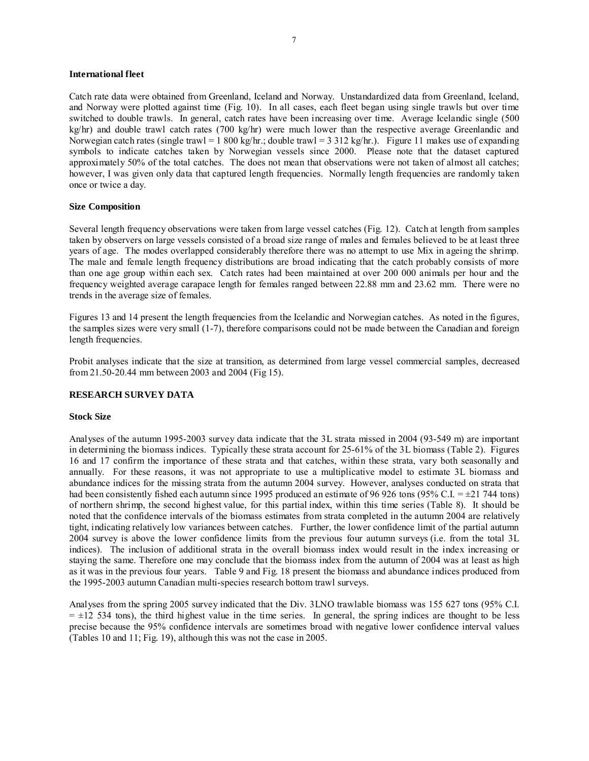#### **International fleet**

Catch rate data were obtained from Greenland, Iceland and Norway. Unstandardized data from Greenland, Iceland, and Norway were plotted against time (Fig. 10). In all cases, each fleet began using single trawls but over time switched to double trawls. In general, catch rates have been increasing over time. Average Icelandic single (500  $kg/hr$ ) and double trawl catch rates (700 kg/hr) were much lower than the respective average Greenlandic and Norwegian catch rates (single trawl = 1 800 kg/hr.; double trawl = 3 312 kg/hr.). Figure 11 makes use of expanding symbols to indicate catches taken by Norwegian vessels since 2000. Please note that the dataset captured approximately 50% of the total catches. The does not mean that observations were not taken of almost all catches; however, I was given only data that captured length frequencies. Normally length frequencies are randomly taken once or twice a day.

#### **Size Composition**

Several length frequency observations were taken from large vessel catches (Fig. 12). Catch at length from samples taken by observers on large vessels consisted of a broad size range of males and females believed to be at least three years of age. The modes overlapped considerably therefore there was no attempt to use Mix in ageing the shrimp. The male and female length frequency distributions are broad indicating that the catch probably consists of more than one age group within each sex. Catch rates had been maintained at over 200 000 animals per hour and the frequency weighted average carapace length for females ranged between 22.88 mm and 23.62 mm. There were no trends in the average size of females.

Figures 13 and 14 present the length frequencies from the Icelandic and Norwegian catches. As noted in the figures, the samples sizes were very small (1-7), therefore comparisons could not be made between the Canadian and foreign length frequencies.

Probit analyses indicate that the size at transition, as determined from large vessel commercial samples, decreased from 21.50-20.44 mm between 2003 and 2004 (Fig 15).

#### **RESEARCH SURVEY DATA**

#### **Stock Size**

Analyses of the autumn 1995-2003 survey data indicate that the 3L strata missed in 2004 (93-549 m) are important in determining the biomass indices. Typically these strata account for 25-61% of the 3L biomass (Table 2). Figures 16 and 17 confirm the importance of these strata and that catches, within these strata, vary both seasonally and annually. For these reasons, it was not appropriate to use a multiplicative model to estimate 3L biomass and abundance indices for the missing strata from the autumn 2004 survey. However, analyses conducted on strata that had been consistently fished each autumn since 1995 produced an estimate of 96 926 tons (95% C.I. =  $\pm$ 21 744 tons) of northern shrimp, the second highest value, for this partial index, within this time series (Table 8). It should be noted that the confidence intervals of the biomass estimates from strata completed in the autumn 2004 are relatively tight, indicating relatively low variances between catches. Further, the lower confidence limit of the partial autumn 2004 survey is above the lower confidence limits from the previous four autumn surveys (i.e. from the total 3L indices). The inclusion of additional strata in the overall biomass index would result in the index increasing or staying the same. Therefore one may conclude that the biomass index from the autumn of 2004 was at least as high as it was in the previous four years. Table 9 and Fig. 18 present the biomass and abundance indices produced from the 1995-2003 autumn Canadian multi-species research bottom trawl surveys.

Analyses from the spring 2005 survey indicated that the Div. 3LNO trawlable biomass was 155 627 tons (95% C.I.  $= \pm 12$  534 tons), the third highest value in the time series. In general, the spring indices are thought to be less precise because the 95% confidence intervals are sometimes broad with negative lower confidence interval values (Tables 10 and 11; Fig. 19), although this was not the case in 2005.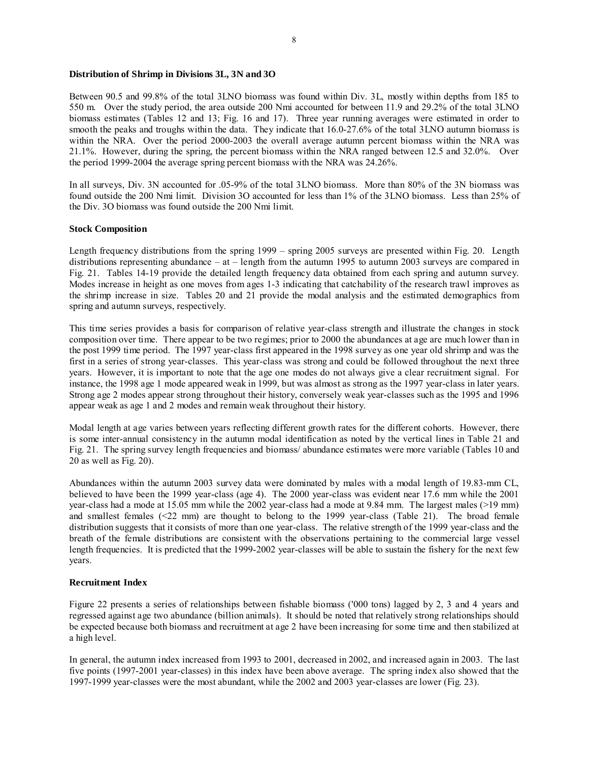#### **Distribution of Shrimp in Divisions 3L, 3N and 3O**

Between 90.5 and 99.8% of the total 3LNO biomass was found within Div. 3L, mostly within depths from 185 to 550 m. Over the study period, the area outside 200 Nmi accounted for between 11.9 and 29.2% of the total 3LNO biomass estimates (Tables 12 and 13; Fig. 16 and 17). Three year running averages were estimated in order to smooth the peaks and troughs within the data. They indicate that 16.0-27.6% of the total 3LNO autumn biomass is within the NRA. Over the period 2000-2003 the overall average autumn percent biomass within the NRA was 21.1%. However, during the spring, the percent biomass within the NRA ranged between 12.5 and 32.0%. Over the period 1999-2004 the average spring percent biomass with the NRA was 24.26%.

In all surveys, Div. 3N accounted for .05-9% of the total 3LNO biomass. More than 80% of the 3N biomass was found outside the 200 Nmi limit. Division 3O accounted for less than 1% of the 3LNO biomass. Less than 25% of the Div. 3O biomass was found outside the 200 Nmi limit.

#### **Stock Composition**

Length frequency distributions from the spring 1999 – spring 2005 surveys are presented within Fig. 20. Length distributions representing abundance – at – length from the autumn 1995 to autumn 2003 surveys are compared in Fig. 21. Tables 14-19 provide the detailed length frequency data obtained from each spring and autumn survey. Modes increase in height as one moves from ages 1-3 indicating that catchability of the research trawl improves as the shrimp increase in size. Tables 20 and 21 provide the modal analysis and the estimated demographics from spring and autumn surveys, respectively.

This time series provides a basis for comparison of relative year-class strength and illustrate the changes in stock composition over time. There appear to be two regimes; prior to 2000 the abundances at age are much lower than in the post 1999 time period. The 1997 year-class first appeared in the 1998 survey as one year old shrimp and was the first in a series of strong year-classes. This year-class was strong and could be followed throughout the next three years. However, it is important to note that the age one modes do not always give a clear recruitment signal. For instance, the 1998 age 1 mode appeared weak in 1999, but was almost as strong as the 1997 year-class in later years. Strong age 2 modes appear strong throughout their history, conversely weak year-classes such as the 1995 and 1996 appear weak as age 1 and 2 modes and remain weak throughout their history.

Modal length at age varies between years reflecting different growth rates for the different cohorts. However, there is some inter-annual consistency in the autumn modal identification as noted by the vertical lines in Table 21 and Fig. 21. The spring survey length frequencies and biomass/ abundance estimates were more variable (Tables 10 and 20 as well as Fig. 20).

Abundances within the autumn 2003 survey data were dominated by males with a modal length of 19.83-mm CL, believed to have been the 1999 year-class (age 4). The 2000 year-class was evident near 17.6 mm while the 2001 year-class had a mode at 15.05 mm while the 2002 year-class had a mode at 9.84 mm. The largest males (>19 mm) and smallest females (<22 mm) are thought to belong to the 1999 year-class (Table 21). The broad female distribution suggests that it consists of more than one year-class. The relative strength of the 1999 year-class and the breath of the female distributions are consistent with the observations pertaining to the commercial large vessel length frequencies. It is predicted that the 1999-2002 year-classes will be able to sustain the fishery for the next few years.

#### **Recruitment Index**

Figure 22 presents a series of relationships between fishable biomass ('000 tons) lagged by 2, 3 and 4 years and regressed against age two abundance (billion animals). It should be noted that relatively strong relationships should be expected because both biomass and recruitment at age 2 have been increasing for some time and then stabilized at a high level.

In general, the autumn index increased from 1993 to 2001, decreased in 2002, and increased again in 2003. The last five points (1997-2001 year-classes) in this index have been above average. The spring index also showed that the 1997-1999 year-classes were the most abundant, while the 2002 and 2003 year-classes are lower (Fig. 23).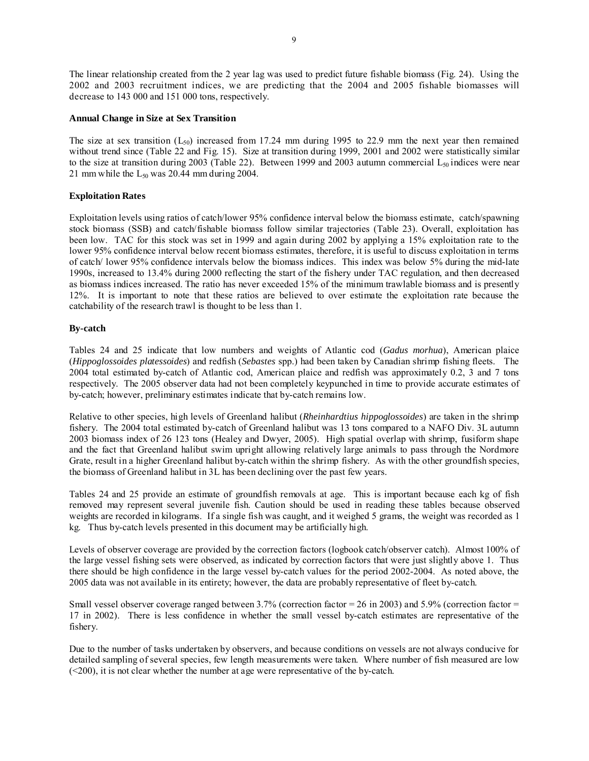The linear relationship created from the 2 year lag was used to predict future fishable biomass (Fig. 24). Using the 2002 and 2003 recruitment indices, we are predicting that the 2004 and 2005 fishable biomasses will decrease to 143 000 and 151 000 tons, respectively.

#### **Annual Change in Size at Sex Transition**

The size at sex transition  $(L_{50})$  increased from 17.24 mm during 1995 to 22.9 mm the next year then remained without trend since (Table 22 and Fig. 15). Size at transition during 1999, 2001 and 2002 were statistically similar to the size at transition during 2003 (Table 22). Between 1999 and 2003 autumn commercial  $L_{50}$  indices were near 21 mm while the  $L_{50}$  was 20.44 mm during 2004.

#### **Exploitation Rates**

Exploitation levels using ratios of catch/lower 95% confidence interval below the biomass estimate, catch/spawning stock biomass (SSB) and catch/fishable biomass follow similar trajectories (Table 23). Overall, exploitation has been low. TAC for this stock was set in 1999 and again during 2002 by applying a 15% exploitation rate to the lower 95% confidence interval below recent biomass estimates, therefore, it is useful to discuss exploitation in terms of catch/ lower 95% confidence intervals below the biomass indices. This index was below 5% during the mid-late 1990s, increased to 13.4% during 2000 reflecting the start of the fishery under TAC regulation, and then decreased as biomass indices increased. The ratio has never exceeded 15% of the minimum trawlable biomass and is presently 12%. It is important to note that these ratios are believed to over estimate the exploitation rate because the catchability of the research trawl is thought to be less than 1.

#### **By-catch**

Tables 24 and 25 indicate that low numbers and weights of Atlantic cod (*Gadus morhua*), American plaice (*Hippoglossoides platessoides*) and redfish (*Sebastes* spp.) had been taken by Canadian shrimp fishing fleets. The 2004 total estimated by-catch of Atlantic cod, American plaice and redfish was approximately 0.2, 3 and 7 tons respectively. The 2005 observer data had not been completely keypunched in time to provide accurate estimates of by-catch; however, preliminary estimates indicate that by-catch remains low.

Relative to other species, high levels of Greenland halibut (*Rheinhardtius hippoglossoides*) are taken in the shrimp fishery. The 2004 total estimated by-catch of Greenland halibut was 13 tons compared to a NAFO Div. 3L autumn 2003 biomass index of 26 123 tons (Healey and Dwyer, 2005). High spatial overlap with shrimp, fusiform shape and the fact that Greenland halibut swim upright allowing relatively large animals to pass through the Nordmore Grate, result in a higher Greenland halibut by-catch within the shrimp fishery. As with the other groundfish species, the biomass of Greenland halibut in 3L has been declining over the past few years.

Tables 24 and 25 provide an estimate of groundfish removals at age. This is important because each kg of fish removed may represent several juvenile fish. Caution should be used in reading these tables because observed weights are recorded in kilograms. If a single fish was caught, and it weighed 5 grams, the weight was recorded as 1 kg. Thus by-catch levels presented in this document may be artificially high.

Levels of observer coverage are provided by the correction factors (logbook catch/observer catch). Almost 100% of the large vessel fishing sets were observed, as indicated by correction factors that were just slightly above 1. Thus there should be high confidence in the large vessel by-catch values for the period 2002-2004. As noted above, the 2005 data was not available in its entirety; however, the data are probably representative of fleet by-catch.

Small vessel observer coverage ranged between 3.7% (correction factor =  $26$  in 2003) and 5.9% (correction factor = 17 in 2002). There is less confidence in whether the small vessel by-catch estimates are representative of the fishery.

Due to the number of tasks undertaken by observers, and because conditions on vessels are not always conducive for detailed sampling of several species, few length measurements were taken. Where number of fish measured are low (<200), it is not clear whether the number at age were representative of the by-catch.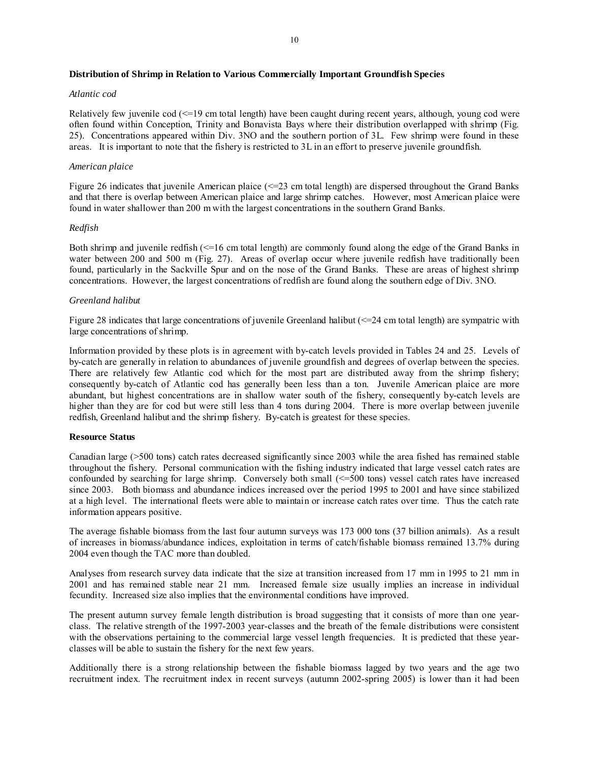#### **Distribution of Shrimp in Relation to Various Commercially Important Groundfish Species**

#### *Atlantic cod*

Relatively few juvenile cod (<=19 cm total length) have been caught during recent years, although, young cod were often found within Conception, Trinity and Bonavista Bays where their distribution overlapped with shrimp (Fig. 25). Concentrations appeared within Div. 3NO and the southern portion of 3L. Few shrimp were found in these areas. It is important to note that the fishery is restricted to 3L in an effort to preserve juvenile groundfish.

#### *American plaice*

Figure 26 indicates that juvenile American plaice (<=23 cm total length) are dispersed throughout the Grand Banks and that there is overlap between American plaice and large shrimp catches. However, most American plaice were found in water shallower than 200 m with the largest concentrations in the southern Grand Banks.

#### *Redfish*

Both shrimp and juvenile redfish (<=16 cm total length) are commonly found along the edge of the Grand Banks in water between 200 and 500 m (Fig. 27). Areas of overlap occur where juvenile redfish have traditionally been found, particularly in the Sackville Spur and on the nose of the Grand Banks. These are areas of highest shrimp concentrations. However, the largest concentrations of redfish are found along the southern edge of Div. 3NO.

#### *Greenland halibut*

Figure 28 indicates that large concentrations of juvenile Greenland halibut (<=24 cm total length) are sympatric with large concentrations of shrimp.

Information provided by these plots is in agreement with by-catch levels provided in Tables 24 and 25. Levels of by-catch are generally in relation to abundances of juvenile groundfish and degrees of overlap between the species. There are relatively few Atlantic cod which for the most part are distributed away from the shrimp fishery; consequently by-catch of Atlantic cod has generally been less than a ton. Juvenile American plaice are more abundant, but highest concentrations are in shallow water south of the fishery, consequently by-catch levels are higher than they are for cod but were still less than 4 tons during 2004. There is more overlap between juvenile redfish, Greenland halibut and the shrimp fishery. By-catch is greatest for these species.

#### **Resource Status**

Canadian large (>500 tons) catch rates decreased significantly since 2003 while the area fished has remained stable throughout the fishery. Personal communication with the fishing industry indicated that large vessel catch rates are confounded by searching for large shrimp. Conversely both small (<=500 tons) vessel catch rates have increased since 2003. Both biomass and abundance indices increased over the period 1995 to 2001 and have since stabilized at a high level. The international fleets were able to maintain or increase catch rates over time. Thus the catch rate information appears positive.

The average fishable biomass from the last four autumn surveys was 173 000 tons (37 billion animals). As a result of increases in biomass/abundance indices, exploitation in terms of catch/fishable biomass remained 13.7% during 2004 even though the TAC more than doubled.

Analyses from research survey data indicate that the size at transition increased from 17 mm in 1995 to 21 mm in 2001 and has remained stable near 21 mm. Increased female size usually implies an increase in individual fecundity. Increased size also implies that the environmental conditions have improved.

The present autumn survey female length distribution is broad suggesting that it consists of more than one yearclass. The relative strength of the 1997-2003 year-classes and the breath of the female distributions were consistent with the observations pertaining to the commercial large vessel length frequencies. It is predicted that these yearclasses will be able to sustain the fishery for the next few years.

Additionally there is a strong relationship between the fishable biomass lagged by two years and the age two recruitment index. The recruitment index in recent surveys (autumn 2002-spring 2005) is lower than it had been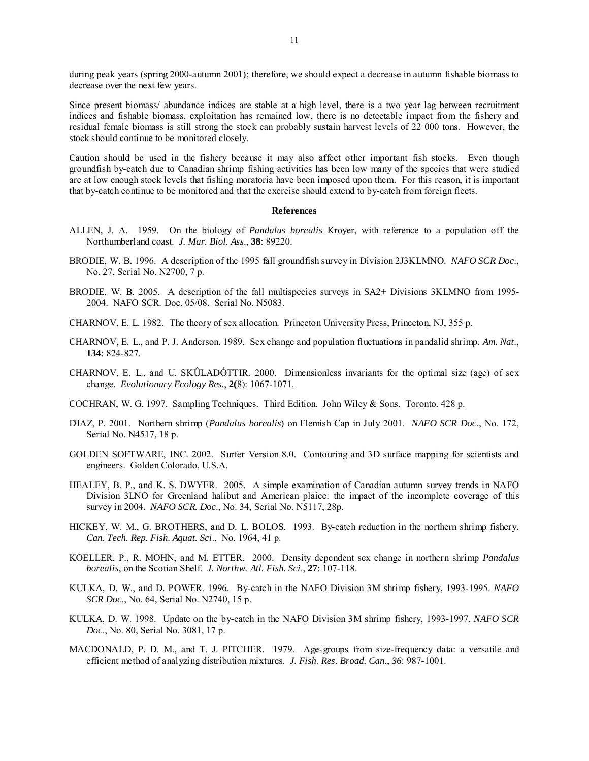during peak years (spring 2000-autumn 2001); therefore, we should expect a decrease in autumn fishable biomass to decrease over the next few years.

Since present biomass/ abundance indices are stable at a high level, there is a two year lag between recruitment indices and fishable biomass, exploitation has remained low, there is no detectable impact from the fishery and residual female biomass is still strong the stock can probably sustain harvest levels of 22 000 tons. However, the stock should continue to be monitored closely.

Caution should be used in the fishery because it may also affect other important fish stocks. Even though groundfish by-catch due to Canadian shrimp fishing activities has been low many of the species that were studied are at low enough stock levels that fishing moratoria have been imposed upon them. For this reason, it is important that by-catch continue to be monitored and that the exercise should extend to by-catch from foreign fleets.

#### **References**

- ALLEN, J. A. 1959. On the biology of *Pandalus borealis* Kroyer, with reference to a population off the Northumberland coast. *J. Mar. Biol. Ass*., **38**: 89220.
- BRODIE, W. B. 1996. A description of the 1995 fall groundfish survey in Division 2J3KLMNO. *NAFO SCR Doc*., No. 27, Serial No. N2700, 7 p.
- BRODIE, W. B. 2005. A description of the fall multispecies surveys in SA2+ Divisions 3KLMNO from 1995- 2004. NAFO SCR. Doc. 05/08. Serial No. N5083.
- CHARNOV, E. L. 1982. The theory of sex allocation. Princeton University Press, Princeton, NJ, 355 p.
- CHARNOV, E. L., and P. J. Anderson. 1989. Sex change and population fluctuations in pandalid shrimp. *Am. Nat*., **134**: 824-827.
- CHARNOV, E. L., and U. SKǗLADÓTTIR. 2000. Dimensionless invariants for the optimal size (age) of sex change. *Evolutionary Ecology Res.*, **2(**8): 1067-1071.
- COCHRAN, W. G. 1997. Sampling Techniques. Third Edition. John Wiley & Sons. Toronto. 428 p.
- DΊAZ, P. 2001. Northern shrimp (*Pandalus borealis*) on Flemish Cap in July 2001. *NAFO SCR Doc*., No. 172, Serial No. N4517, 18 p.
- GOLDEN SOFTWARE, INC. 2002. Surfer Version 8.0. Contouring and 3D surface mapping for scientists and engineers. Golden Colorado, U.S.A.
- HEALEY, B. P., and K. S. DWYER. 2005. A simple examination of Canadian autumn survey trends in NAFO Division 3LNO for Greenland halibut and American plaice: the impact of the incomplete coverage of this survey in 2004. *NAFO SCR. Doc*., No. 34, Serial No. N5117, 28p.
- HICKEY, W. M., G. BROTHERS, and D. L. BOLOS. 1993. By-catch reduction in the northern shrimp fishery. *Can. Tech. Rep. Fish. Aquat. Sci*., No. 1964, 41 p.
- KOELLER, P., R. MOHN, and M. ETTER. 2000. Density dependent sex change in northern shrimp *Pandalus borealis*, on the Scotian Shelf. *J. Northw. Atl. Fish. Sci*., **27**: 107-118.
- KULKA, D. W., and D. POWER. 1996. By-catch in the NAFO Division 3M shrimp fishery, 1993-1995. *NAFO SCR Doc*., No. 64, Serial No. N2740, 15 p.
- KULKA, D. W. 1998. Update on the by-catch in the NAFO Division 3M shrimp fishery, 1993-1997. *NAFO SCR Doc*., No. 80, Serial No. 3081, 17 p.
- MACDONALD, P. D. M., and T. J. PITCHER. 1979. Age-groups from size-frequency data: a versatile and efficient method of analyzing distribution mixtures. *J. Fish. Res. Broad. Can*., *36*: 987-1001.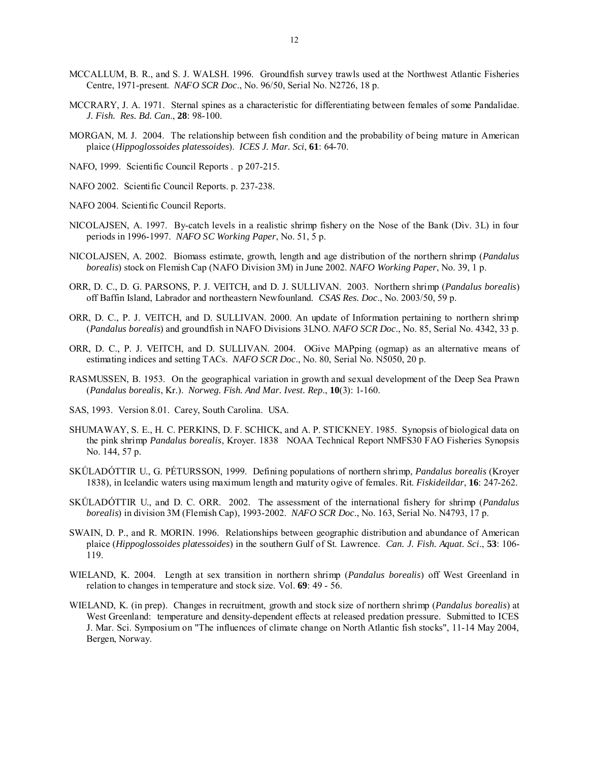- MCCALLUM, B. R., and S. J. WALSH. 1996. Groundfish survey trawls used at the Northwest Atlantic Fisheries Centre, 1971-present. *NAFO SCR Doc*., No. 96/50, Serial No. N2726, 18 p.
- MCCRARY, J. A. 1971. Sternal spines as a characteristic for differentiating between females of some Pandalidae. *J. Fish. Res. Bd. Can*., **28**: 98-100.
- MORGAN, M. J. 2004. The relationship between fish condition and the probability of being mature in American plaice (*Hippoglossoides platessoides*). *ICES J. Mar. Sci*, **61**: 64-70.
- NAFO, 1999. Scientific Council Reports . p 207-215.
- NAFO 2002. Scientific Council Reports. p. 237-238.
- NAFO 2004. Scientific Council Reports.
- NICOLAJSEN, A. 1997. By-catch levels in a realistic shrimp fishery on the Nose of the Bank (Div. 3L) in four periods in 1996-1997. *NAFO SC Working Paper*, No. 51, 5 p.
- NICOLAJSEN, A. 2002. Biomass estimate, growth, length and age distribution of the northern shrimp (*Pandalus borealis*) stock on Flemish Cap (NAFO Division 3M) in June 2002. *NAFO Working Paper*, No. 39, 1 p.
- ORR, D. C., D. G. PARSONS, P. J. VEITCH, and D. J. SULLIVAN. 2003. Northern shrimp (*Pandalus borealis*) off Baffin Island, Labrador and northeastern Newfounland. *CSAS Res. Doc*., No. 2003/50, 59 p.
- ORR, D. C., P. J. VEITCH, and D. SULLIVAN. 2000. An update of Information pertaining to northern shrimp (*Pandalus borealis*) and groundfish in NAFO Divisions 3LNO. *NAFO SCR Doc*., No. 85, Serial No. 4342, 33 p.
- ORR, D. C., P. J. VEITCH, and D. SULLIVAN. 2004.OGive MAPping (ogmap) as an alternative means of estimating indices and setting TACs. *NAFO SCR Doc*., No. 80, Serial No. N5050, 20 p.
- RASMUSSEN, B. 1953. On the geographical variation in growth and sexual development of the Deep Sea Prawn (*Pandalus borealis*, Kr.). *Norweg. Fish. And Mar. Ivest. Rep*., **10**(3): 1-160.
- SAS, 1993. Version 8.01. Carey, South Carolina. USA.
- SHUMAWAY, S. E., H. C. PERKINS, D. F. SCHICK, and A. P. STICKNEY. 1985. Synopsis of biological data on the pink shrimp *Pandalus borealis*, Kroyer. 1838 NOAA Technical Report NMFS30 FAO Fisheries Synopsis No. 144, 57 p.
- SKǗLADÓTTIR U., G. PÉTURSSON, 1999. Defining populations of northern shrimp, *Pandalus borealis* (Kroyer 1838), in Icelandic waters using maximum length and maturity ogive of females. Rit. *Fiskideildar*, **16**: 247-262.
- SKǗLADÓTTIR U., and D. C. ORR. 2002. The assessment of the international fishery for shrimp (*Pandalus borealis*) in division 3M (Flemish Cap), 1993-2002. *NAFO SCR Doc*., No. 163, Serial No. N4793, 17 p.
- SWAIN, D. P., and R. MORIN. 1996. Relationships between geographic distribution and abundance of American plaice (*Hippoglossoides platessoides*) in the southern Gulf of St. Lawrence. *Can. J. Fish. Aquat. Sci*., **53**: 106- 119.
- WIELAND, K. 2004. Length at sex transition in northern shrimp (*Pandalus borealis*) off West Greenland in relation to changes in temperature and stock size. Vol. **69**: 49 - 56.
- WIELAND, K. (in prep). Changes in recruitment, growth and stock size of northern shrimp (*Pandalus borealis*) at West Greenland: temperature and density-dependent effects at released predation pressure. Submitted to ICES J. Mar. Sci. Symposium on "The influences of climate change on North Atlantic fish stocks", 11-14 May 2004, Bergen, Norway.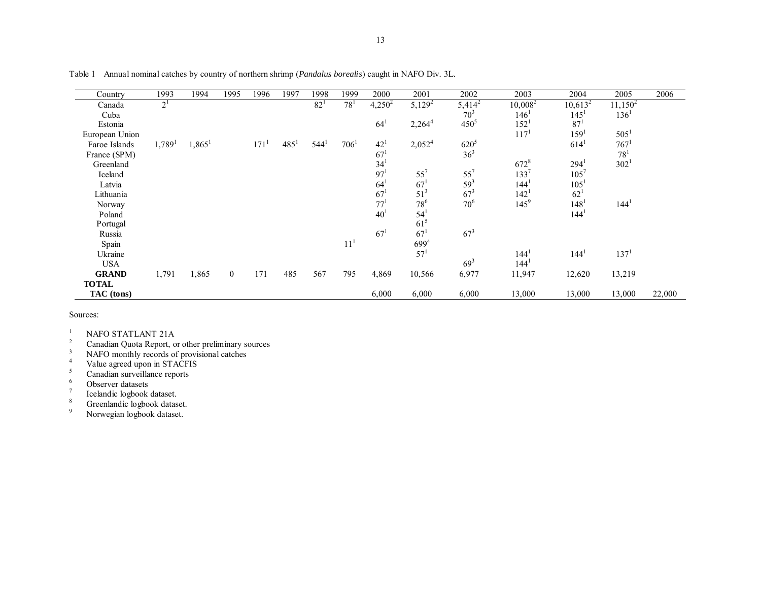| Country        | 1993                 | 1994                 | 1995           | 1996             | 1997             | 1998             | 1999             | 2000            | 2001               | 2002            | 2003             | 2004             | 2005             | 2006   |
|----------------|----------------------|----------------------|----------------|------------------|------------------|------------------|------------------|-----------------|--------------------|-----------------|------------------|------------------|------------------|--------|
| Canada         | 2 <sup>1</sup>       |                      |                |                  |                  | 82 <sup>1</sup>  | $78^{1}$         | $4,250^2$       | $5,129^2$          | $5,414^2$       | $10,008^2$       | $10,613^2$       | $11,150^2$       |        |
| Cuba           |                      |                      |                |                  |                  |                  |                  |                 |                    | 70 <sup>3</sup> | 146'             | 145 <sup>1</sup> | $136^1$          |        |
| Estonia        |                      |                      |                |                  |                  |                  |                  | $64^{1}$        | 2,264 <sup>4</sup> | $450^{5}$       | $152^1$          | $87^{1}$         |                  |        |
| European Union |                      |                      |                |                  |                  |                  |                  |                 |                    |                 | 117 <sup>1</sup> | 159 <sup>1</sup> | 505 <sup>1</sup> |        |
| Faroe Islands  | $1,789$ <sup>1</sup> | $1,865$ <sup>1</sup> |                | 171 <sup>1</sup> | 485 <sup>1</sup> | 544 <sup>1</sup> | 706 <sup>1</sup> | $42^{1}$        | 2,052 <sup>4</sup> | $620^{5}$       |                  | 614 <sup>1</sup> | $767^1$          |        |
| France (SPM)   |                      |                      |                |                  |                  |                  |                  | $67^{1}$        |                    | 36 <sup>3</sup> |                  |                  | $78^{1}$         |        |
| Greenland      |                      |                      |                |                  |                  |                  |                  | 34              |                    |                 | $672^{8}$        | $294^1$          | 302 <sup>1</sup> |        |
| Iceland        |                      |                      |                |                  |                  |                  |                  | 97 <sup>1</sup> | $55^7$             | $55^7$          | $133^{7}$        | $105^{7}$        |                  |        |
| Latvia         |                      |                      |                |                  |                  |                  |                  | 64              | 67 <sup>1</sup>    | $59^{3}$        | 144 <sup>1</sup> | $105^{1}$        |                  |        |
| Lithuania      |                      |                      |                |                  |                  |                  |                  | 67 <sup>1</sup> | 51 <sup>3</sup>    | $67^{3}$        | $142^{1}$        | $62^{1}$         |                  |        |
| Norway         |                      |                      |                |                  |                  |                  |                  | 77 <sup>1</sup> | $78^{6}$           | 70 <sup>6</sup> | $145^9$          | 148 <sup>1</sup> | 144 <sup>1</sup> |        |
| Poland         |                      |                      |                |                  |                  |                  |                  | 40              | 54                 |                 |                  | 144'             |                  |        |
| Portugal       |                      |                      |                |                  |                  |                  |                  |                 | $61^5$             |                 |                  |                  |                  |        |
| Russia         |                      |                      |                |                  |                  |                  |                  | $67^{1}$        | 67 <sup>1</sup>    | $67^{3}$        |                  |                  |                  |        |
| Spain          |                      |                      |                |                  |                  |                  | 11 <sup>1</sup>  |                 | $699^{4}$          |                 |                  |                  |                  |        |
| Ukraine        |                      |                      |                |                  |                  |                  |                  |                 | 57 <sup>1</sup>    |                 | 144 <sup>1</sup> | 144 <sup>1</sup> | 137 <sup>1</sup> |        |
| <b>USA</b>     |                      |                      |                |                  |                  |                  |                  |                 |                    | $69^{3}$        | 144 <sup>1</sup> |                  |                  |        |
| <b>GRAND</b>   | 1,791                | 1,865                | $\overline{0}$ | 171              | 485              | 567              | 795              | 4,869           | 10,566             | 6,977           | 11,947           | 12,620           | 13,219           |        |
| <b>TOTAL</b>   |                      |                      |                |                  |                  |                  |                  |                 |                    |                 |                  |                  |                  |        |
| TAC (tons)     |                      |                      |                |                  |                  |                  |                  | 6,000           | 6,000              | 6,000           | 13,000           | 13,000           | 13,000           | 22,000 |

Table 1 Annual nominal catches by country of northern shrimp (*Pandalus borealis*) caught in NAFO Div. 3L.

Sources:

<sup>1</sup> NAFO STATLANT 21A

 $2^2$  Canadian Quota Report, or other preliminary sources

<sup>3</sup> NAFO monthly records of provisional catches

<sup>4</sup> Value agreed upon in STACFIS

<sup>5</sup> Canadian surveillance reports

 $^{6}$  Observer datasets<br>
<sup>7</sup> Icelandic logbook dataset.

<sup>8</sup> Greenlandic logbook dataset.

9 Norwegian logbook dataset.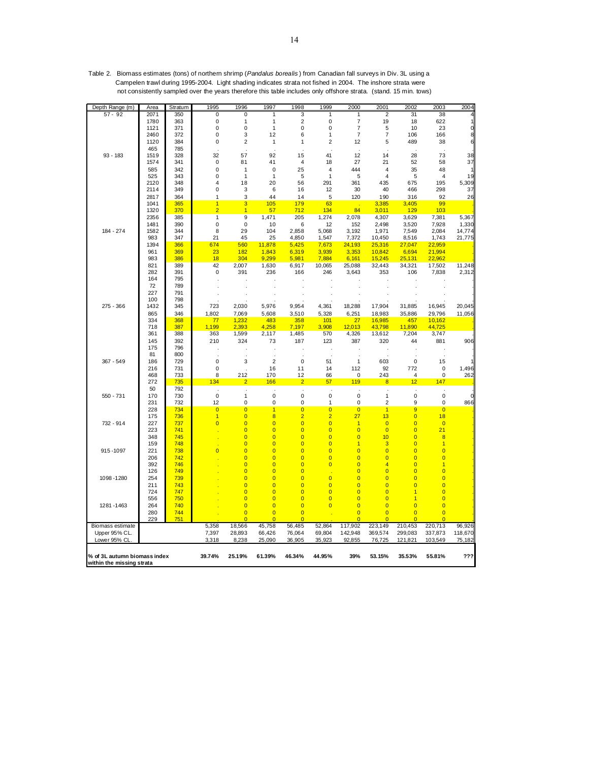| Depth Range (m)                                           | Area         | Stratum    | 1995           | 1996                             | 1997                                      | 1998                             | 1999                             | 2000                             | 2001                                      | 2002                             | 2003                             | 2004             |
|-----------------------------------------------------------|--------------|------------|----------------|----------------------------------|-------------------------------------------|----------------------------------|----------------------------------|----------------------------------|-------------------------------------------|----------------------------------|----------------------------------|------------------|
| $57 - 92$                                                 | 2071         | 350        | 0              | 0                                | 1                                         | 3                                | 1                                | 1                                | 2                                         | 31                               | 38                               |                  |
|                                                           | 1780         | 363        | 0              | 1                                | $\mathbf{1}$                              | $\overline{2}$                   | 0                                | $\overline{7}$                   | 19                                        | 18                               | 622                              |                  |
|                                                           | 1121<br>2460 | 371<br>372 | 0<br>0         | 0<br>3                           | 1<br>12                                   | 0<br>6                           | 0<br>1                           | $\overline{7}$<br>$\overline{7}$ | 5<br>$\overline{\mathcal{I}}$             | 10<br>106                        | 23<br>166                        | $\mathbf 0$<br>8 |
|                                                           | 1120         | 384        | 0              | $\overline{2}$                   | 1                                         | 1                                | $\overline{2}$                   | 12                               | 5                                         | 489                              | 38                               | 6                |
|                                                           | 465          | 785        |                |                                  |                                           |                                  |                                  |                                  |                                           |                                  |                                  |                  |
| $93 - 183$                                                | 1519         | 328        | 32             | 57                               | 92                                        | 15                               | 41                               | 12                               | 14                                        | 28                               | 73                               | 38               |
|                                                           | 1574         | 341        | 0              | 81                               | 41                                        | $\overline{4}$                   | 18                               | 27                               | 21                                        | 52                               | 58                               | 37               |
|                                                           | 585          | 342        | 0              | $\mathbf{1}$                     | $\pmb{0}$                                 | 25                               | 4                                | 444                              | 4                                         | 35                               | 48                               |                  |
|                                                           | 525          | 343        | 0              | $\mathbf{1}$                     | $\mathbf{1}$                              | 5                                | 1                                | 5                                | $\overline{4}$                            | 5                                | $\overline{4}$                   | 19               |
|                                                           | 2120         | 348        | 4              | 18                               | 20                                        | 56                               | 291                              | 361                              | 435                                       | 675                              | 195                              | 5,309            |
|                                                           | 2114<br>2817 | 349<br>364 | 0<br>1         | 3<br>3                           | 6<br>44                                   | 16<br>14                         | 12<br>5                          | 30<br>120                        | 40<br>190                                 | 466<br>316                       | 298<br>92                        | 37<br>26         |
|                                                           | 1041         | 365        | $\mathbf{1}$   | 3                                | 105                                       | 179                              | 63                               |                                  | 3,385                                     | 3,405                            | 99                               |                  |
|                                                           | 1320         | 370        | $\overline{2}$ | $\overline{1}$                   | 57                                        | 712                              | 134                              | 84                               | 3,011                                     | 129                              | 103                              |                  |
|                                                           | 2356         | 385        | $\overline{1}$ | 9                                | 1,471                                     | 205                              | 1,274                            | 2,078                            | 4,307                                     | 3,629                            | 7,381                            | 5,367            |
|                                                           | 1481         | 390        | 0              | 0                                | 10                                        | 6                                | 12                               | 152                              | 2,498                                     | 3,520                            | 7,928                            | 1,330            |
| 184 - 274                                                 | 1582         | 344        | 8              | 29                               | 104                                       | 2,858                            | 5,068                            | 3,192                            | 1,971                                     | 7,549                            | 2,084                            | 14,774           |
|                                                           | 983          | 347        | 21             | 45                               | 25                                        | 4,850                            | 1,547                            | 7,372                            | 10,450                                    | 8,516                            | 1,743                            | 21,775           |
|                                                           | 1394         | 366        | 674            | 560                              | 11,878                                    | 5,425                            | 7,673                            | 24,193                           | 25,316                                    | 27,047                           | 22,959                           |                  |
|                                                           | 961<br>983   | 369<br>386 | 23<br>18       | 182<br>304                       | 1,843<br>9,299                            | 6,319<br>5,981                   | 3,939<br>7,884                   | 3,353<br>6,161                   | 10,842<br>15,245                          | 6,694<br>25,131                  | 21,994<br>22,962                 |                  |
|                                                           | 821          | 389        | 42             | 2,007                            | 1,630                                     | 6,917                            | 10,065                           | 25,088                           | 32,443                                    | 34,321                           | 17,502                           | 11,248           |
|                                                           | 282          | 391        | 0              | 391                              | 236                                       | 166                              | 246                              | 3,643                            | 353                                       | 106                              | 7,838                            | 2,312            |
|                                                           | 164          | 795        |                |                                  |                                           |                                  |                                  |                                  |                                           |                                  |                                  |                  |
|                                                           | 72           | 789        |                |                                  |                                           |                                  |                                  |                                  |                                           |                                  |                                  |                  |
|                                                           | 227          | 791        |                |                                  |                                           |                                  |                                  |                                  |                                           |                                  |                                  |                  |
|                                                           | 100          | 798        |                |                                  |                                           |                                  |                                  |                                  |                                           |                                  |                                  |                  |
| $275 - 366$                                               | 1432         | 345        | 723            | 2,030                            | 5,976                                     | 9,954                            | 4,361                            | 18,288                           | 17,904                                    | 31,885                           | 16,945                           | 20,045           |
|                                                           | 865          | 346        | 1,802          | 7,069                            | 5,608                                     | 3,510                            | 5,328                            | 6,251                            | 18,983                                    | 35,886                           | 29,796                           | 11,056           |
|                                                           | 334<br>718   | 368<br>387 | 77<br>1,199    | 1,232<br>2,393                   | 483<br>4,258                              | 358<br>7,197                     | 101<br>3,908                     | 27<br>12,013                     | 16,985<br>43,798                          | 457<br>11,890                    | 10,162<br>44,725                 |                  |
|                                                           | 361          | 388        | 363            | 1,599                            | 2,117                                     | 1,485                            | 570                              | 4,326                            | 13,612                                    | 7,204                            | 3,747                            |                  |
|                                                           | 145          | 392        | 210            | 324                              | 73                                        | 187                              | 123                              | 387                              | 320                                       | 44                               | 881                              | 906              |
|                                                           | 175          | 796        |                |                                  |                                           |                                  |                                  |                                  |                                           |                                  |                                  |                  |
|                                                           | 81           | 800        | $\cdot$        |                                  |                                           |                                  |                                  |                                  |                                           |                                  |                                  |                  |
| 367 - 549                                                 | 186          | 729        | 0              | 3                                | $\overline{\mathbf{c}}$                   | 0                                | 51                               | 1                                | 603                                       | $\mathbf 0$                      | 15                               |                  |
|                                                           | 216          | 731        | 0              |                                  | 16                                        | 11                               | 14                               | 112                              | 92                                        | 772                              | 0                                | 1,496            |
|                                                           | 468<br>272   | 733<br>735 | 8<br>134       | 212<br>$\overline{2}$            | 170<br>166                                | 12<br>$\overline{2}$             | 66<br>57                         | 0<br>119                         | 243<br>$\overline{\mathbf{8}}$            | 4<br>12                          | $\pmb{0}$<br>147                 | 262              |
|                                                           | 50           | 792        | J.             |                                  |                                           | J.                               |                                  |                                  | J.                                        |                                  |                                  |                  |
| 550 - 731                                                 | 170          | 730        | $\mathbf 0$    | $\mathbf{1}$                     | $\pmb{0}$                                 | 0                                | $\mathbf 0$                      | $\pmb{0}$                        | 1                                         | 0                                | $\pmb{0}$                        |                  |
|                                                           | 231          | 732        | 12             | 0                                | 0                                         | 0                                | 1                                | 0                                | $\overline{2}$                            | 9                                | 0                                | 866              |
|                                                           | 228          | 734        | $\overline{0}$ | $\overline{0}$                   | $\overline{1}$                            | $\overline{\mathbf{0}}$          | $\overline{0}$                   | $\overline{0}$                   | $\overline{1}$                            | 9                                | $\overline{0}$                   |                  |
|                                                           | 175          | 736        | $\overline{1}$ | $\overline{0}$                   | 8                                         | $\overline{2}$                   | $\overline{2}$                   | 27                               | 13                                        | $\overline{0}$                   | 18                               |                  |
| 732 - 914                                                 | 227          | 737        | $\overline{0}$ | $\overline{0}$                   | $\overline{\mathbf{0}}$                   | $\overline{0}$                   | $\overline{0}$                   | $\overline{1}$                   | $\overline{0}$                            | $\overline{0}$                   | $\overline{0}$                   |                  |
|                                                           | 223          | 741        |                | $\overline{\mathbf{0}}$          | $\overline{\mathbf{0}}$                   | $\overline{0}$                   | $\overline{0}$                   | $\overline{0}$                   | $\overline{0}$                            | $\overline{0}$                   | 21                               |                  |
|                                                           | 348<br>159   | 745<br>748 |                | $\overline{0}$<br>$\overline{0}$ | $\overline{0}$<br>$\overline{\mathbf{0}}$ | $\overline{0}$<br>$\overline{0}$ | $\overline{0}$<br>$\overline{0}$ | $\overline{0}$<br>1              | 10<br>3                                   | $\overline{0}$<br>$\overline{0}$ | 8<br>$\mathbf{1}$                |                  |
| 915-1097                                                  | 221          | 738        | $\overline{0}$ | $\overline{0}$                   | $\overline{0}$                            | $\overline{0}$                   | $\overline{0}$                   | $\overline{0}$                   | $\overline{0}$                            | $\overline{0}$                   | $\overline{0}$                   |                  |
|                                                           | 206          | 742        |                | $\overline{0}$                   | $\overline{0}$                            | $\overline{0}$                   | $\overline{0}$                   | $\overline{0}$                   | $\overline{0}$                            | $\overline{0}$                   | $\overline{0}$                   |                  |
|                                                           | 392          | 746        |                | $\overline{0}$                   | $\overline{0}$                            | $\overline{0}$                   | $\overline{0}$                   | $\overline{0}$                   | 4                                         | $\overline{0}$                   | 1                                |                  |
|                                                           | 126          | 749        |                | $\overline{0}$                   | $\overline{0}$                            | $\overline{\mathbf{0}}$          |                                  | $\overline{0}$                   | $\overline{0}$                            | $\overline{0}$                   | $\overline{0}$                   |                  |
| 1098 - 1280                                               | 254          | 739        |                | $\overline{0}$                   | $\overline{0}$                            | $\overline{0}$                   | $\overline{0}$                   | $\overline{0}$                   | $\overline{0}$                            | $\overline{0}$                   | $\overline{0}$                   |                  |
|                                                           | 211          | 743        |                | $\overline{0}$                   | $\overline{0}$                            | $\overline{0}$                   | $\overline{0}$                   | $\overline{0}$                   | $\overline{0}$                            | $\overline{0}$                   | $\overline{0}$                   |                  |
|                                                           | 724          | 747<br>750 |                | $\overline{0}$                   | $\overline{0}$<br>$\overline{0}$          | $\overline{0}$<br>$\overline{0}$ | $\overline{0}$<br>$\overline{0}$ | $\overline{0}$<br>$\overline{0}$ | $\overline{0}$<br>$\overline{\mathbf{0}}$ | $\overline{1}$                   | $\overline{0}$                   |                  |
| 1281 - 1463                                               | 556          | 740        |                | $\overline{0}$<br>$\overline{0}$ | $\overline{0}$                            | $\overline{0}$                   | $\overline{0}$                   | $\overline{0}$                   | $\overline{0}$                            | 1<br>$\overline{0}$              | $\overline{0}$<br>$\overline{0}$ |                  |
|                                                           | 264<br>280   | 744        |                | $\overline{0}$                   | $\overline{0}$                            | $\overline{0}$                   |                                  | $\overline{0}$                   | $\overline{0}$                            | $\overline{0}$                   | $\overline{0}$                   |                  |
|                                                           | 229          | 751        |                | Ō                                | $\overline{0}$                            | $\overline{0}$                   |                                  | $\overline{0}$                   | $\overline{0}$                            | $\overline{0}$                   | $\overline{0}$                   |                  |
| Biomass estimate                                          |              |            | 5,358          | 18,566                           | 45,758                                    | 56,485                           | 52,864                           | 117,902                          | 223,149                                   | 210,453                          | 220,713                          | 96,926           |
| Upper 95% CL.                                             |              |            | 7,397          | 28,893                           | 66,426                                    | 76,064                           | 69,804                           | 142,948                          | 369,574                                   | 299,083                          | 337,873                          | 118,670          |
| Lower 95% CL                                              |              |            | 3,318          | 8,238                            | 25,090                                    | 36,905                           | 35,923                           | 92,855                           | 76,725                                    | 121,821                          | 103,549                          | 75,182           |
| % of 3L autumn biomass index<br>within the missing strata |              |            | 39.74%         | 25.19%                           | 61.39%                                    | 46.34%                           | 44.95%                           | 39%                              | 53.15%                                    | 35.53%                           | 55.81%                           | ???              |

Table 2. Biomass estimates (tons) of northern shrimp (*Pandalus borealis* ) from Canadian fall surveys in Div. 3L using a Campelen trawl during 1995-2004. Light shading indicates strata not fished in 2004. The inshore strata were not consistently sampled over the years therefore this table includes only offshore strata. (stand. 15 min. tows)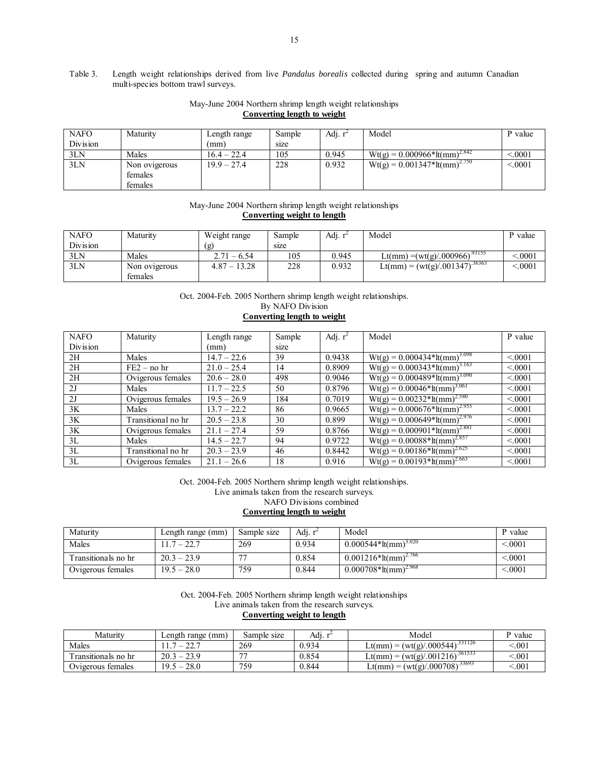#### Table 3. Length weight relationships derived from live *Pandalus borealis* collected during spring and autumn Canadian multi-species bottom trawl surveys.

#### May-June 2004 Northern shrimp length weight relationships **Converting length to weight**

| <b>NAFO</b> | Maturity      | Length range  | Sample | Adj. r <sup>2</sup> | Model                                            | P value |
|-------------|---------------|---------------|--------|---------------------|--------------------------------------------------|---------|
| Division    |               | (mm)          | size   |                     |                                                  |         |
| 3LN         | Males         | $16.4 - 22.4$ | 105    | 0.945               | $Wt(g) = 0.000966 \times 11 \text{(mm)}^{2.842}$ | < 0001  |
| 3LN         | Non ovigerous | $19.9 - 27.4$ | 228    | 0.932               | $Wt(g) = 0.001\overline{347*lt(nm)^{2.750}}$     | < 0.001 |
|             | females       |               |        |                     |                                                  |         |
|             | females       |               |        |                     |                                                  |         |

#### May-June 2004 Northern shrimp length weight relationships **Converting weight to length**

| <b>NAFO</b> | Maturity      | Weight range   | Sample | Adj. $r^2$ | Model                                     | P value |
|-------------|---------------|----------------|--------|------------|-------------------------------------------|---------|
| Division    |               | (g             | size   |            |                                           |         |
| 3LN         | Males         | $2.71 - 6.54$  | 105    | 0.945      | $\text{Lt}(mm) = (wt(g)/.000966)^{93155}$ | .0001   |
| 3LN         | Non ovigerous | $4.87 - 13.28$ | 228    | 0.932      | Lt(mm) = $(wt(g)/.001347)^{36363}$        | 0.0001  |
|             | females       |                |        |            |                                           |         |

Oct. 2004-Feb. 2005 Northern shrimp length weight relationships.

By NAFO Division

## **Converting length to weight**

| <b>NAFO</b> | Maturity           | Length range  | Sample | Adj. $r^2$ | Model                                       | P value |
|-------------|--------------------|---------------|--------|------------|---------------------------------------------|---------|
| Division    |                    | (mm)          | size   |            |                                             |         |
| 2H          | Males              | $14.7 - 22.6$ | 39     | 0.9438     | $Wt(g) = 0.000434*lt/mm^{3.098}$            | < 0.001 |
| 2H          | $FE2 - no hr$      | $21.0 - 25.4$ | 14     | 0.8909     | $Wt(g) = 0.000343 * It(mm)^{3.163}$         | < 0.001 |
| 2H          | Ovigerous females  | $20.6 - 28.0$ | 498    | 0.9046     | $Wt(g) = 0.000489*lt/mm^{3.090}$            | < 0.001 |
| 2J          | Males              | $11.7 - 22.5$ | 50     | 0.8796     | $Wt(g) = 0.00046*lt/mm^{3.061}$             | < 0.001 |
| 2J          | Ovigerous females  | $19.5 - 26.9$ | 184    | 0.7019     | $Wt(g) = 0.00232*lt/mm^{2.580}$             | < 0.001 |
| 3K          | Males              | $13.7 - 22.2$ | 86     | 0.9665     | $Wt(g) = 0.000676*lt/mm^{2.955}$            | < 0001  |
| 3K          | Transitional no hr | $20.5 - 23.8$ | 30     | 0.899      | $Wt(g) = 0.000649*lt/mm^{2.976}$            | < 0.001 |
| 3K          | Ovigerous females  | $21.1 - 27.4$ | 59     | 0.8766     | $Wt(g) = 0.000901 * It(mm)^{2.881}$         | < 0.001 |
| 3L          | Males              | $14.5 - 22.7$ | 94     | 0.9722     | $Wt(g) = 0.00088*lt/mm^{2.857}$             | < 0.001 |
| 3L          | Transitional no hr | $20.3 - 23.9$ | 46     | 0.8442     | $Wt(g) = 0.001\overline{86*lt(nm)}^{2.625}$ | < 0.001 |
| 3L          | Ovigerous females  | $21.1 - 26.6$ | 18     | 0.916      | $Wt(g) = 0.001\overline{93*lt/mm^{2.663}}$  | < 0.001 |

Oct. 2004-Feb. 2005 Northern shrimp length weight relationships.

Live animals taken from the research surveys.

NAFO Divisions combined

**Converting length to weight**

| Maturity            | Length range (mm) | Sample size | Adj. r | Model                                           | P value   |
|---------------------|-------------------|-------------|--------|-------------------------------------------------|-----------|
| Males               | $1.7 - 22.7$      | 269         | 0.934  | $0.000544*lt/mm^{3.020}$                        | ${<}0001$ |
| Fransitionals no hr | $20.3 - 23.9$     |             | 0.854  | $0.001216*$ $\frac{1}{2}$ (mm) <sup>2.766</sup> | ${<}0001$ |
| Ovigerous females   | $19.5 - 28.0$     | 759         | 0.844  | $0.000708*lt/mm^{2.968}$                        | ${<}0001$ |

Oct. 2004-Feb. 2005 Northern shrimp length weight relationships

Live animals taken from the research surveys.

#### **Converting weight to length**

| Maturity            | Length range (mm) | Sample size    | Adı.  | Model                                                                  | P value |
|---------------------|-------------------|----------------|-------|------------------------------------------------------------------------|---------|
| Males               | $-22.7$           | 269            | 0.934 | $\rightarrow$ = (wt(g)/.000544) <sup>331126</sup><br>$\text{Lt}(mm) =$ | .001    |
| fransitionals no hr | $20.3 - 23.9$     | $\overline{a}$ | 0.854 | $\rightarrow$ = (wt(g)/.001216) <sup>361533</sup><br>$_{\rm Lt(mm)}$ = | .001    |
| Ovigerous females   | $19.5 - 28.0$     | 759            | 0.844 | Lt(mm) = $(wt(g)/.000708)^{33693}$                                     | .001    |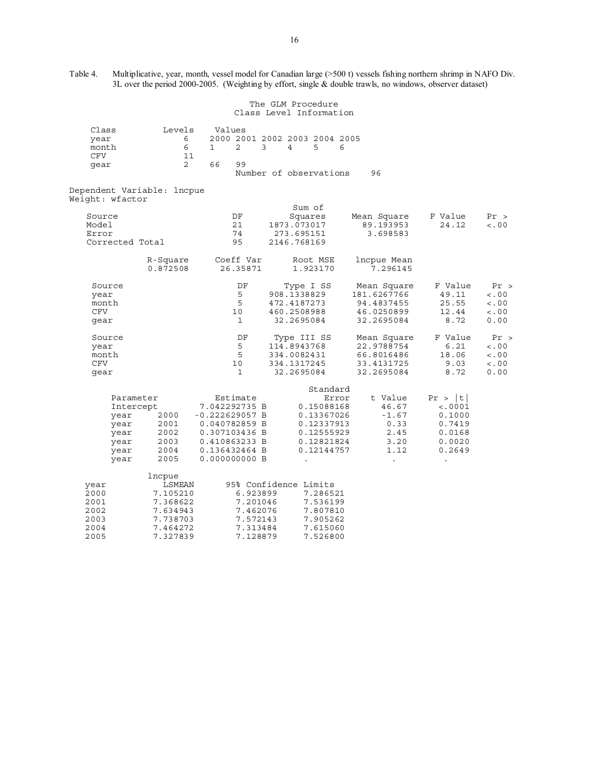Table 4. Multiplicative, year, month, vessel model for Canadian large (>500 t) vessels fishing northern shrimp in NAFO Div. 3L over the period 2000-2005. (Weighting by effort, single & double trawls, no windows, observer dataset)

|                                                                        |                                                                                          |                                                                                                                                    | The GLM Procedure<br>Class Level Information                                                          |                                                                      |                                                                           |                                           |
|------------------------------------------------------------------------|------------------------------------------------------------------------------------------|------------------------------------------------------------------------------------------------------------------------------------|-------------------------------------------------------------------------------------------------------|----------------------------------------------------------------------|---------------------------------------------------------------------------|-------------------------------------------|
| Class<br>year<br>month<br><b>CFV</b><br>gear                           | Levels<br>6<br>6<br>11<br>$\overline{2}$                                                 | Values<br>2<br>3<br>1<br>66<br>99                                                                                                  | 2000 2001 2002 2003 2004 2005<br>4<br>5<br>6<br>Number of observations                                | 96                                                                   |                                                                           |                                           |
| Dependent Variable: lncpue                                             |                                                                                          |                                                                                                                                    |                                                                                                       |                                                                      |                                                                           |                                           |
| Weight: wfactor<br>Source<br>Model<br>Error<br>Corrected Total         |                                                                                          | DF<br>21<br>74<br>95                                                                                                               | Sum of<br>Squares<br>1873.073017<br>273.695151<br>2146.768169                                         | Mean Square<br>89.193953<br>3.698583                                 | F Value<br>24.12                                                          | Pr ><br>< 0.00                            |
|                                                                        | R-Square<br>0.872508                                                                     | Coeff Var<br>26.35871                                                                                                              | Root MSE<br>1.923170                                                                                  | lncpue Mean<br>7.296145                                              |                                                                           |                                           |
| Source<br>year<br>month<br>CFV<br>gear                                 |                                                                                          | DF<br>5<br>5<br>10<br>1                                                                                                            | Type I SS<br>908.1338829<br>472.4187273<br>460.2508988<br>32.2695084                                  | Mean Square<br>181.6267766<br>94.4837455<br>46.0250899<br>32.2695084 | F Value<br>49.11<br>25.55<br>12.44<br>8.72                                | Pr ><br>< 0.0<br>< 0.00<br>< .00<br>0.00  |
| Source<br>year<br>month<br>CFV<br>gear                                 |                                                                                          | DF<br>5<br>5<br>10<br>1                                                                                                            | Type III SS<br>114.8943768<br>334.0082431<br>334.1317245<br>32.2695084                                | Mean Square<br>22.9788754<br>66.8016486<br>33.4131725<br>32.2695084  | F Value<br>6.21<br>18.06<br>9.03<br>8.72                                  | Pr ><br>< 0.00<br>< .00<br>< 0.00<br>0.00 |
| Parameter<br>Intercept<br>year<br>year<br>year<br>year<br>year<br>year | 2000<br>2001<br>2002<br>2003<br>2004<br>2005                                             | Estimate<br>7.042292735 B<br>$-0.222629057 B$<br>0.040782859 B<br>0.307103436 B<br>0.410863233 B<br>0.136432464 B<br>0.000000000 B | Standard<br>Error<br>0.15088168<br>0.13367026<br>0.12337913<br>0.12555929<br>0.12821824<br>0.12144757 | t Value<br>46.67<br>$-1.67$<br>0.33<br>2.45<br>3.20<br>1.12          | Pr >  t <br>$\lt$ .0001<br>0.1000<br>0.7419<br>0.0168<br>0.0020<br>0.2649 |                                           |
| year<br>2000<br>2001<br>2002<br>2003<br>2004<br>2005                   | lncpue<br>LSMEAN<br>7.105210<br>7.368622<br>7.634943<br>7.738703<br>7.464272<br>7.327839 | 6.923899<br>7.201046<br>7.462076<br>7.572143<br>7.313484<br>7.128879                                                               | 95% Confidence Limits<br>7.286521<br>7.536199<br>7.807810<br>7.905262<br>7.615060<br>7.526800         |                                                                      |                                                                           |                                           |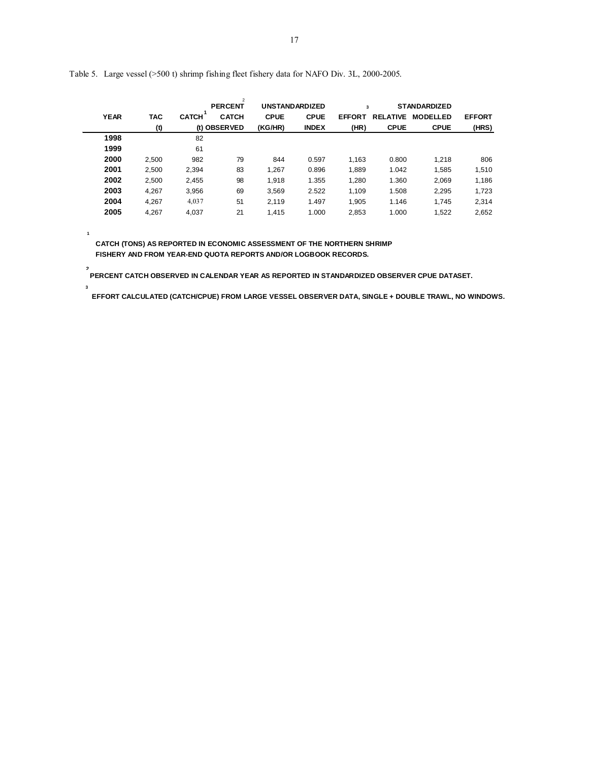|             |            |              | $\overline{2}$<br><b>PERCENT</b> | <b>UNSTANDARDIZED</b> |              | 3             |                 | <b>STANDARDIZED</b> |               |
|-------------|------------|--------------|----------------------------------|-----------------------|--------------|---------------|-----------------|---------------------|---------------|
| <b>YEAR</b> | <b>TAC</b> | <b>CATCH</b> | <b>CATCH</b>                     | <b>CPUE</b>           | <b>CPUE</b>  | <b>EFFORT</b> | <b>RELATIVE</b> | <b>MODELLED</b>     | <b>EFFORT</b> |
|             | (t)        |              | (t) OBSERVED                     | (KG/HR)               | <b>INDEX</b> | (HR)          | <b>CPUE</b>     | <b>CPUE</b>         | (HRS)         |
| 1998        |            | 82           |                                  |                       |              |               |                 |                     |               |
| 1999        |            | 61           |                                  |                       |              |               |                 |                     |               |
| 2000        | 2,500      | 982          | 79                               | 844                   | 0.597        | 1,163         | 0.800           | 1,218               | 806           |
| 2001        | 2,500      | 2,394        | 83                               | 1.267                 | 0.896        | 1,889         | 1.042           | 1.585               | 1,510         |
| 2002        | 2,500      | 2,455        | 98                               | 1,918                 | 1.355        | 1,280         | 1.360           | 2,069               | 1,186         |
| 2003        | 4,267      | 3,956        | 69                               | 3,569                 | 2.522        | 1,109         | 1.508           | 2,295               | 1,723         |
| 2004        | 4,267      | 4,037        | 51                               | 2,119                 | 1.497        | 1,905         | 1.146           | 1.745               | 2,314         |
| 2005        | 4.267      | 4.037        | 21                               | 1.415                 | 1.000        | 2,853         | 1.000           | 1,522               | 2,652         |

Table 5. Large vessel (>500 t) shrimp fishing fleet fishery data for NAFO Div. 3L, 2000-2005.

 **CATCH (TONS) AS REPORTED IN ECONOMIC ASSESSMENT OF THE NORTHERN SHRIMP FISHERY AND FROM YEAR-END QUOTA REPORTS AND/OR LOGBOOK RECORDS.**

 **PERCENT CATCH OBSERVED IN CALENDAR YEAR AS REPORTED IN STANDARDIZED OBSERVER CPUE DATASET. 2**

EFFORT CALCULATED (CATCH/CPUE) FROM LARGE VESSEL OBSERVER DATA, SINGLE + DOUBLE TRAWL, NO WINDOWS.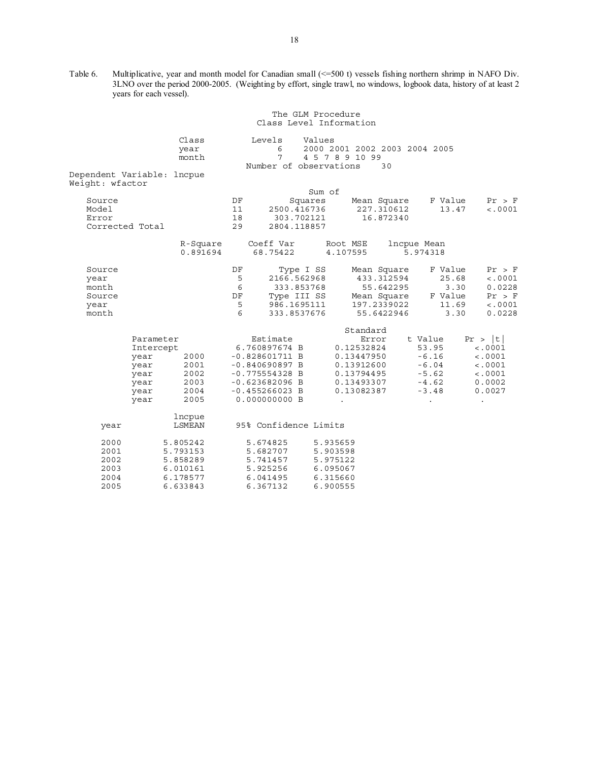Table 6. Multiplicative, year and month model for Canadian small (<=500 t) vessels fishing northern shrimp in NAFO Div. 3LNO over the period 2000-2005. (Weighting by effort, single trawl, no windows, logbook data, history of at least 2 years for each vessel).

|                                                    |                                                                      |                                                                                                                                                | The GLM Procedure<br>Class Level Information                                                                     |                                                                     |                                                                                    |                                                                                               |
|----------------------------------------------------|----------------------------------------------------------------------|------------------------------------------------------------------------------------------------------------------------------------------------|------------------------------------------------------------------------------------------------------------------|---------------------------------------------------------------------|------------------------------------------------------------------------------------|-----------------------------------------------------------------------------------------------|
| Dependent Variable: lncpue                         | Class<br>year<br>month                                               | Levels<br>6<br>7                                                                                                                               | Values<br>2000 2001 2002 2003 2004 2005<br>4 5 7 8 9 10 99<br>Number of observations                             | 30                                                                  |                                                                                    |                                                                                               |
| Weight: wfactor                                    |                                                                      |                                                                                                                                                |                                                                                                                  |                                                                     |                                                                                    |                                                                                               |
| Source<br>Model<br>Error<br>Corrected Total        |                                                                      | DF<br>11<br>18<br>303.702121<br>29                                                                                                             | Sum of<br>Squares<br>2500.416736<br>2804.118857                                                                  | Mean Square<br>227.310612<br>16.872340                              | F Value<br>13.47                                                                   | Pr > F<br>< .0001                                                                             |
|                                                    | 0.891694                                                             | 68.75422                                                                                                                                       | R-Square Coeff Var Root MSE<br>4.107595                                                                          |                                                                     | lncpue Mean<br>5.974318                                                            |                                                                                               |
| Source<br>year<br>month<br>Source<br>year<br>month |                                                                      | DF<br>5<br>6<br>DF<br>- 5<br>6                                                                                                                 | Type I SS<br>2166.562968<br>333.853768<br>Type III SS Mean Square F<br>996 1605111<br>986.1695111<br>333.8537676 | Mean Square<br>433.312594<br>55.642295<br>197.2339022<br>55.6422946 | F Value<br>25.68<br>3.30<br>$5.30$<br>F Value<br>11.69<br>3.30                     | Pr > F<br>< .0001<br>0.0228<br>Pr > F<br>< .0001<br>0.0228                                    |
| Parameter<br>Intercept<br>year<br>year             | 2000<br>year 2001<br>year 2002<br>year 2003<br>year 2004<br>2005     | Estimate<br>6.760897674 B<br>$-0.828601711 B$<br>$-0.840690897 B$<br>$-0.775554328$ B<br>$-0.623682096 B$<br>$-0.455266023 B$<br>0.000000000 B | Standard<br>0.12532824<br>0.13447950<br>0.13912600<br>0.13794495<br>0.13493307<br>0.13082387<br>$\bullet$        | Error                                                               | t Value<br>53.95<br>$-6.16$<br>$-6.04$<br>$-5.62$<br>$-4.62$<br>$-3.48$<br>$\cdot$ | Pr >  t <br>< .0001<br>< .0001<br>$\lt$ .0001<br>$\lt$ .0001<br>0.0002<br>0.0027<br>$\bullet$ |
| year                                               | lncpue<br>LSMEAN                                                     | 95% Confidence Limits                                                                                                                          |                                                                                                                  |                                                                     |                                                                                    |                                                                                               |
| 2000<br>2001<br>2002<br>2003<br>2004<br>2005       | 5.805242<br>5.793153<br>5.858289<br>6.010161<br>6.178577<br>6.633843 | 5.674825<br>5.682707<br>5.741457<br>5.925256<br>6.041495<br>6.367132                                                                           | 5.935659<br>5.903598<br>5.975122<br>6.095067<br>6.315660<br>6.900555                                             |                                                                     |                                                                                    |                                                                                               |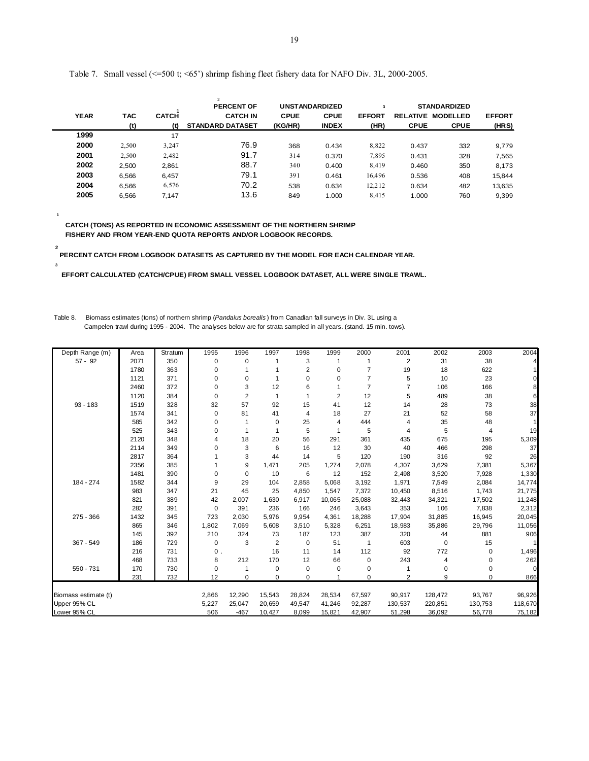|             |       |              | $\overline{2}$<br><b>PERCENT OF</b> |             | <b>UNSTANDARDIZED</b> | 3             |             | <b>STANDARDIZED</b>      |               |
|-------------|-------|--------------|-------------------------------------|-------------|-----------------------|---------------|-------------|--------------------------|---------------|
| <b>YEAR</b> | TAC   | <b>CATCH</b> | <b>CATCH IN</b>                     | <b>CPUE</b> | <b>CPUE</b>           | <b>EFFORT</b> |             | <b>RELATIVE MODELLED</b> | <b>EFFORT</b> |
|             | (t)   | (t)          | <b>STANDARD DATASET</b>             | (KG/HR)     | <b>INDEX</b>          | (HR)          | <b>CPUE</b> | <b>CPUE</b>              | (HRS)         |
| 1999        |       | 17           |                                     |             |                       |               |             |                          |               |
| 2000        | 2,500 | 3,247        | 76.9                                | 368         | 0.434                 | 8,822         | 0.437       | 332                      | 9,779         |
| 2001        | 2,500 | 2,482        | 91.7                                | 314         | 0.370                 | 7,895         | 0.431       | 328                      | 7,565         |
| 2002        | 2,500 | 2,861        | 88.7                                | 340         | 0.400                 | 8,419         | 0.460       | 350                      | 8,173         |
| 2003        | 6.566 | 6.457        | 79.1                                | 391         | 0.461                 | 16,496        | 0.536       | 408                      | 15,844        |
| 2004        | 6.566 | 6,576        | 70.2                                | 538         | 0.634                 | 12,212        | 0.634       | 482                      | 13,635        |
| 2005        | 6.566 | 7,147        | 13.6                                | 849         | 1.000                 | 8,415         | 1.000       | 760                      | 9,399         |

Table 7. Small vessel (<=500 t; <65') shrimp fishing fleet fishery data for NAFO Div. 3L, 2000-2005.

 **CATCH (TONS) AS REPORTED IN ECONOMIC ASSESSMENT OF THE NORTHERN SHRIMP FISHERY AND FROM YEAR-END QUOTA REPORTS AND/OR LOGBOOK RECORDS.**

**1**

**3**

 **2 PERCENT CATCH FROM LOGBOOK DATASETS AS CAPTURED BY THE MODEL FOR EACH CALENDAR YEAR.**

 **EFFORT CALCULATED (CATCH/CPUE) FROM SMALL VESSEL LOGBOOK DATASET, ALL WERE SINGLE TRAWL.**

Table 8. Biomass estimates (tons) of northern shrimp (*Pandalus borealis* ) from Canadian fall surveys in Div. 3L using a Campelen trawl during 1995 - 2004. The analyses below are for strata sampled in all years. (stand. 15 min. tows).

| Depth Range (m)      | Area | Stratum | 1995  | 1996           | 1997                    | 1998           | 1999           | 2000           | 2001           | 2002    | 2003        | 2004     |
|----------------------|------|---------|-------|----------------|-------------------------|----------------|----------------|----------------|----------------|---------|-------------|----------|
| $57 - 92$            | 2071 | 350     | 0     | $\mathbf 0$    | 1                       | 3              |                | 1              | $\overline{2}$ | 31      | 38          |          |
|                      | 1780 | 363     | 0     | 1              |                         | $\overline{2}$ | 0              | $\overline{7}$ | 19             | 18      | 622         |          |
|                      | 1121 | 371     | 0     | 0              |                         | $\mathbf 0$    | 0              | $\overline{7}$ | 5              | 10      | 23          |          |
|                      | 2460 | 372     | 0     | 3              | 12                      | 6              |                | $\overline{7}$ | 7              | 106     | 166         |          |
|                      | 1120 | 384     | 0     | $\overline{2}$ | 1                       | $\mathbf{1}$   | $\overline{2}$ | 12             | 5              | 489     | 38          | 6        |
| $93 - 183$           | 1519 | 328     | 32    | 57             | 92                      | 15             | 41             | 12             | 14             | 28      | 73          | 38       |
|                      | 1574 | 341     | 0     | 81             | 41                      | $\overline{4}$ | 18             | 27             | 21             | 52      | 58          | 37       |
|                      | 585  | 342     | 0     |                | 0                       | 25             | 4              | 444            | 4              | 35      | 48          |          |
|                      | 525  | 343     | 0     |                | 1                       | 5              |                | 5              | 4              | 5       | 4           | 19       |
|                      | 2120 | 348     | 4     | 18             | 20                      | 56             | 291            | 361            | 435            | 675     | 195         | 5,309    |
|                      | 2114 | 349     | 0     | 3              | 6                       | 16             | 12             | 30             | 40             | 466     | 298         | 37       |
|                      | 2817 | 364     |       | 3              | 44                      | 14             | 5              | 120            | 190            | 316     | 92          | 26       |
|                      | 2356 | 385     |       | 9              | 1,471                   | 205            | 1,274          | 2,078          | 4,307          | 3,629   | 7,381       | 5,367    |
|                      | 1481 | 390     | 0     | $\mathbf 0$    | 10                      | 6              | 12             | 152            | 2,498          | 3,520   | 7,928       | 1,330    |
| 184 - 274            | 1582 | 344     | 9     | 29             | 104                     | 2,858          | 5,068          | 3,192          | 1,971          | 7,549   | 2,084       | 14,774   |
|                      | 983  | 347     | 21    | 45             | 25                      | 4,850          | 1,547          | 7,372          | 10,450         | 8,516   | 1,743       | 21,775   |
|                      | 821  | 389     | 42    | 2,007          | 1,630                   | 6,917          | 10,065         | 25,088         | 32,443         | 34,321  | 17,502      | 11,248   |
|                      | 282  | 391     | 0     | 391            | 236                     | 166            | 246            | 3,643          | 353            | 106     | 7,838       | 2,312    |
| $275 - 366$          | 1432 | 345     | 723   | 2,030          | 5,976                   | 9,954          | 4,361          | 18,288         | 17,904         | 31,885  | 16,945      | 20,045   |
|                      | 865  | 346     | 1,802 | 7,069          | 5,608                   | 3,510          | 5,328          | 6,251          | 18,983         | 35,886  | 29,796      | 11,056   |
|                      | 145  | 392     | 210   | 324            | 73                      | 187            | 123            | 387            | 320            | 44      | 881         | 906      |
| $367 - 549$          | 186  | 729     | 0     | 3              | $\overline{\mathbf{c}}$ | $\mathbf 0$    | 51             | 1              | 603            | 0       | 15          |          |
|                      | 216  | 731     | 0.    |                | 16                      | 11             | 14             | 112            | 92             | 772     | $\mathbf 0$ | 1,496    |
|                      | 468  | 733     | 8     | 212            | 170                     | 12             | 66             | $\mathbf 0$    | 243            | 4       | $\mathbf 0$ | 262      |
| 550 - 731            | 170  | 730     | 0     |                | 0                       | 0              | 0              | 0              |                | 0       | 0           | $\Omega$ |
|                      | 231  | 732     | 12    | $\Omega$       | 0                       | $\Omega$       |                | 0              | $\overline{2}$ | 9       | $\Omega$    | 866      |
| Biomass estimate (t) |      |         | 2,866 | 12,290         | 15,543                  | 28,824         | 28,534         | 67,597         | 90,917         | 128,472 | 93,767      | 96,926   |
| Upper 95% CL         |      |         | 5,227 | 25,047         | 20,659                  | 49,547         | 41,246         | 92,287         | 130,537        | 220,851 | 130,753     | 118,670  |
| Lower 95% CL         |      |         | 506   | $-467$         | 10,427                  | 8,099          | 15,821         | 42,907         | 51,298         | 36,092  | 56,778      | 75,182   |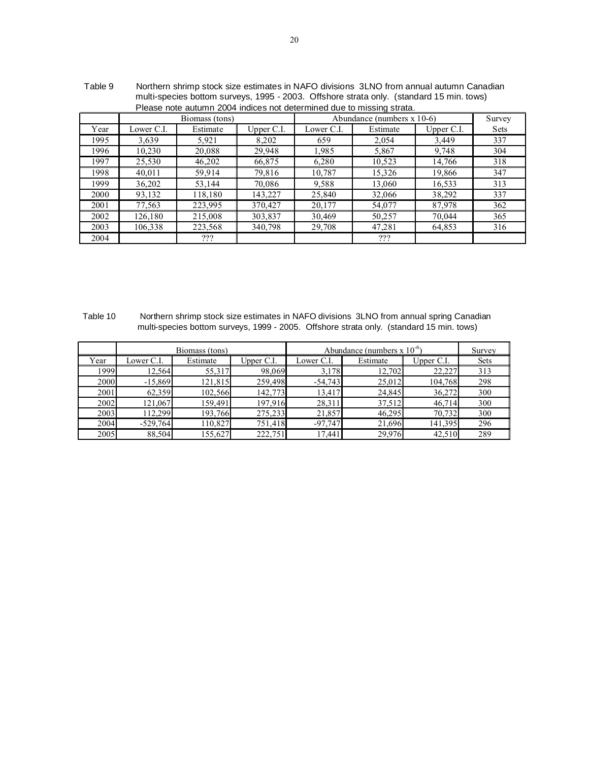|      | $\frac{1}{11}$ and $\frac{1}{2}$ because bottom is surveyed. The substrate of $\frac{1}{2}$ and $\frac{1}{2}$ and $\frac{1}{2}$ and $\frac{1}{2}$ and $\frac{1}{2}$ and $\frac{1}{2}$ and $\frac{1}{2}$ and $\frac{1}{2}$ and $\frac{1}{2}$ and $\frac{1}{2}$ and $\frac{1}{2}$ a |                                               |              |            |                                                                       |              |        |  |  |  |  |  |  |
|------|-----------------------------------------------------------------------------------------------------------------------------------------------------------------------------------------------------------------------------------------------------------------------------------|-----------------------------------------------|--------------|------------|-----------------------------------------------------------------------|--------------|--------|--|--|--|--|--|--|
|      |                                                                                                                                                                                                                                                                                   |                                               |              |            | Please note autumn 2004 indices not determined due to missing strata. |              |        |  |  |  |  |  |  |
|      |                                                                                                                                                                                                                                                                                   | Biomass (tons)                                |              |            | Abundance (numbers $x 10-6$ )                                         |              | Survey |  |  |  |  |  |  |
| Year | Lower C.I.                                                                                                                                                                                                                                                                        | Estimate                                      | Upper $C.I.$ | Lower C.I. | Estimate                                                              | Upper $C.I.$ | Sets   |  |  |  |  |  |  |
| 1995 | 3,639                                                                                                                                                                                                                                                                             | 5,921                                         | 8,202        | 659        | 2,054                                                                 | 3,449        | 337    |  |  |  |  |  |  |
| 1996 | 10,230                                                                                                                                                                                                                                                                            | 20,088<br>29,948<br>1,985<br>9,748<br>5,867   |              |            |                                                                       |              |        |  |  |  |  |  |  |
| 1997 | 25,530                                                                                                                                                                                                                                                                            | 10,523<br>14,766<br>46,202<br>66,875<br>6,280 |              |            |                                                                       |              |        |  |  |  |  |  |  |
| 1998 | 40,011                                                                                                                                                                                                                                                                            | 59.914                                        | 79,816       | 10,787     | 15,326                                                                | 19,866       | 347    |  |  |  |  |  |  |
| 1999 | 36,202                                                                                                                                                                                                                                                                            | 53.144                                        | 70.086       | 9.588      | 13,060                                                                | 16,533       | 313    |  |  |  |  |  |  |
| 2000 | 93,132                                                                                                                                                                                                                                                                            | 118,180                                       | 143,227      | 25,840     | 32,066                                                                | 38,292       | 337    |  |  |  |  |  |  |
| 2001 | 77,563                                                                                                                                                                                                                                                                            | 223,995                                       | 370.427      | 20,177     | 54,077                                                                | 87,978       | 362    |  |  |  |  |  |  |
| 2002 | 126,180                                                                                                                                                                                                                                                                           | 215,008                                       | 303,837      | 30,469     | 50,257                                                                | 70,044       | 365    |  |  |  |  |  |  |
| 2003 | 340,798<br>106.338<br>223.568<br>29,708<br>47,281<br>64,853                                                                                                                                                                                                                       |                                               |              |            |                                                                       |              |        |  |  |  |  |  |  |
| 2004 |                                                                                                                                                                                                                                                                                   | ???                                           |              |            | ???                                                                   |              |        |  |  |  |  |  |  |

 Table 9 Northern shrimp stock size estimates in NAFO divisions 3LNO from annual autumn Canadian multi-species bottom surveys, 1995 - 2003. Offshore strata only. (standard 15 min. tows)

Table 10 Northern shrimp stock size estimates in NAFO divisions 3LNO from annual spring Canadian multi-species bottom surveys, 1999 - 2005. Offshore strata only. (standard 15 min. tows)

|      |            | Biomass (tons) |            | Abundance (numbers $x 10^{-6}$ ) |          | Survey     |             |
|------|------------|----------------|------------|----------------------------------|----------|------------|-------------|
| Year | Lower C.I. | Estimate       | Upper C.I. | Lower C.I.                       | Estimate | Upper C.I. | <b>Sets</b> |
| 1999 | 12,564     | 55,317         | 98,069     | 3,178                            | 12,702   | 22,227     | 313         |
| 2000 | $-15,869$  | 121,815        | 259,498    | $-54,743$                        | 25,012   | 104,768    | 298         |
| 2001 | 62,359     | 102,566        | 142,773    | 13,417                           | 24,845   | 36,272     | 300         |
| 2002 | 121,067    | 159,491        | 197,916    | 28,311                           | 37,512   | 46,714     | 300         |
| 2003 | 112.299    | 193,766        | 275,233    | 21,857                           | 46,295   | 70,732     | 300         |
| 2004 | $-529,764$ | 110,827        | 751,418    | $-97,747$                        | 21,696   | 141,395    | 296         |
| 2005 | 88,504     | 155,627        | 222,751    | 17,441                           | 29,976   | 42,510     | 289         |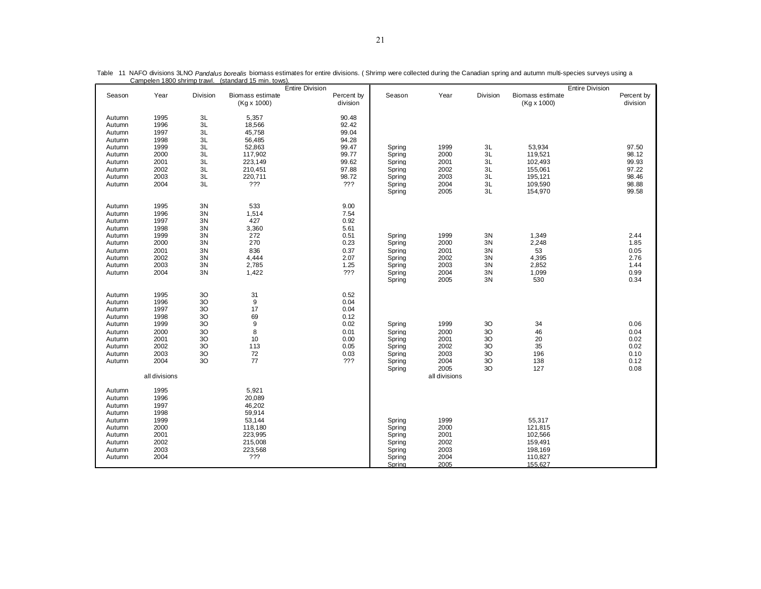|                                                                                                  | <u>Zampelen Touu Shimip trawi</u>                                                             |                                                          | <u>stanuaru 10 milli. tuws </u>                                                                  | <b>Entire Division</b> |                                                                             |                                                                    |                                                                       |                                        |                                                                          | <b>Entire Division</b> |                                                      |
|--------------------------------------------------------------------------------------------------|-----------------------------------------------------------------------------------------------|----------------------------------------------------------|--------------------------------------------------------------------------------------------------|------------------------|-----------------------------------------------------------------------------|--------------------------------------------------------------------|-----------------------------------------------------------------------|----------------------------------------|--------------------------------------------------------------------------|------------------------|------------------------------------------------------|
| Season                                                                                           | Year                                                                                          | Division                                                 | Biomass estimate<br>(Kg x 1000)                                                                  |                        | Percent by<br>division                                                      | Season                                                             | Year                                                                  | Division                               | Biomass estimate<br>(Kg x 1000)                                          |                        | Percent by<br>division                               |
| Autumn<br>Autumn<br>Autumn<br>Autumn<br>Autumn                                                   | 1995<br>1996<br>1997<br>1998<br>1999                                                          | 3L<br>3L<br>3L<br>3L<br>3L                               | 5,357<br>18,566<br>45,758<br>56,485<br>52,863                                                    |                        | 90.48<br>92.42<br>99.04<br>94.28<br>99.47                                   | Spring                                                             | 1999                                                                  | 3L                                     | 53,934                                                                   |                        | 97.50                                                |
| Autumn<br>Autumn<br>Autumn<br>Autumn<br>Autumn                                                   | 2000<br>2001<br>2002<br>2003<br>2004                                                          | 3L<br>3L<br>3L<br>3L<br>3L                               | 117,902<br>223,149<br>210,451<br>220,711<br>???                                                  |                        | 99.77<br>99.62<br>97.88<br>98.72<br>???                                     | Spring<br>Spring<br>Spring<br>Spring<br>Spring<br>Spring           | 2000<br>2001<br>2002<br>2003<br>2004<br>2005                          | 3L<br>3L<br>3L<br>3L<br>3L<br>3L       | 119,521<br>102,493<br>155,061<br>195,121<br>109,590<br>154,970           |                        | 98.12<br>99.93<br>97.22<br>98.46<br>98.88<br>99.58   |
| Autumn<br>Autumn<br>Autumn<br>Autumn<br>Autumn<br>Autumn<br>Autumn<br>Autumn<br>Autumn<br>Autumn | 1995<br>1996<br>1997<br>1998<br>1999<br>2000<br>2001<br>2002<br>2003<br>2004                  | 3N<br>3N<br>3N<br>3N<br>3N<br>3N<br>3N<br>3N<br>3N<br>3N | 533<br>1,514<br>427<br>3,360<br>272<br>270<br>836<br>4,444<br>2,785<br>1,422                     |                        | 9.00<br>7.54<br>0.92<br>5.61<br>0.51<br>0.23<br>0.37<br>2.07<br>1.25<br>??? | Spring<br>Spring<br>Spring<br>Spring<br>Spring<br>Spring<br>Spring | 1999<br>2000<br>2001<br>2002<br>2003<br>2004<br>2005                  | 3N<br>3N<br>3N<br>3N<br>3N<br>3N<br>3N | 1,349<br>2,248<br>53<br>4,395<br>2,852<br>1,099<br>530                   |                        | 2.44<br>1.85<br>0.05<br>2.76<br>1.44<br>0.99<br>0.34 |
| Autumn<br>Autumn<br>Autumn<br>Autumn<br>Autumn<br>Autumn<br>Autumn<br>Autumn<br>Autumn<br>Autumn | 1995<br>1996<br>1997<br>1998<br>1999<br>2000<br>2001<br>2002<br>2003<br>2004<br>all divisions | 30<br>3O<br>3O<br>3O<br>3O<br>3O<br>3O<br>3O<br>3O<br>3O | 31<br>$9\,$<br>17<br>69<br>9<br>8<br>10<br>113<br>72<br>77                                       |                        | 0.52<br>0.04<br>0.04<br>0.12<br>0.02<br>0.01<br>0.00<br>0.05<br>0.03<br>??? | Spring<br>Spring<br>Spring<br>Spring<br>Spring<br>Spring<br>Spring | 1999<br>2000<br>2001<br>2002<br>2003<br>2004<br>2005<br>all divisions | 3O<br>30<br>3O<br>30<br>30<br>30<br>30 | 34<br>46<br>20<br>35<br>196<br>138<br>127                                |                        | 0.06<br>0.04<br>0.02<br>0.02<br>0.10<br>0.12<br>0.08 |
| Autumn<br>Autumn<br>Autumn<br>Autumn<br>Autumn<br>Autumn<br>Autumn<br>Autumn<br>Autumn<br>Autumn | 1995<br>1996<br>1997<br>1998<br>1999<br>2000<br>2001<br>2002<br>2003<br>2004                  |                                                          | 5,921<br>20,089<br>46,202<br>59,914<br>53,144<br>118,180<br>223,995<br>215,008<br>223,568<br>222 |                        |                                                                             | Spring<br>Spring<br>Spring<br>Spring<br>Spring<br>Spring<br>Spring | 1999<br>2000<br>2001<br>2002<br>2003<br>2004<br>2005                  |                                        | 55,317<br>121,815<br>102,566<br>159,491<br>198,169<br>110,827<br>155,627 |                        |                                                      |

Table 11 NAFO divisions 3LNO *Pandalus borealis* biomass estimates for entire divisions. (Shrimp were collected during the Canadian spring and autumn multi-species surveys using a<br>Campelen 1800 shrimp trawl. (standard 15 m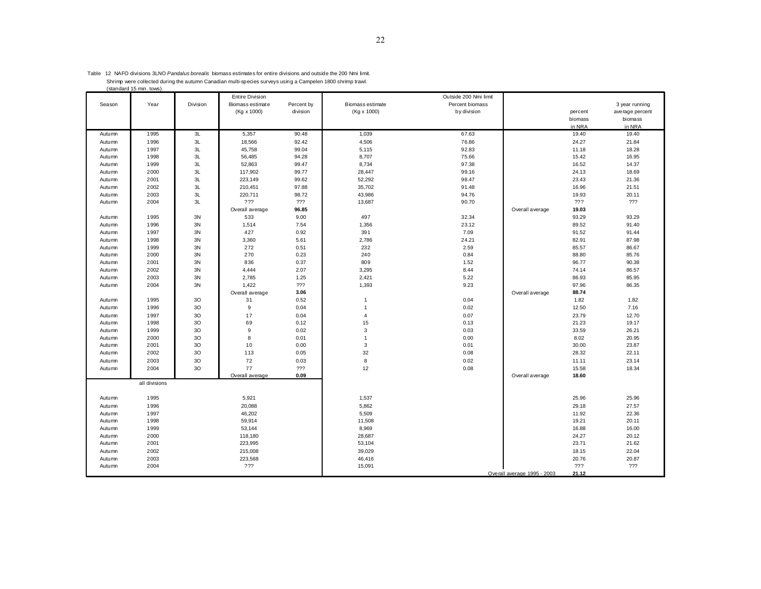| Table 12 NAFO divisions 3LNO Pandalus borealis biomass estimates for entire divisions and outside the 200 Nmi limit. |
|----------------------------------------------------------------------------------------------------------------------|
| Shrimp were collected during the autumn Canadian multi-species surveys using a Campelen 1800 shrimp trawl.           |
| (standard 15 min. tows).                                                                                             |

|        |               |          | <b>Entire Division</b> |            |                  | Outside 200 Nmi limit |                             |         |                 |
|--------|---------------|----------|------------------------|------------|------------------|-----------------------|-----------------------------|---------|-----------------|
| Season | Year          | Division | Biomass estimate       | Percent by | Biomass estimate | Percent biomass       |                             |         | 3 year running  |
|        |               |          | (Kg x 1000)            | division   | (Kg x 1000)      | by division           |                             | percent | average percent |
|        |               |          |                        |            |                  |                       |                             | biomass | biomass         |
|        |               |          |                        |            |                  |                       |                             | in NRA  | in NRA          |
| Autumn | 1995          | 3L       | 5,357                  | 90.48      | 1,039            | 67.63                 |                             | 19.40   | 19.40           |
| Autumn | 1996          | 3L       | 18,566                 | 92.42      | 4,506            | 76.86                 |                             | 24.27   | 21.84           |
| Autumn | 1997          | 3L       | 45,758                 | 99.04      | 5,115            | 92.83                 |                             | 11.18   | 18.28           |
| Autumn | 1998          | 3L       | 56,485                 | 94.28      | 8,707            | 75.66                 |                             | 15.42   | 16.95           |
| Autumn | 1999          | 3L       | 52,863                 | 99.47      | 8,734            | 97.38                 |                             | 16.52   | 14.37           |
| Autumn | 2000          | 3L       | 117,902                | 99.77      | 28,447           | 99.16                 |                             | 24.13   | 18.69           |
| Autumn | 2001          | 3L       | 223,149                | 99.62      | 52,292           | 98.47                 |                             | 23.43   | 21.36           |
| Autumn | 2002          | 3L       | 210,451                | 97.88      | 35,702           | 91.48                 |                             | 16.96   | 21.51           |
| Autumn | 2003          | 3L       | 220,711                | 98.72      | 43,986           | 94.76                 |                             | 19.93   | 20.11           |
| Autumn | 2004          | 3L       | ???                    | ???        | 13,687           | 90.70                 |                             | ???     | 222             |
|        |               |          | Overall average        | 96.85      |                  |                       | Overall average             | 19.03   |                 |
| Autumn | 1995          | 3N       | 533                    | 9.00       | 497              | 32.34                 |                             | 93.29   | 93.29           |
| Autumn | 1996          | 3N       | 1,514                  | 7.54       | 1,356            | 23.12                 |                             | 89.52   | 91.40           |
| Autumn | 1997          | 3N       | 427                    | 0.92       | 391              | 7.09                  |                             | 91.52   | 91.44           |
| Autumn | 1998          | 3N       | 3,360                  | 5.61       | 2,786            | 24.21                 |                             | 82.91   | 87.98           |
| Autumn | 1999          | 3N       | 272                    | 0.51       | 232              | 2.59                  |                             | 85.57   | 86.67           |
| Autumn | 2000          | 3N       | 270                    | 0.23       | 240              | 0.84                  |                             | 88.80   | 85.76           |
| Autumn | 2001          | 3N       | 836                    | 0.37       | 809              | 1.52                  |                             | 96.77   | 90.38           |
| Autumn | 2002          | 3N       | 4,444                  | 2.07       | 3,295            | 8.44                  |                             | 74.14   | 86.57           |
| Autumn | 2003          | 3N       | 2,785                  | 1.25       | 2,421            | 5.22                  |                             | 86.93   | 85.95           |
| Autumn | 2004          | 3N       | 1,422                  | ???        | 1,393            | 9.23                  |                             | 97.96   | 86.35           |
|        |               |          | Overall average        | 3.06       |                  |                       | Overall average             | 88.74   |                 |
| Autumn | 1995          | 30       | 31                     | 0.52       | $\overline{1}$   | 0.04                  |                             | 1.82    | 1.82            |
| Autumn | 1996          | 30       | 9                      | 0.04       | $\overline{1}$   | 0.02                  |                             | 12.50   | 7.16            |
| Autumn | 1997          | 30       | 17                     | 0.04       | $\overline{4}$   | 0.07                  |                             | 23.79   | 12.70           |
| Autumn | 1998          | 30       | 69                     | 0.12       | 15               | 0.13                  |                             | 21.23   | 19.17           |
| Autumn | 1999          | 3O       | 9                      | 0.02       | 3                | 0.03                  |                             | 33.59   | 26.21           |
| Autumn | 2000          | 30       | 8                      | 0.01       | $\overline{1}$   | 0.00                  |                             | 8.02    | 20.95           |
| Autumn | 2001          | 3O       | 10                     | 0.00       | $\mathbf{3}$     | 0.01                  |                             | 30.00   | 23.87           |
| Autumn | 2002          | 3O       | 113                    | 0.05       | 32               | 0.08                  |                             | 28.32   | 22.11           |
| Autumn | 2003          | 30       | 72                     | 0.03       | 8                | 0.02                  |                             | 11.11   | 23.14           |
| Autumn | 2004          | 3O       | 77                     | ???        | 12               | 0.08                  |                             | 15.58   | 18.34           |
|        |               |          | Overall average        | 0.09       |                  |                       | Overall average             | 18.60   |                 |
|        | all divisions |          |                        |            |                  |                       |                             |         |                 |
|        |               |          |                        |            |                  |                       |                             |         |                 |
| Autumn | 1995          |          | 5,921                  |            | 1,537            |                       |                             | 25.96   | 25.96           |
| Autumn | 1996          |          | 20,088                 |            | 5,862            |                       |                             | 29.18   | 27.57           |
| Autumn | 1997          |          | 46,202                 |            | 5,509            |                       |                             | 11.92   | 22.36           |
| Autumn | 1998          |          | 59,914                 |            | 11,508           |                       |                             | 19.21   | 20.11           |
| Autumn | 1999          |          | 53,144                 |            | 8,969            |                       |                             | 16.88   | 16.00           |
| Autumn | 2000          |          | 118,180                |            | 28,687           |                       |                             | 24.27   | 20.12           |
| Autumn | 2001          |          | 223,995                |            | 53,104           |                       |                             | 23.71   | 21.62           |
| Autumn | 2002          |          | 215,008                |            | 39,029           |                       |                             | 18.15   | 22.04           |
| Autumn | 2003          |          | 223,568                |            | 46,416           |                       |                             | 20.76   | 20.87           |
| Autumn | 2004          |          | ???                    |            | 15,091           |                       |                             | 777     | ???             |
|        |               |          |                        |            |                  |                       | Overall average 1995 - 2003 | 21.12   |                 |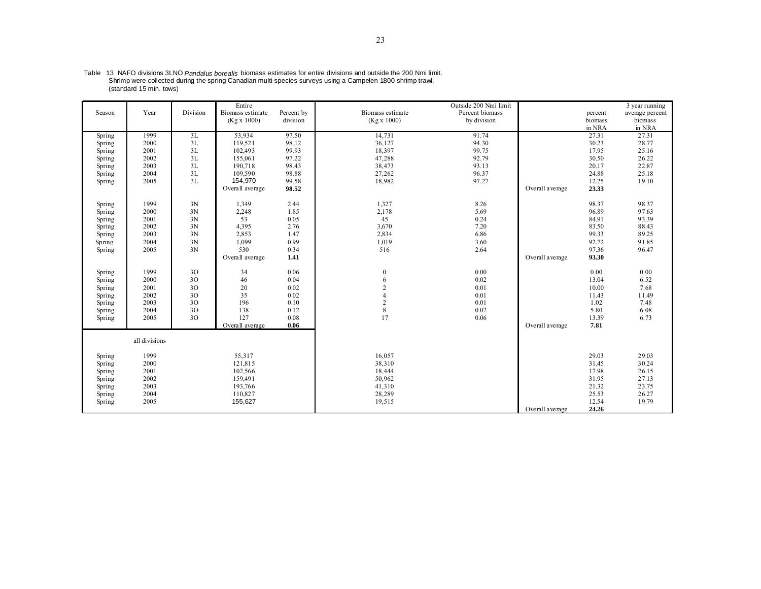| Season | Year          | Division | Entire<br>Biomass estimate<br>(Kg x 1000) | Percent by<br>division | Biomass estimate<br>(Kg x 1000) | Outside 200 Nmi limit<br>Percent biomass<br>by division |                 | percent<br>biomass<br>in NRA | 3 year running<br>average percent<br>biomass<br>in NRA |
|--------|---------------|----------|-------------------------------------------|------------------------|---------------------------------|---------------------------------------------------------|-----------------|------------------------------|--------------------------------------------------------|
| Spring | 1999          | 3L       | 53,934                                    | 97.50                  | 14,731                          | 91.74                                                   |                 | 27.31                        | 27.31                                                  |
| Spring | 2000          | 3L       | 119,521                                   | 98.12                  | 36,127                          | 94.30                                                   |                 | 30.23                        | 28.77                                                  |
| Spring | 2001          | 3L       | 102,493                                   | 99.93                  | 18,397                          | 99.75                                                   |                 | 17.95                        | 25.16                                                  |
| Spring | 2002          | 3L       | 155,061                                   | 97.22                  | 47,288                          | 92.79                                                   |                 | 30.50                        | 26.22                                                  |
| Spring | 2003          | 3L       | 190,718                                   | 98.43                  | 38,473                          | 93.13                                                   |                 | 20.17                        | 22.87                                                  |
| Spring | 2004          | 3L       | 109.590                                   | 98.88                  | 27,262                          | 96.37                                                   |                 | 24.88                        | 25.18                                                  |
| Spring | 2005          | 3L       | 154,970                                   | 99.58                  | 18,982                          | 97.27                                                   |                 | 12.25                        | 19.10                                                  |
|        |               |          | Overall average                           | 98.52                  |                                 |                                                         | Overall average | 23.33                        |                                                        |
| Spring | 1999          | 3N       | 1,349                                     | 2.44                   | 1,327                           | 8.26                                                    |                 | 98.37                        | 98.37                                                  |
| Spring | 2000          | 3N       | 2,248                                     | 1.85                   | 2,178                           | 5.69                                                    |                 | 96.89                        | 97.63                                                  |
| Spring | 2001          | 3N       | 53                                        | 0.05                   | 45                              | 0.24                                                    |                 | 84.91                        | 93.39                                                  |
| Spring | 2002          | 3N       | 4,395                                     | 2.76                   | 3,670                           | 7.20                                                    |                 | 83.50                        | 88.43                                                  |
| Spring | 2003          | 3N       | 2,853                                     | 1.47                   | 2,834                           | 6.86                                                    |                 | 99.33                        | 89.25                                                  |
| Spring | 2004          | 3N       | 1,099                                     | 0.99                   | 1,019                           | 3.60                                                    |                 | 92.72                        | 91.85                                                  |
| Spring | 2005          | 3N       | 530                                       | 0.34                   | 516                             | 2.64                                                    |                 | 97.36                        | 96.47                                                  |
|        |               |          | Overall average                           | 1.41                   |                                 |                                                         | Overall average | 93.30                        |                                                        |
| Spring | 1999          | 30       | 34                                        | 0.06                   | $\boldsymbol{0}$                | 0.00                                                    |                 | 0.00                         | 0.00                                                   |
| Spring | 2000          | 30       | 46                                        | 0.04                   | 6                               | 0.02                                                    |                 | 13.04                        | 6.52                                                   |
| Spring | 2001          | 30       | 20                                        | 0.02                   | $\overline{2}$                  | 0.01                                                    |                 | 10.00                        | 7.68                                                   |
| Spring | 2002          | 30       | 35                                        | 0.02                   | $\overline{4}$                  | 0.01                                                    |                 | 11.43                        | 11.49                                                  |
| Spring | 2003          | 30       | 196                                       | 0.10                   | $\overline{2}$                  | 0.01                                                    |                 | 1.02                         | 7.48                                                   |
| Spring | 2004          | 30       | 138                                       | 0.12                   | 8                               | 0.02                                                    |                 | 5.80                         | 6.08                                                   |
| Spring | 2005          | 30       | 127                                       | 0.08                   | 17                              | 0.06                                                    |                 | 13.39                        | 6.73                                                   |
|        |               |          | Overall average                           | 0.06                   |                                 |                                                         | Overall average | 7.81                         |                                                        |
|        | all divisions |          |                                           |                        |                                 |                                                         |                 |                              |                                                        |
| Spring | 1999          |          | 55,317                                    |                        | 16,057                          |                                                         |                 | 29.03                        | 29.03                                                  |
| Spring | 2000          |          | 121,815                                   |                        | 38,310                          |                                                         |                 | 31.45                        | 30.24                                                  |
| Spring | 2001          |          | 102,566                                   |                        | 18,444                          |                                                         |                 | 17.98                        | 26.15                                                  |
| Spring | 2002          |          | 159,491                                   |                        | 50,962                          |                                                         |                 | 31.95                        | 27.13                                                  |
| Spring | 2003          |          | 193,766                                   |                        | 41,310                          |                                                         |                 | 21.32                        | 23.75                                                  |
| Spring | 2004          |          | 110,827                                   |                        | 28,289                          |                                                         |                 | 25.53                        | 26.27                                                  |
| Spring | 2005          |          | 155,627                                   |                        | 19,515                          |                                                         |                 | 12.54                        | 19.79                                                  |
|        |               |          |                                           |                        |                                 |                                                         | Overall average | 24.26                        |                                                        |

Table 13 NAFO divisions 3LNO *Pandalus borealis* biomass estimates for entire divisions and outside the 200 Nmi limit.<br>Shrimp were collected during the spring Canadian multi-species surveys using a Campelen 1800 shrimp tra (standard 15 min. tows)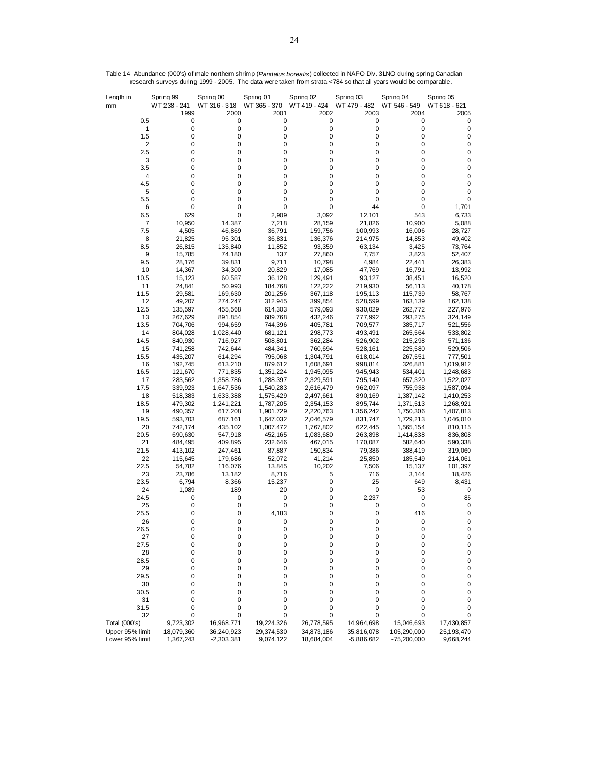| Length in                          | Spring 99               | Spring 00                  | Spring 01               | Spring 02                | Spring 03                  | Spring 04                    | Spring 05               |
|------------------------------------|-------------------------|----------------------------|-------------------------|--------------------------|----------------------------|------------------------------|-------------------------|
| mm                                 | WT 238 - 241<br>1999    | WT 316 - 318<br>2000       | WT 365 - 370<br>2001    | WT 419 - 424<br>2002     | WT 479 - 482<br>2003       | WT 546 - 549<br>2004         | WT 618 - 621<br>2005    |
| 0.5                                | 0                       | 0                          | 0                       | 0                        | 0                          | 0                            | 0                       |
| 1                                  | $\pmb{0}$               | 0                          | 0                       | $\mathbf 0$              | 0                          | 0                            | 0                       |
| 1.5                                | 0                       | 0                          | 0                       | 0                        | 0                          | 0                            | 0                       |
| $\overline{\mathbf{c}}$<br>2.5     | 0<br>0                  | 0<br>0                     | 0<br>0                  | 0<br>0                   | 0<br>0                     | 0<br>$\mathbf 0$             | 0<br>0                  |
| 3                                  | 0                       | 0                          | 0                       | 0                        | 0                          | $\mathbf 0$                  | 0                       |
| 3.5                                | 0                       | 0                          | 0                       | 0                        | 0                          | 0                            | 0                       |
| 4                                  | 0                       | 0                          | 0                       | 0                        | 0                          | $\mathbf 0$                  | 0                       |
| 4.5<br>5                           | 0<br>0                  | 0<br>0                     | 0<br>0                  | 0<br>0                   | 0<br>0                     | $\mathbf 0$<br>$\mathbf 0$   | 0<br>0                  |
| 5.5                                | 0                       | 0                          | 0                       | 0                        | 0                          | $\mathbf 0$                  | 0                       |
| 6                                  | 0                       | 0                          | 0                       | 0                        | 44                         | $\mathbf 0$                  | 1,701                   |
| 6.5                                | 629                     | 0                          | 2,909                   | 3,092                    | 12,101                     | 543                          | 6,733                   |
| 7<br>7.5                           | 10,950<br>4,505         | 14,387<br>46,869           | 7,218<br>36,791         | 28,159<br>159,756        | 21,826<br>100,993          | 10,900<br>16,006             | 5,088<br>28,727         |
| 8                                  | 21,825                  | 95,301                     | 36,831                  | 136,376                  | 214,975                    | 14,853                       | 49,402                  |
| 8.5                                | 26,815                  | 135,840                    | 11,852                  | 93,359                   | 63,134                     | 3,425                        | 73,764                  |
| 9                                  | 15,785                  | 74,180                     | 137                     | 27,860                   | 7,757                      | 3,823                        | 52,407                  |
| 9.5                                | 28,176                  | 39,831                     | 9,711                   | 10,798                   | 4,984                      | 22,441                       | 26,383                  |
| $10$<br>10.5                       | 14,367<br>15,123        | 34,300<br>60,587           | 20,829<br>36,128        | 17,085<br>129,491        | 47,769<br>93,127           | 16,791<br>38,451             | 13,992<br>16,520        |
| 11                                 | 24,841                  | 50,993                     | 184,768                 | 122,222                  | 219,930                    | 56,113                       | 40,178                  |
| 11.5                               | 29,581                  | 169,630                    | 201,256                 | 367,118                  | 195,113                    | 115,739                      | 58,767                  |
| 12                                 | 49,207                  | 274,247                    | 312,945                 | 399,854                  | 528,599                    | 163,139                      | 162,138                 |
| 12.5<br>13                         | 135,597<br>267,629      | 455,568<br>891,854         | 614,303<br>689,768      | 579,093<br>432,246       | 930,029<br>777,992         | 262,772<br>293,275           | 227,976<br>324,149      |
| 13.5                               | 704,706                 | 994,659                    | 744,396                 | 405,781                  | 709,577                    | 385,717                      | 521,556                 |
| 14                                 | 804,028                 | 1,028,440                  | 681,121                 | 298,773                  | 493,491                    | 265,564                      | 533,802                 |
| 14.5                               | 840,930                 | 716,927                    | 508,801                 | 362,284                  | 526,902                    | 215,298                      | 571,136                 |
| 15<br>15.5                         | 741,258<br>435,207      | 742,644<br>614,294         | 484,341<br>795,068      | 760,694<br>1,304,791     | 528,161<br>618,014         | 225,580<br>267,551           | 529,506<br>777,501      |
| 16                                 | 192,745                 | 613,210                    | 879,612                 | 1,608,691                | 998,814                    | 326,881                      | 1,019,912               |
| 16.5                               | 121,670                 | 771,835                    | 1,351,224               | 1,945,095                | 945,943                    | 534,401                      | 1,248,683               |
| 17                                 | 283,562                 | 1,358,786                  | 1,288,397               | 2,329,591                | 795,140                    | 657,320                      | 1,522,027               |
| 17.5<br>18                         | 339,923<br>518,383      | 1,647,536<br>1,633,388     | 1,540,283               | 2,616,479<br>2,497,661   | 962,097<br>890,169         | 755,938<br>1,387,142         | 1,587,094               |
| 18.5                               | 479,302                 | 1,241,221                  | 1,575,429<br>1,787,205  | 2,354,153                | 895,744                    | 1,371,513                    | 1,410,253<br>1,268,921  |
| 19                                 | 490,357                 | 617,208                    | 1,901,729               | 2,220,763                | 1,356,242                  | 1,750,306                    | 1,407,813               |
| 19.5                               | 593,703                 | 687,161                    | 1,647,032               | 2,046,579                | 831,747                    | 1,729,213                    | 1,046,010               |
| 20<br>20.5                         | 742,174<br>690,630      | 435,102<br>547,918         | 1,007,472<br>452,165    | 1,767,802<br>1,083,680   | 622,445<br>263,898         | 1,565,154<br>1,414,838       | 810,115<br>836,808      |
| 21                                 | 484,495                 | 409,895                    | 232,646                 | 467,015                  | 170,087                    | 582,640                      | 590,338                 |
| 21.5                               | 413,102                 | 247,461                    | 87,887                  | 150,834                  | 79,386                     | 388,419                      | 319,060                 |
| 22                                 | 115,645                 | 179,686                    | 52,072                  | 41,214                   | 25,850                     | 185,549                      | 214,061                 |
| 22.5                               | 54,782                  | 116,076                    | 13,845                  | 10,202                   | 7,506                      | 15,137                       | 101,397                 |
| 23<br>23.5                         | 23,786<br>6,794         | 13,182<br>8,366            | 8,716<br>15,237         | 5<br>0                   | 716<br>25                  | 3,144<br>649                 | 18,426<br>8,431         |
| 24                                 | 1,089                   | 189                        | 20                      | 0                        | 0                          | 53                           | 0                       |
| 24.5                               | 0                       | 0                          | 0                       | 0                        | 2,237                      | $\mathbf 0$                  | 85                      |
| 25                                 | 0<br>0                  | 0<br>0                     | 0                       | 0                        | 0<br>0                     | 0                            | 0                       |
| 25.5<br>26                         | 0                       | 0                          | 4,183<br>0              | 0<br>0                   | $\mathbf 0$                | 416<br>0                     | 0<br>$\mathbf 0$        |
| 26.5                               | 0                       | 0                          | 0                       | 0                        | 0                          | 0                            | 0                       |
| 27                                 | 0                       | 0                          | 0                       | 0                        | 0                          | 0                            | 0                       |
| 27.5                               | 0                       | 0                          | 0                       | 0                        | 0                          | 0                            | 0                       |
| 28<br>28.5                         | 0<br>0                  | 0<br>0                     | 0<br>0                  | 0<br>0                   | 0<br>0                     | 0<br>0                       | 0<br>$\pmb{0}$          |
| 29                                 | 0                       | 0                          | 0                       | 0                        | 0                          | 0                            | 0                       |
| 29.5                               | 0                       | 0                          | 0                       | 0                        | 0                          | 0                            | 0                       |
| 30                                 | 0                       | 0                          | 0                       | 0                        | 0                          | $\mathbf 0$                  | 0                       |
| 30.5<br>31                         | 0<br>0                  | 0<br>0                     | 0<br>0                  | 0<br>0                   | 0<br>0                     | 0<br>0                       | 0<br>0                  |
| 31.5                               | 0                       | 0                          | 0                       | 0                        | 0                          | 0                            | 0                       |
| 32                                 | 0                       | 0                          | 0                       | 0                        | 0                          | 0                            | 0                       |
| Total (000's)                      | 9,723,302               | 16,968,771                 | 19,224,326              | 26,778,595               | 14,964,698                 | 15,046,693                   | 17,430,857              |
| Upper 95% limit<br>Lower 95% limit | 18,079,360<br>1,367,243 | 36,240,923<br>$-2,303,381$ | 29,374,530<br>9,074,122 | 34,873,186<br>18,684,004 | 35,816,078<br>$-5,886,682$ | 105,290,000<br>$-75,200,000$ | 25,193,470<br>9,668,244 |

Table 14 Abundance (000's) of male northern shrimp (*Pandalus borealis*) collected in NAFO Div. 3LNO during spring Canadian research surveys during 1999 - 2005. The data were taken from strata <784 so that all years would be comparable.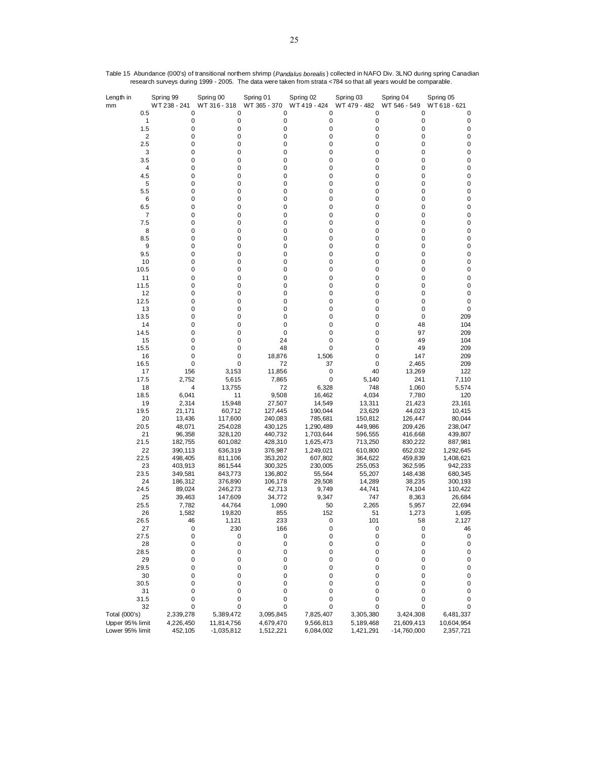| Length in<br>mm | Spring 99<br>WT 238 - 241 | Spring 00<br>WT 316 - 318 | Spring 01<br>WT 365 - 370 | Spring 02<br>WT419 - 424 | Spring 03<br>WT 479 - 482 | Spring 04<br>WT 546 - 549 | Spring 05<br>WT 618 - 621 |
|-----------------|---------------------------|---------------------------|---------------------------|--------------------------|---------------------------|---------------------------|---------------------------|
| 0.5             | 0                         | 0                         | 0                         | 0                        | 0                         | 0                         | 0                         |
| 1               | 0                         | 0                         | 0                         | 0                        | 0                         | 0                         | 0                         |
| 1.5             | 0                         | 0                         | 0                         | 0                        | 0                         | 0                         | $\pmb{0}$                 |
| $\overline{c}$  | 0                         | 0                         | 0                         | 0                        | 0                         | 0                         | $\pmb{0}$                 |
| 2.5             | 0                         | 0                         | 0                         | 0                        | 0                         | 0                         | $\pmb{0}$                 |
| 3<br>3.5        | 0<br>0                    | 0<br>0                    | 0<br>0                    | 0<br>0                   | 0<br>0                    | 0<br>0                    | $\pmb{0}$<br>$\pmb{0}$    |
| 4               | 0                         | 0                         | 0                         | 0                        | 0                         | 0                         | $\pmb{0}$                 |
| 4.5             | 0                         | 0                         | 0                         | 0                        | 0                         | 0                         | $\pmb{0}$                 |
| 5               | 0                         | 0                         | 0                         | 0                        | 0                         | 0                         | $\pmb{0}$                 |
| 5.5             | 0                         | 0                         | 0                         | 0                        | 0                         | 0                         | $\pmb{0}$                 |
| 6               | 0                         | 0                         | 0                         | 0                        | 0                         | 0                         | $\pmb{0}$                 |
| 6.5             | 0                         | 0                         | 0                         | 0                        | 0                         | 0                         | $\pmb{0}$                 |
| 7               | 0                         | 0                         | 0                         | 0                        | 0                         | 0                         | $\pmb{0}$                 |
| 7.5             | 0                         | 0                         | 0                         | 0                        | 0                         | 0                         | $\pmb{0}$                 |
| 8               | 0                         | 0                         | 0                         | 0                        | 0                         | 0                         | $\pmb{0}$                 |
| 8.5             | 0                         | 0                         | 0                         | 0                        | 0                         | 0                         | $\pmb{0}$                 |
| 9               | 0                         | 0                         | 0                         | 0                        | 0                         | 0                         | $\pmb{0}$                 |
| 9.5             | 0<br>0                    | 0<br>0                    | 0<br>0                    | 0<br>0                   | 0<br>0                    | 0<br>0                    | $\pmb{0}$<br>$\pmb{0}$    |
| 10<br>10.5      | 0                         | 0                         | 0                         | 0                        | 0                         | 0                         | $\pmb{0}$                 |
| 11              | 0                         | 0                         | 0                         | 0                        | 0                         | 0                         | $\pmb{0}$                 |
| 11.5            | 0                         | 0                         | 0                         | 0                        | 0                         | 0                         | 0                         |
| 12              | 0                         | 0                         | 0                         | 0                        | 0                         | 0                         | $\pmb{0}$                 |
| 12.5            | 0                         | 0                         | 0                         | 0                        | 0                         | 0                         | $\pmb{0}$                 |
| 13              | 0                         | 0                         | 0                         | 0                        | 0                         | 0                         | $\pmb{0}$                 |
| 13.5            | 0                         | 0                         | 0                         | 0                        | 0                         | 0                         | 209                       |
| 14              | 0                         | 0                         | 0                         | 0                        | 0                         | 48                        | 104                       |
| 14.5            | 0                         | 0                         | 0                         | 0                        | 0                         | 97                        | 209                       |
| 15              | 0                         | 0                         | 24                        | 0                        | 0                         | 49                        | 104                       |
| 15.5            | 0                         | 0                         | 48                        | 0                        | 0                         | 49                        | 209                       |
| 16              | 0                         | 0                         | 18,876                    | 1,506                    | 0                         | 147                       | 209                       |
| 16.5            | 0                         | 0                         | 72                        | 37                       | 0                         | 2,465                     | 209                       |
| 17              | 156                       | 3,153                     | 11,856                    | 0<br>0                   | 40                        | 13,269                    | 122                       |
| 17.5<br>18      | 2,752<br>4                | 5,615<br>13,755           | 7,865<br>72               | 6,328                    | 5,140<br>748              | 241<br>1,060              | 7,110<br>5,574            |
| 18.5            | 6,041                     | 11                        | 9,508                     | 16,462                   | 4,034                     | 7,780                     | 120                       |
| 19              | 2,314                     | 15,948                    | 27,507                    | 14,549                   | 13,311                    | 21,423                    | 23,161                    |
| 19.5            | 21,171                    | 60,712                    | 127,445                   | 190,044                  | 23,629                    | 44,023                    | 10,415                    |
| 20              | 13,436                    | 117,600                   | 240,083                   | 785,681                  | 150,812                   | 126,447                   | 80,044                    |
| 20.5            | 48,071                    | 254,028                   | 430,125                   | 1,290,489                | 449,986                   | 209,426                   | 238,047                   |
| 21              | 96,358                    | 328,120                   | 440,732                   | 1,703,644                | 596,555                   | 416,668                   | 439,807                   |
| 21.5            | 182,755                   | 601,082                   | 428,310                   | 1,625,473                | 713,250                   | 830,222                   | 887,981                   |
| 22              | 390,113                   | 636,319                   | 376,987                   | 1,249,021                | 610,800                   | 652,032                   | 1,292,645                 |
| 22.5            | 498,405                   | 811,106                   | 353,202                   | 607,802                  | 364,622                   | 459,839                   | 1,408,621                 |
| 23              | 403,913                   | 861,544                   | 300,325                   | 230,005                  | 255,053                   | 362,595                   | 942,233<br>680,345        |
| 23.5<br>24      | 349,581<br>186,312        | 843,773                   | 136,802<br>106,178        | 55,564<br>29,508         | 55,207<br>14,289          | 148,438<br>38,235         | 300,193                   |
| 24.5            | 89,024                    | 376,890<br>246,273        | 42,713                    | 9,749                    | 44,741                    | 74,104                    | 110,422                   |
| 25              | 39,463                    | 147,609                   | 34,772                    | 9,347                    | 747                       | 8,363                     | 26,684                    |
| 25.5            | 7,782                     | 44,764                    | 1,090                     | 50                       | 2,265                     | 5,957                     | 22,694                    |
| 26              | 1,582                     | 19,820                    | 855                       | 152                      | 51                        | 1,273                     | 1,695                     |
| 26.5            | 46                        | 1,121                     | 233                       | 0                        | 101                       | 58                        | 2,127                     |
| 27              | 0                         | 230                       | 166                       | 0                        | 0                         | 0                         | 46                        |
| 27.5            | 0                         | 0                         | 0                         | 0                        | 0                         | 0                         | 0                         |
| 28              | 0                         | 0                         | 0                         | 0                        | 0                         | 0                         | $\pmb{0}$                 |
| 28.5            | 0                         | 0                         | 0                         | 0                        | 0                         | 0                         | $\pmb{0}$                 |
| 29              | 0                         | 0                         | 0                         | 0                        | 0                         | 0                         | $\pmb{0}$                 |
| 29.5            | 0                         | 0                         | 0                         | 0                        | 0                         | 0                         | $\pmb{0}$                 |
| 30<br>30.5      | 0<br>0                    | 0<br>0                    | 0<br>0                    | 0<br>0                   | 0<br>0                    | 0<br>0                    | $\pmb{0}$<br>$\pmb{0}$    |
| 31              | 0                         | 0                         | 0                         | 0                        | 0                         | 0                         | $\pmb{0}$                 |
| 31.5            | 0                         | 0                         | 0                         | 0                        | 0                         | 0                         | 0                         |
| 32              | 0                         | 0                         | 0                         | 0                        | 0                         | 0                         | 0                         |
| Total (000's)   | 2,339,278                 | 5,389,472                 | 3,095,845                 | 7,825,407                | 3,305,380                 | 3,424,308                 | 6,481,337                 |
| Upper 95% limit | 4,226,450                 | 11,814,756                | 4,679,470                 | 9,566,813                | 5,189,468                 | 21,609,413                | 10,604,954                |
| Lower 95% limit | 452,105                   | $-1,035,812$              | 1,512,221                 | 6,084,002                | 1,421,291                 | $-14,760,000$             | 2,357,721                 |

Table 15 Abundance (000's) of transitional northern shrimp (*Pandalus borealis* ) collected in NAFO Div. 3LNO during spring Canadian research surveys during 1999 - 2005. The data were taken from strata <784 so that all years would be comparable.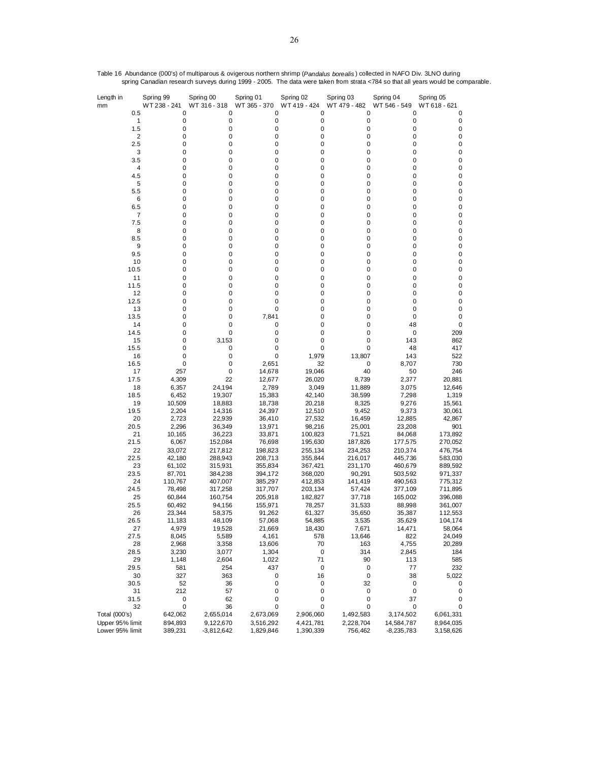| Length in<br>mm                  | Spring 99<br>WT 238 - 241 |                    | Spring 00<br>WT 316 - 318 | Spring 01<br>WT 365 - 370 | Spring 02<br>WT419 - 424 | Spring 03<br>WT 479 - 482 | Spring 04<br>WT 546 - 549  | Spring 05<br>WT 618 - 621 |
|----------------------------------|---------------------------|--------------------|---------------------------|---------------------------|--------------------------|---------------------------|----------------------------|---------------------------|
|                                  | 0.5                       | 0                  | 0                         | 0                         | 0                        | 0                         | 0                          | 0                         |
|                                  | 1<br>1.5                  | 0<br>0             | 0<br>0                    | 0<br>0                    | 0<br>0                   | 0<br>0                    | 0<br>0                     | 0<br>0                    |
|                                  | $\overline{\mathbf{c}}$   | 0                  | 0                         | 0                         | 0                        | 0                         | 0                          | 0                         |
|                                  | 2.5                       | 0                  | 0                         | 0                         | 0                        | 0                         | 0                          | 0                         |
|                                  | 3                         | 0                  | 0                         | 0                         | 0                        | 0                         | 0                          | 0                         |
|                                  | 3.5                       | 0                  | 0                         | 0                         | 0                        | 0                         | 0                          | 0                         |
|                                  | 4                         | 0                  | 0                         | 0                         | 0                        | 0                         | 0                          | 0                         |
|                                  | 4.5                       | 0                  | 0                         | 0                         | 0                        | 0                         | 0                          | 0                         |
|                                  | 5                         | 0                  | 0                         | 0                         | 0                        | 0                         | 0                          | 0                         |
|                                  | 5.5                       | 0                  | 0                         | 0                         | 0                        | 0                         | 0                          | 0                         |
|                                  | 6                         | 0                  | 0                         | 0                         | 0                        | 0                         | 0                          | 0                         |
|                                  | 6.5                       | 0                  | 0                         | 0                         | 0                        | 0                         | $\mathbf 0$                | 0                         |
|                                  | 7<br>7.5                  | 0<br>0             | 0<br>0                    | 0<br>0                    | 0<br>0                   | 0<br>0                    | 0<br>0                     | 0<br>0                    |
|                                  | 8                         | 0                  | 0                         | 0                         | 0                        | 0                         | 0                          | 0                         |
|                                  | 8.5                       | 0                  | 0                         | 0                         | 0                        | 0                         | 0                          | 0                         |
|                                  | 9                         | 0                  | 0                         | 0                         | 0                        | 0                         | 0                          | 0                         |
|                                  | 9.5                       | 0                  | 0                         | 0                         | 0                        | 0                         | 0                          | 0                         |
|                                  | 10                        | 0                  | 0                         | 0                         | 0                        | 0                         | 0                          | 0                         |
|                                  | 10.5                      | 0                  | 0                         | 0                         | 0                        | 0                         | 0                          | 0                         |
|                                  | 11                        | 0                  | 0                         | 0                         | 0                        | 0                         | 0                          | 0                         |
|                                  | 11.5                      | 0                  | 0                         | 0                         | 0                        | 0                         | 0                          | 0                         |
|                                  | 12                        | 0                  | 0                         | 0                         | 0                        | 0                         | 0                          | 0                         |
|                                  | 12.5                      | 0                  | 0                         | 0                         | 0                        | 0                         | 0                          | 0                         |
|                                  | 13                        | 0                  | 0<br>0                    | 0                         | 0                        | 0                         | 0                          | 0                         |
|                                  | 13.5<br>14                | 0<br>0             | 0                         | 7,841<br>0                | 0<br>0                   | 0<br>0                    | 0<br>48                    | 0<br>0                    |
|                                  | 14.5                      | 0                  | 0                         | 0                         | 0                        | 0                         | 0                          | 209                       |
|                                  | 15                        | 0                  | 3,153                     | 0                         | 0                        | 0                         | 143                        | 862                       |
|                                  | 15.5                      | 0                  | 0                         | 0                         | 0                        | 0                         | 48                         | 417                       |
|                                  | 16                        | 0                  | 0                         | 0                         | 1,979                    | 13,807                    | 143                        | 522                       |
|                                  | 16.5                      | 0                  | 0                         | 2,651                     | 32                       | 0                         | 8,707                      | 730                       |
|                                  | 17                        | 257                | 0                         | 14,678                    | 19,046                   | 40                        | 50                         | 246                       |
|                                  | 17.5                      | 4,309              | 22                        | 12,677                    | 26,020                   | 8,739                     | 2,377                      | 20,881                    |
|                                  | 18                        | 6,357              | 24,194                    | 2,789                     | 3,049                    | 11,889                    | 3,075                      | 12,646                    |
|                                  | 18.5                      | 6,452              | 19,307                    | 15,383                    | 42,140                   | 38,599                    | 7,298                      | 1,319                     |
|                                  | 19                        | 10,509             | 18,883                    | 18,738                    | 20,218                   | 8,325                     | 9,276                      | 15,561                    |
|                                  | 19.5<br>20                | 2,204              | 14,316                    | 24,397                    | 12,510                   | 9,452                     | 9,373                      | 30,061<br>42,867          |
|                                  | 20.5                      | 2,723<br>2,296     | 22,939<br>36,349          | 36,410<br>13,971          | 27,532<br>98,216         | 16,459<br>25,001          | 12,885<br>23,208           | 901                       |
|                                  | 21                        | 10,165             | 36,223                    | 33,871                    | 100,823                  | 71,521                    | 84,068                     | 173,892                   |
|                                  | 21.5                      | 6,067              | 152,084                   | 76,698                    | 195,630                  | 187,826                   | 177,575                    | 270,052                   |
|                                  | 22                        | 33,072             | 217,812                   | 198,823                   | 255,134                  | 234,253                   | 210,374                    | 476,754                   |
|                                  | 22.5                      | 42,180             | 288,943                   | 208,713                   | 355,844                  | 216,017                   | 445,736                    | 583,030                   |
|                                  | 23                        | 61,102             | 315,931                   | 355,834                   | 367,421                  | 231,170                   | 460,679                    | 889,592                   |
|                                  | 23.5                      | 87,701             | 384,238                   | 394,172                   | 368,020                  | 90,291                    | 503,592                    | 971,337                   |
|                                  | 24                        | 110,767            | 407,007                   | 385,297                   | 412,853                  | 141,419                   | 490,563                    | 775,312                   |
|                                  | 24.5                      | 78,498             | 317,258                   | 317,707                   | 203,134                  | 57,424                    | 377,109                    | 711,895                   |
|                                  | 25                        | 60,844             | 160,754                   | 205,918                   | 182,827                  | 37,718                    | 165,002                    | 396,088                   |
|                                  | 25.5                      | 60,492             | 94,156                    | 155,971                   | 78,257                   | 31,533                    | 88,998                     | 361,007                   |
|                                  | 26<br>26.5                | 23,344<br>11,183   | 58,375<br>48,109          | 91,262<br>57,068          | 61,327<br>54,885         | 35,650<br>3,535           | 35,387<br>35,629           | 112,553<br>104,174        |
|                                  | 27                        | 4,979              | 19,528                    | 21,669                    | 18,430                   | 7,671                     | 14,471                     | 58,064                    |
|                                  | 27.5                      | 8,045              | 5,589                     | 4,161                     | 578                      | 13,646                    | 822                        | 24,049                    |
|                                  | 28                        | 2,968              | 3,358                     | 13,606                    | 70                       | 163                       | 4,755                      | 20,289                    |
|                                  | 28.5                      | 3,230              | 3,077                     | 1,304                     | 0                        | 314                       | 2,845                      | 184                       |
|                                  | 29                        | 1,148              | 2,604                     | 1,022                     | 71                       | 90                        | 113                        | 585                       |
|                                  | 29.5                      | 581                | 254                       | 437                       | $\pmb{0}$                | 0                         | 77                         | 232                       |
|                                  | 30                        | 327                | 363                       | 0                         | 16                       | $\pmb{0}$                 | 38                         | 5,022                     |
|                                  | 30.5                      | 52                 | 36                        | 0                         | 0                        | 32                        | 0                          | 0                         |
|                                  | 31                        | 212                | 57                        | 0                         | 0                        | 0                         | 0                          | 0                         |
|                                  | 31.5                      | $\mathbf 0$        | 62                        | 0                         | $\mathbf 0$              | 0                         | 37                         | 0                         |
|                                  | 32                        | 0                  | 36                        | 0                         | 0                        | 0                         | 0                          | 0                         |
| Total (000's)<br>Upper 95% limit |                           | 642,062<br>894,893 | 2,655,014<br>9,122,670    | 2,673,069<br>3,516,292    | 2,906,060                | 1,492,583                 | 3,174,502                  | 6,061,331                 |
| Lower 95% limit                  |                           | 389,231            | $-3,812,642$              | 1,829,846                 | 4,421,781<br>1,390,339   | 2,228,704<br>756,462      | 14,584,787<br>$-8,235,783$ | 8,964,035<br>3,158,626    |

Table 16 Abundance (000's) of multiparous & ovigerous northern shrimp (*Pandalus borealis* ) collected in NAFO Div. 3LNO during spring Canadian research surveys during 1999 - 2005. The data were taken from strata <784 so that all years would be comparable.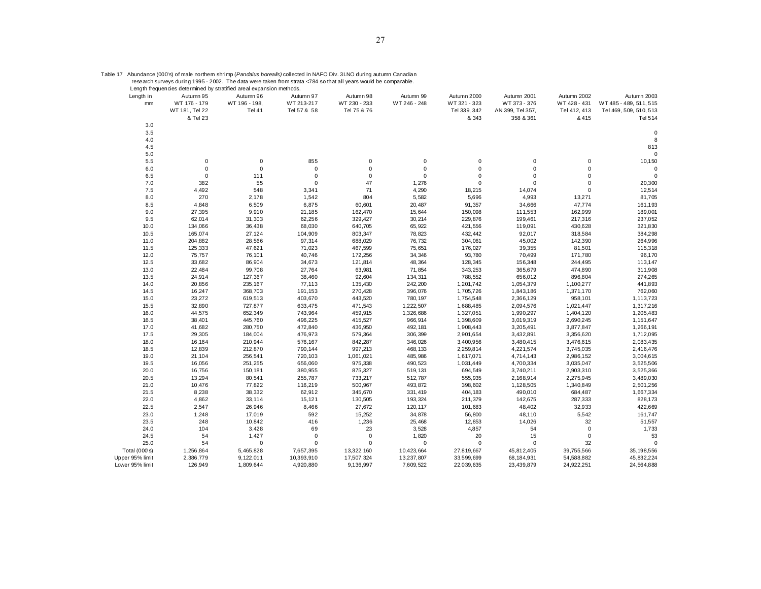|  |  | 「able 17 Abundance (000's) of male northem shrimp ( <i>Pandalus borealis)</i> collected in NAFO Div. 3LNO during autumn Canadiar |  |
|--|--|----------------------------------------------------------------------------------------------------------------------------------|--|
|  |  |                                                                                                                                  |  |

Table 17 Abundance (000's) of male northem shrimp (*Pandalus borealis)* collected in NAFO Div. 3LNO during autumn Canadian<br>research surveys during 1995 - 2002. The data were taken from strata <784 so that all years would b

| Length in<br>mm | Autumn 95<br>WT 176 - 179<br>WT 181, Tel 22<br>& Tel 23 | Autumn 96<br>WT 196 - 198,<br>Tel 41 | Autumn 97<br>WT 213-217<br>Tel 57 & 58 | Autumn 98<br>WT 230 - 233<br>Tel 75 & 76 | Autumn 99<br>WT 246 - 248 | Autumn 2000<br>WT 321 - 323<br>Tel 339, 342<br>& 343 | Autumn 2001<br>WT 373 - 376<br>AN 399, Tel 357,<br>358 & 361 | Autumn 2002<br>WT 428 - 431<br>Tel 412, 413<br>& 415 | Autumn 2003<br>WT 485 - 489, 511, 515<br>Tel 469, 509, 510, 513<br>Tel 514 |
|-----------------|---------------------------------------------------------|--------------------------------------|----------------------------------------|------------------------------------------|---------------------------|------------------------------------------------------|--------------------------------------------------------------|------------------------------------------------------|----------------------------------------------------------------------------|
| 3.0             |                                                         |                                      |                                        |                                          |                           |                                                      |                                                              |                                                      |                                                                            |
| 3.5             |                                                         |                                      |                                        |                                          |                           |                                                      |                                                              |                                                      | $\mathbf 0$                                                                |
| 4.0             |                                                         |                                      |                                        |                                          |                           |                                                      |                                                              |                                                      | 8                                                                          |
| 4.5             |                                                         |                                      |                                        |                                          |                           |                                                      |                                                              |                                                      | 813                                                                        |
| 5.0             |                                                         |                                      |                                        |                                          |                           |                                                      |                                                              |                                                      | $\Omega$                                                                   |
| 5.5             | $\mathbf 0$                                             | $\mathbf 0$                          | 855                                    | $\mathbf 0$                              | 0                         | 0                                                    | 0                                                            | 0                                                    | 10,150                                                                     |
| 6.0             | $\pmb{0}$                                               | $\mathbf 0$                          | $\pmb{0}$                              | $\mathsf 0$                              | $\pmb{0}$                 | 0                                                    | 0                                                            | 0                                                    | $\Omega$                                                                   |
| 6.5             | $\pmb{0}$                                               | 111                                  | $\pmb{0}$                              | $\mathbf 0$                              | $\pmb{0}$                 | $\mathbf 0$                                          | 0                                                            | 0                                                    | $\mathbf 0$                                                                |
| 7.0             | 382                                                     | 55                                   | $\pmb{0}$                              | 47                                       | 1,276                     | 0                                                    | 0                                                            | $\mathbf 0$                                          | 20,300                                                                     |
| 7.5             | 4,492                                                   | 548                                  | 3,341                                  | 71                                       | 4,290                     | 18,215                                               | 14,074                                                       | $\mathbf 0$                                          | 12,514                                                                     |
| 8.0             | 270                                                     | 2,178                                | 1,542                                  | 804                                      | 5,582                     | 5,696                                                | 4,993                                                        | 13,271                                               | 81,705                                                                     |
| 8.5             | 4,848                                                   | 6,509                                | 6,875                                  | 60,601                                   | 20,487                    | 91,357                                               | 34,666                                                       | 47,774                                               | 161,193                                                                    |
| 9.0             | 27,395                                                  | 9,910                                | 21,185                                 | 162,470                                  | 15,644                    | 150,098                                              | 111,553                                                      | 162,999                                              | 189,001                                                                    |
| 9.5             | 62,014                                                  | 31,303                               | 62,256                                 | 329,427                                  | 30,214                    | 229,876                                              | 199,461                                                      | 217,316                                              | 237,052                                                                    |
| 10.0            | 134,066                                                 | 36,438                               | 68,030                                 | 640,705                                  | 65,922                    | 421,556                                              | 119,091                                                      | 430,628                                              | 321,830                                                                    |
| 10.5            | 165,074                                                 | 27,124                               | 104,909                                | 803,347                                  | 78,823                    | 432,442                                              | 92,017                                                       | 318,584                                              | 384,298                                                                    |
| 11.0            | 204,882                                                 | 28,566                               | 97,314                                 | 688,029                                  | 76,732                    | 304,061                                              | 45,002                                                       | 142,390                                              | 264,996                                                                    |
| 11.5            | 125,333                                                 | 47,621                               | 71,023                                 | 467,599                                  | 75,651                    | 176,027                                              | 39,355                                                       | 81,501                                               | 115,318                                                                    |
| 12.0            | 75,757                                                  | 76,101                               | 40,746                                 | 172,256                                  | 34,346                    | 93,780                                               | 70,499                                                       | 171,780                                              | 96,170                                                                     |
| 12.5            | 33,682                                                  | 86,904                               | 34,673                                 | 121,814                                  | 48,364                    | 128,345                                              | 156,348                                                      | 244,495                                              | 113,147                                                                    |
| 13.0            | 22,484                                                  | 99,708                               | 27,764                                 | 63,981                                   | 71,854                    | 343,253                                              | 365,679                                                      | 474,890                                              | 311,908                                                                    |
| 13.5            | 24,914                                                  | 127,367                              | 38,460                                 | 92,604                                   | 134,311                   | 788,552                                              | 656,012                                                      | 896,804                                              | 274,265                                                                    |
| 14.0            | 20,856                                                  | 235,167                              | 77,113                                 | 135,430                                  | 242,200                   | 1,201,742                                            | 1,054,379                                                    | 1,100,277                                            | 441,893                                                                    |
| 14.5            | 16,247                                                  | 368,703                              | 191,153                                | 270,428                                  | 396,076                   | 1,705,726                                            | 1,843,186                                                    | 1,371,170                                            | 762,060                                                                    |
| 15.0            | 23,272                                                  | 619,513                              | 403,670                                | 443,520                                  | 780,197                   | 1,754,548                                            | 2,366,129                                                    | 958,101                                              | 1,113,723                                                                  |
| 15.5            | 32,890                                                  | 727,877                              | 633,475                                | 471,543                                  | 1,222,507                 | 1,688,485                                            | 2,094,576                                                    | 1,021,447                                            | 1,317,216                                                                  |
| 16.0            | 44,575                                                  | 652,349                              | 743,964                                | 459,915                                  | 1,326,686                 | 1,327,051                                            | 1,990,297                                                    | 1,404,120                                            | 1,205,483                                                                  |
| 16.5            | 38,401                                                  | 445,760                              | 496,225                                | 415,527                                  | 966,914                   | 1,398,609                                            | 3,019,319                                                    | 2,690,245                                            | 1,151,647                                                                  |
| 17.0            | 41,682                                                  | 280,750                              | 472,840                                | 436,950                                  | 492,181                   | 1,908,443                                            | 3,205,491                                                    | 3,877,847                                            | 1,266,191                                                                  |
| 17.5            | 29,305                                                  | 184,004                              | 476,973                                | 579,364                                  | 306,399                   | 2,901,654                                            | 3,432,891                                                    | 3,356,620                                            | 1,712,095                                                                  |
| 18.0            | 16,164                                                  | 210,944                              | 576,167                                | 842,287                                  | 346,026                   | 3,400,956                                            | 3,480,415                                                    | 3,476,615                                            | 2,083,435                                                                  |
| 18.5            | 12,839                                                  | 212,870                              | 790,144                                | 997,213                                  | 468,133                   | 2,259,814                                            | 4,221,574                                                    | 3,745,035                                            | 2,416,476                                                                  |
| 19.0            | 21,104                                                  | 256,541                              | 720,103                                | 1,061,021                                | 485,986                   | 1,617,071                                            | 4,714,143                                                    | 2,986,152                                            | 3,004,615                                                                  |
| 19.5            | 16,056                                                  | 251,255                              | 656,060                                | 975,338                                  | 490,523                   | 1,031,449                                            | 4,700,334                                                    | 3,035,047                                            | 3,525,506                                                                  |
| 20.0            | 16,756                                                  | 150,181                              | 380,955                                | 875,327                                  | 519,131                   | 694,549                                              | 3,740,211                                                    | 2,903,310                                            | 3,525,366                                                                  |
| 20.5            | 13,294                                                  | 80,541                               | 255,787                                | 733,217                                  | 512,787                   | 555,935                                              | 2,168,914                                                    | 2,275,945                                            | 3,489,030                                                                  |
| 21.0            | 10,476                                                  | 77,822                               | 116,219                                | 500,967                                  | 493,872                   | 398,602                                              | 1,128,505                                                    | 1,340,849                                            | 2,501,256                                                                  |
| 21.5            | 8,238                                                   | 38,332                               | 62,912                                 | 345,670                                  | 331,419                   | 404,183                                              | 490,010                                                      | 684,487                                              | 1,667,334                                                                  |
| 22.0            | 4,862                                                   | 33,114                               | 15,121                                 | 130,505                                  | 193,324                   | 211,379                                              | 142,675                                                      | 287,333                                              | 828,173                                                                    |
| 22.5            | 2,547                                                   | 26,946                               | 8,466                                  | 27,672                                   | 120,117                   | 101,683                                              | 48,402                                                       | 32,933                                               | 422,669                                                                    |
| 23.0            | 1,248                                                   | 17,019                               | 592                                    | 15,252                                   | 34,878                    | 56,800                                               | 48,110                                                       | 5,542                                                | 161,747                                                                    |
| 23.5            | 248                                                     | 10,842                               | 416                                    | 1,236                                    | 25,468                    | 12,853                                               | 14,026                                                       | 32                                                   | 51,557                                                                     |
| 24.0            | 104                                                     | 3,428                                | 69                                     | 23                                       | 3,528                     | 4,857                                                | 54                                                           | $\mathbf 0$                                          | 1,733                                                                      |
| 24.5            | 54                                                      | 1,427                                | $\pmb{0}$                              | $\Omega$                                 | 1,820                     | 20                                                   | 15                                                           | 0                                                    | 53                                                                         |
| 25.0            | 54                                                      | $\mathbf 0$                          | $\pmb{0}$                              | $\mathbf 0$                              | $\pmb{0}$                 | $\mathbf 0$                                          | $\pmb{0}$                                                    | 32                                                   | $\mathbf 0$                                                                |
| Total (000's)   | 1,256,864                                               | 5,465,828                            | 7,657,395                              | 13,322,160                               | 10,423,664                | 27,819,667                                           | 45,812,405                                                   | 39,755,566                                           | 35,198,556                                                                 |
| Upper 95% limit | 2,386,779                                               | 9, 122, 011                          | 10,393,910                             | 17,507,324                               | 13,237,807                | 33,599,699                                           | 68,184,931                                                   | 54,588,882                                           | 45,832,224                                                                 |
| Lower 95% limit | 126,949                                                 | 1,809,644                            | 4,920,880                              | 9,136,997                                | 7,609,522                 | 22,039,635                                           | 23,439,879                                                   | 24,922,251                                           | 24,564,888                                                                 |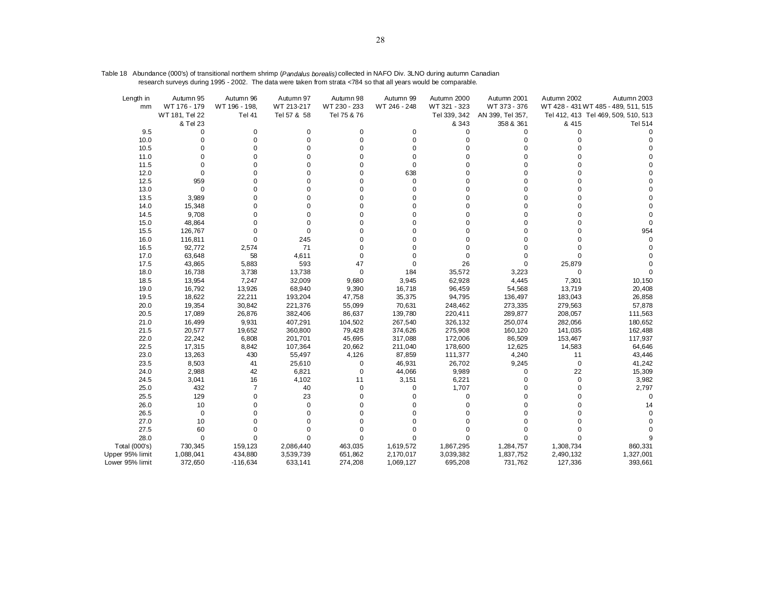| Length in<br>mm | Autumn 95<br>WT 176 - 179 | Autumn 96<br>WT 196 - 198, | Autumn 97<br>WT 213-217 | Autumn 98<br>WT 230 - 233 | Autumn 99<br>WT 246 - 248 | Autumn 2000<br>WT 321 - 323 | Autumn 2001<br>WT 373 - 376 | Autumn 2002 | Autumn 2003<br>WT 428 - 431 WT 485 - 489, 511, 515 |
|-----------------|---------------------------|----------------------------|-------------------------|---------------------------|---------------------------|-----------------------------|-----------------------------|-------------|----------------------------------------------------|
|                 | WT 181, Tel 22            | <b>Tel 41</b>              | Tel 57 & 58             | Tel 75 & 76               |                           | Tel 339, 342                | AN 399, Tel 357,            |             | Tel 412, 413 Tel 469, 509, 510, 513                |
|                 | & Tel 23                  |                            |                         |                           |                           | & 343                       | 358 & 361                   | & 415       | <b>Tel 514</b>                                     |
| 9.5             | 0                         | 0                          | 0                       | 0                         | 0                         | 0                           | 0                           | 0           | $\Omega$                                           |
| 10.0            | $\mathbf 0$               | $\Omega$                   | 0                       | 0                         | $\mathbf 0$               | 0                           | $\Omega$                    | U           |                                                    |
| 10.5            | $\mathbf 0$               | 0                          | $\Omega$                | 0                         | 0                         | 0                           | $\Omega$                    |             |                                                    |
| 11.0            | $\Omega$                  |                            | $\Omega$                |                           | $\mathbf 0$               |                             |                             |             |                                                    |
| 11.5            | 0                         |                            | $\Omega$                | U                         | $\mathbf 0$               | $\Omega$                    | $\Omega$                    |             |                                                    |
| 12.0            | $\mathbf 0$               |                            | $\mathbf 0$             | 0                         | 638                       | 0                           | $\Omega$                    |             |                                                    |
| 12.5            | 959                       |                            | $\Omega$                | 0                         | 0                         | $\Omega$                    | $\Omega$                    |             |                                                    |
| 13.0            | 0                         | 0                          | $\Omega$                | ŋ                         | 0                         | $\Omega$                    | $\Omega$                    |             |                                                    |
| 13.5            | 3,989                     | 0                          | 0                       | 0                         | 0                         | 0                           | $\Omega$                    |             |                                                    |
| 14.0            | 15,348                    |                            | $\Omega$                |                           | 0                         |                             | $\Omega$                    |             |                                                    |
| 14.5            | 9,708                     | 0                          | $\Omega$                | ŋ                         | 0                         | $\Omega$                    | $\Omega$                    |             |                                                    |
| 15.0            | 48,864                    |                            | $\Omega$                |                           | 0                         |                             | $\Omega$                    |             |                                                    |
| 15.5            | 126,767                   | $\Omega$                   | 0                       |                           | 0                         | $\Omega$                    | $\Omega$                    |             | 954                                                |
| 16.0            | 116,811                   | $\Omega$                   | 245                     |                           | 0                         | $\Omega$                    | $\Omega$                    |             |                                                    |
| 16.5            | 92,772                    | 2,574                      | 71                      | 0                         | 0                         | $\Omega$                    | $\Omega$                    |             |                                                    |
| 17.0            | 63,648                    | 58                         | 4,611                   | $\Omega$                  | 0                         | $\Omega$                    | $\Omega$                    | 0           |                                                    |
| 17.5            | 43,865                    | 5,883                      | 593                     | 47                        | 0                         | 26                          | $\mathbf 0$                 | 25,879      |                                                    |
| 18.0            | 16,738                    | 3,738                      | 13,738                  | 0                         | 184                       | 35,572                      | 3,223                       | $\mathbf 0$ |                                                    |
| 18.5            | 13,954                    | 7,247                      | 32,009                  | 9,680                     | 3,945                     | 62,928                      | 4,445                       | 7,301       | 10,150                                             |
| 19.0            | 16,792                    | 13,926                     | 68,940                  | 9,390                     | 16,718                    | 96,459                      | 54,568                      | 13,719      | 20,408                                             |
| 19.5            | 18,622                    | 22,211                     | 193,204                 | 47,758                    | 35,375                    | 94,795                      | 136,497                     | 183,043     | 26,858                                             |
| 20.0            | 19,354                    | 30,842                     | 221,376                 | 55,099                    | 70,631                    | 248,462                     | 273,335                     | 279,563     | 57,878                                             |
| 20.5            | 17,089                    | 26,876                     | 382,406                 | 86,637                    | 139,780                   | 220,411                     | 289,877                     | 208,057     | 111,563                                            |
| 21.0            | 16,499                    | 9,931                      | 407,291                 | 104,502                   | 267,540                   | 326,132                     | 250,074                     | 282,056     | 180,652                                            |
| 21.5            | 20,577                    | 19,652                     | 360,800                 | 79,428                    | 374,626                   | 275,908                     | 160,120                     | 141,035     | 162,488                                            |
| 22.0            | 22,242                    | 6,808                      | 201,701                 | 45,695                    | 317,088                   | 172,006                     | 86,509                      | 153,467     | 117,937                                            |
| 22.5            | 17,315                    | 8,842                      | 107,364                 | 20,662                    | 211,040                   | 178,600                     | 12,625                      | 14,583      | 64,646                                             |
| 23.0            | 13,263                    | 430                        | 55,497                  | 4,126                     | 87,859                    | 111,377                     | 4,240                       | 11          | 43,446                                             |
| 23.5            | 8,503                     | 41                         | 25,610                  | 0                         | 46,931                    | 26,702                      | 9,245                       | $\mathbf 0$ | 41,242                                             |
| 24.0            | 2,988                     | 42                         | 6,821                   | 0                         | 44,066                    | 9,989                       | 0                           | 22          | 15,309                                             |
| 24.5            | 3,041                     | 16                         | 4,102                   | 11                        | 3,151                     | 6,221                       | $\Omega$                    | 0           | 3,982                                              |
| 25.0            | 432                       | 7                          | 40                      | 0                         | 0                         | 1,707                       | $\Omega$                    | 0           | 2,797                                              |
| 25.5            | 129                       | 0                          | 23                      | O                         | 0                         | 0                           | $\Omega$                    |             | $\Omega$                                           |
| 26.0            | 10                        | 0                          | $\mathbf 0$             | O                         | 0                         | 0                           | $\Omega$                    |             | 14                                                 |
| 26.5            | $\mathbf 0$               |                            | $\Omega$                | ŋ                         | 0                         | O                           | $\Omega$                    |             |                                                    |
| 27.0            | 10                        |                            |                         |                           | 0                         |                             |                             |             |                                                    |
| 27.5            | 60                        | 0                          | $\Omega$                | $\Omega$                  | 0                         | 0                           | $\Omega$                    |             |                                                    |
| 28.0            | $\mathbf 0$               | $\Omega$                   | $\Omega$                | $\Omega$                  | 0                         | $\Omega$                    | 0                           |             |                                                    |
| Total (000's)   | 730,345                   | 159,123                    | 2,086,440               | 463,035                   | 1,619,572                 | 1,867,295                   | 1,284,757                   | 1,308,734   | 860,331                                            |
| Upper 95% limit | 1,088,041                 | 434,880                    | 3,539,739               | 651,862                   | 2,170,017                 | 3,039,382                   | 1,837,752                   | 2,490,132   | 1,327,001                                          |
| Lower 95% limit | 372,650                   | $-116,634$                 | 633,141                 | 274,208                   | 1,069,127                 | 695,208                     | 731,762                     | 127,336     | 393,661                                            |

Table 18 Abundance (000's) of transitional northern shrimp (*Pandalus borealis)* collected in NAFO Div. 3LNO during autumn Canadian research surveys during 1995 - 2002. The data were taken from strata <784 so that all years would be comparable.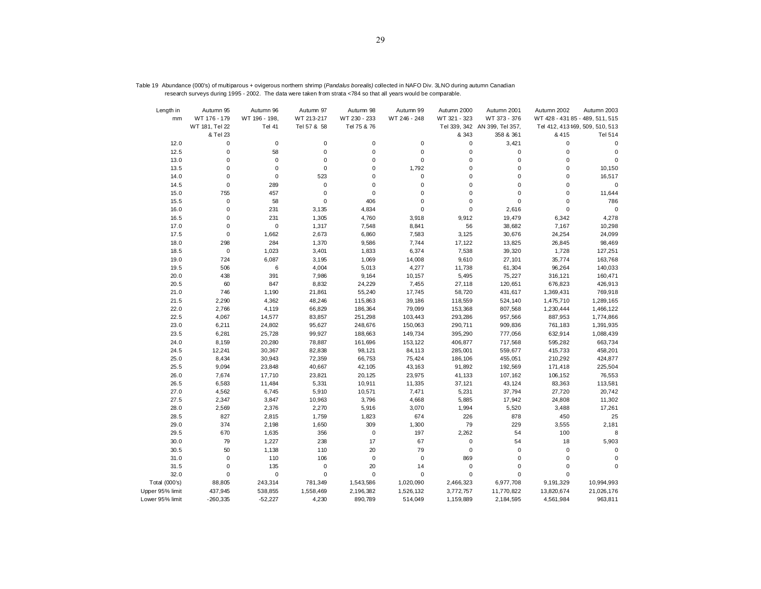| Length in       | Autumn 95      | Autumn 96     | Autumn 97   | Autumn 98    | Autumn 99    | Autumn 2000  | Autumn 2001                   | Autumn 2002                     | Autumn 2003                     |
|-----------------|----------------|---------------|-------------|--------------|--------------|--------------|-------------------------------|---------------------------------|---------------------------------|
| mm              | WT 176 - 179   | WT 196 - 198, | WT 213-217  | WT 230 - 233 | WT 246 - 248 | WT 321 - 323 | WT 373 - 376                  | WT 428 - 431 85 - 489, 511, 515 |                                 |
|                 | WT 181, Tel 22 | <b>Tel 41</b> | Tel 57 & 58 | Tel 75 & 76  |              |              | Tel 339, 342 AN 399, Tel 357, |                                 | Tel 412, 413 169, 509, 510, 513 |
|                 | & Tel 23       |               |             |              |              | & 343        | 358 & 361                     | & 415                           | <b>Tel 514</b>                  |
| 12.0            | 0              | $\mathbf 0$   | $\pmb{0}$   | 0            | 0            | 0            | 3,421                         | 0                               | $\mathbf 0$                     |
| 12.5            | $\mathbf 0$    | 58            | $\mathbf 0$ | 0            | 0            | $\pmb{0}$    | 0                             | 0                               | $\mathbf 0$                     |
| 13.0            | $\mathbf 0$    | $\mathbf 0$   | $\mathbf 0$ | 0            | $\mathbf 0$  | $\mathbf 0$  | $\mathbf 0$                   | $\mathbf 0$                     | $\mathbf 0$                     |
| 13.5            | $\mathbf 0$    | $\mathbf 0$   | $\mathbf 0$ | 0            | 1,792        | $\mathbf 0$  | 0                             | $\mathbf 0$                     | 10,150                          |
| 14.0            | $\mathbf 0$    | $\mathbf 0$   | 523         | 0            | $\mathbf 0$  | $\mathbf 0$  | $\mathbf 0$                   | $\mathbf 0$                     | 16,517                          |
| 14.5            | $\mathbf 0$    | 289           | $\pmb{0}$   | $\mathbf 0$  | $\mathbf 0$  | $\mathbf 0$  | $\mathbf 0$                   | 0                               | $\mathbf 0$                     |
| 15.0            | 755            | 457           | 0           | $\mathbf 0$  | $\mathbf 0$  | $\mathbf 0$  | $\mathbf 0$                   | $\mathbf 0$                     | 11,644                          |
| 15.5            | $\mathbf 0$    | 58            | $\pmb{0}$   | 406          | $\mathbf 0$  | $\mathbf 0$  | $\pmb{0}$                     | 0                               | 786                             |
| 16.0            | $\pmb{0}$      | 231           | 3,135       | 4,834        | $\mathbf 0$  | $\mathbf 0$  | 2,616                         | 0                               | $\pmb{0}$                       |
| 16.5            | 0              | 231           | 1,305       | 4,760        | 3,918        | 9,912        | 19,479                        | 6,342                           | 4,278                           |
| 17.0            | $\mathbf 0$    | $\mathbf 0$   | 1,317       | 7,548        | 8,841        | 56           | 38,682                        | 7,167                           | 10,298                          |
| 17.5            | $\mathbf 0$    | 1,662         | 2,673       | 6,860        | 7,583        | 3,125        |                               | 24,254                          | 24,099                          |
|                 |                | 284           |             |              |              |              | 30,676                        |                                 |                                 |
| 18.0            | 298            |               | 1,370       | 9,586        | 7,744        | 17,122       | 13,825                        | 26,845                          | 98,469                          |
| 18.5            | $\mathbf 0$    | 1,023         | 3,401       | 1,833        | 6,374        | 7,538        | 39,320                        | 1,728                           | 127,251                         |
| 19.0            | 724            | 6,087         | 3,195       | 1,069        | 14,008       | 9,610        | 27,101                        | 35,774                          | 163,768                         |
| 19.5            | 506            | 6             | 4,004       | 5,013        | 4,277        | 11,738       | 61,304                        | 96,264                          | 140,033                         |
| 20.0            | 438            | 391           | 7,986       | 9,164        | 10,157       | 5,495        | 75,227                        | 316,121                         | 160,471                         |
| 20.5            | 60             | 847           | 8,832       | 24,229       | 7,455        | 27,118       | 120,651                       | 676,823                         | 426,913                         |
| 21.0            | 746            | 1,190         | 21,861      | 55,240       | 17,745       | 58,720       | 431,617                       | 1,369,431                       | 769,918                         |
| 21.5            | 2,290          | 4,362         | 48,246      | 115,863      | 39,186       | 118,559      | 524,140                       | 1,475,710                       | 1,289,165                       |
| 22.0            | 2,766          | 4,119         | 66,829      | 186,364      | 79,099       | 153,368      | 807,568                       | 1,230,444                       | 1,466,122                       |
| 22.5            | 4,067          | 14,577        | 83,857      | 251,298      | 103,443      | 293,286      | 957,566                       | 887,953                         | 1,774,866                       |
| 23.0            | 6,211          | 24,802        | 95,627      | 248,676      | 150,063      | 290,711      | 909,836                       | 761,183                         | 1,391,935                       |
| 23.5            | 6,281          | 25,728        | 99,927      | 188,663      | 149,734      | 395,290      | 777,056                       | 632,914                         | 1,088,439                       |
| 24.0            | 8,159          | 20,280        | 78,887      | 161,696      | 153,122      | 406,877      | 717,568                       | 595,282                         | 663,734                         |
| 24.5            | 12,241         | 30,367        | 82,838      | 98,121       | 84,113       | 285,001      | 559,677                       | 415,733                         | 458,201                         |
| 25.0            | 8,434          | 30,943        | 72,359      | 66,753       | 75,424       | 186,106      | 455,051                       | 210,292                         | 424,877                         |
| 25.5            | 9,094          | 23,848        | 40,667      | 42,105       | 43,163       | 91,892       | 192,569                       | 171,418                         | 225,504                         |
| 26.0            | 7,674          | 17,710        | 23,821      | 20,125       | 23,975       | 41,133       | 107,162                       | 106,152                         | 76,553                          |
| 26.5            | 6,583          | 11,484        | 5,331       | 10,911       | 11,335       | 37,121       | 43,124                        | 83,363                          | 113,581                         |
| 27.0            | 4,562          | 6,745         | 5,910       | 10,571       | 7,471        | 5,231        | 37,794                        | 27,720                          | 20,742                          |
| 27.5            | 2,347          | 3,847         | 10,963      | 3,796        | 4,668        | 5,885        | 17,942                        | 24,808                          | 11,302                          |
|                 | 2,569          |               | 2,270       |              |              | 1,994        |                               |                                 |                                 |
| 28.0            |                | 2,376         |             | 5,916        | 3,070        |              | 5,520                         | 3,488                           | 17,261                          |
| 28.5            | 827            | 2,815         | 1,759       | 1,823        | 674          | 226          | 878                           | 450                             | 25                              |
| 29.0            | 374            | 2,198         | 1,650       | 309          | 1,300        | 79           | 229                           | 3,555                           | 2,181                           |
| 29.5            | 670            | 1,635         | 356         | 0            | 197          | 2,262        | 54                            | 100                             | 8                               |
| 30.0            | 79             | 1,227         | 238         | 17           | 67           | 0            | 54                            | 18                              | 5,903                           |
| 30.5            | 50             | 1,138         | 110         | 20           | 79           | $\pmb{0}$    | $\pmb{0}$                     | 0                               | $\mathbf 0$                     |
| 31.0            | $\mathbf 0$    | 110           | 106         | $\pmb{0}$    | $\mathbf 0$  | 869          | $\mathbf 0$                   | $\mathbf 0$                     | 0                               |
| 31.5            | $\pmb{0}$      | 135           | $\pmb{0}$   | 20           | 14           | $\mathbf 0$  | 0                             | 0                               | $\pmb{0}$                       |
| 32.0            | $\pmb{0}$      | $\pmb{0}$     | $\mathbf 0$ | $\mathbf 0$  | $\mathbf 0$  | $\pmb{0}$    | 0                             | 0                               |                                 |
| Total (000's)   | 88,805         | 243,314       | 781,349     | 1,543,586    | 1,020,090    | 2,466,323    | 6,977,708                     | 9,191,329                       | 10,994,993                      |
| Upper 95% limit | 437,945        | 538,855       | 1,558,469   | 2,196,382    | 1,526,132    | 3,772,757    | 11,770,822                    | 13,820,674                      | 21,026,176                      |
| Lower 95% limit | $-260,335$     | $-52,227$     | 4,230       | 890,789      | 514,049      | 1,159,889    | 2,184,595                     | 4,561,984                       | 963,811                         |

Table 19 Abundance (000's) of multiparous + ovigerous northern shrimp (*Pandalus borealis)* collected in NAFO Div. 3LNO during autumn Canadian research surveys during 1995 - 2002. The data were taken from strata <784 so that all years would be comparable.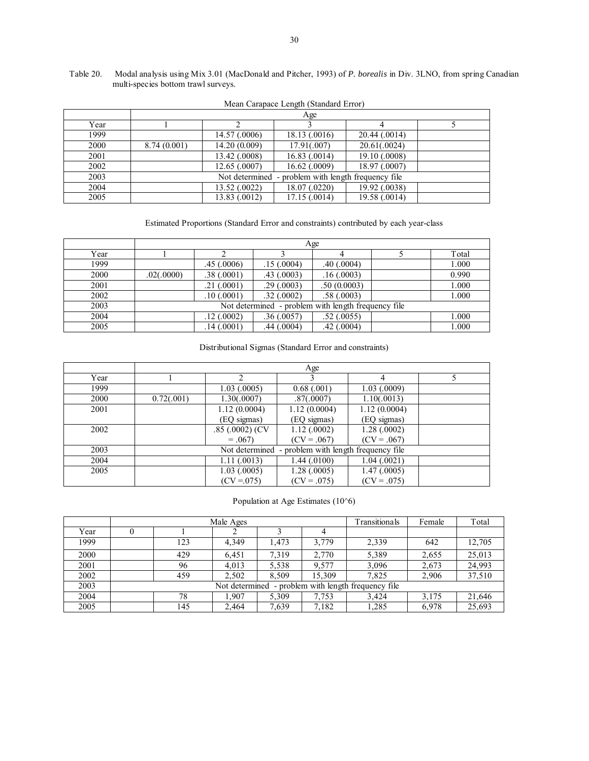#### Table 20. Modal analysis using Mix 3.01 (MacDonald and Pitcher, 1993) of *P. borealis* in Div. 3LNO, from spring Canadian multi-species bottom trawl surveys.

|      | Age         |                |                                      |               |  |  |  |  |  |
|------|-------------|----------------|--------------------------------------|---------------|--|--|--|--|--|
| Year |             |                |                                      |               |  |  |  |  |  |
| 1999 |             | 14.57 (.0006)  | 18.13 (.0016)                        | 20.44 (.0014) |  |  |  |  |  |
| 2000 | 8.74(0.001) | 14.20 (0.009)  | 17.91(.007)                          | 20.61(.0024)  |  |  |  |  |  |
| 2001 |             | 13.42 (.0008)  | 16.83(0.0014)                        | 19.10 (.0008) |  |  |  |  |  |
| 2002 |             | 12.65(.0007)   | $16.62$ $(.0009)$                    | 18.97 (.0007) |  |  |  |  |  |
| 2003 |             | Not determined | - problem with length frequency file |               |  |  |  |  |  |
| 2004 |             | 13.52 (.0022)  | 18.07 (.0220)                        | 19.92 (.0038) |  |  |  |  |  |
| 2005 |             | 13.83 (.0012)  | 17.15 (.0014)                        | 19.58 (.0014) |  |  |  |  |  |

|  | Mean Carapace Length (Standard Error) |  |
|--|---------------------------------------|--|
|  |                                       |  |

Estimated Proportions (Standard Error and constraints) contributed by each year-class

|      |            | Age              |            |                                                     |  |       |  |  |  |  |  |
|------|------------|------------------|------------|-----------------------------------------------------|--|-------|--|--|--|--|--|
| Year |            |                  |            |                                                     |  | Total |  |  |  |  |  |
| 1999 |            | .45(.0006)       | .15(.0004) | .40(0.0004)                                         |  | 1.000 |  |  |  |  |  |
| 2000 | .02(.0000) | .38(.0001)       | .43(.0003) | .16(.0003)                                          |  | 0.990 |  |  |  |  |  |
| 2001 |            | $.21 \; (.0001)$ | .29(.0003) | .50(0.0003)                                         |  | 1.000 |  |  |  |  |  |
| 2002 |            | .10(.0001)       | .32(.0002) | .58(.0003)                                          |  | 1.000 |  |  |  |  |  |
| 2003 |            |                  |            | Not determined - problem with length frequency file |  |       |  |  |  |  |  |
| 2004 |            | .12(.0002)       | .36(.0057) | .52(.0055)                                          |  | 1.000 |  |  |  |  |  |
| 2005 |            | .14(0001)        | .44(0004)  | $.42$ $(.0004)$                                     |  | 1.000 |  |  |  |  |  |

#### Distributional Sigmas (Standard Error and constraints)

|      | Age        |                 |                                                     |               |  |  |  |  |
|------|------------|-----------------|-----------------------------------------------------|---------------|--|--|--|--|
| Year |            |                 |                                                     | 4             |  |  |  |  |
| 1999 |            | 1.03(.0005)     | 0.68(0.001)                                         | 1.03(0.0009)  |  |  |  |  |
| 2000 | 0.72(.001) | 1.30(.0007)     | .87(.0007)                                          | 1.10(.0013)   |  |  |  |  |
| 2001 |            | 1.12(0.0004)    | 1.12(0.0004)                                        | 1.12(0.0004)  |  |  |  |  |
|      |            | (EQ sigmas)     | (EQ sigmas)                                         | (EQ sigmas)   |  |  |  |  |
| 2002 |            | .85 (.0002) (CV | 1.12(.0002)                                         | 1.28(.0002)   |  |  |  |  |
|      |            | $=.067$         | $(CV = .067)$                                       | $(CV = .067)$ |  |  |  |  |
| 2003 |            |                 | Not determined - problem with length frequency file |               |  |  |  |  |
| 2004 |            | 1.11(.0013)     | 1.44(0100)                                          | 1.04(0021)    |  |  |  |  |
| 2005 |            | 1.03(0.0005)    | 1.28 (.0005)                                        | 1.47(0.0005)  |  |  |  |  |
|      |            | $(CV = 075)$    | $(CV = .075)$                                       | $(CV = .075)$ |  |  |  |  |

Population at Age Estimates (10^6)

|      |                                                        |     | Male Ages |       | Transitionals | Female | Total |        |  |
|------|--------------------------------------------------------|-----|-----------|-------|---------------|--------|-------|--------|--|
| Year |                                                        |     |           |       |               |        |       |        |  |
| 1999 |                                                        | 123 | 4,349     | 1,473 | 3,779         | 2,339  | 642   | 12,705 |  |
| 2000 |                                                        | 429 | 6,451     | 7.319 | 2,770         | 5,389  | 2,655 | 25,013 |  |
| 2001 |                                                        | 96  | 4,013     | 5,538 | 9,577         | 3,096  | 2,673 | 24,993 |  |
| 2002 |                                                        | 459 | 2,502     | 8,509 | 15.309        | 7,825  | 2,906 | 37,510 |  |
| 2003 | - problem with length frequency file<br>Not determined |     |           |       |               |        |       |        |  |
| 2004 |                                                        | 78  | 1.907     | 5,309 | 7,753         | 3,424  | 3,175 | 21,646 |  |
| 2005 |                                                        | 145 | 2,464     | 7,639 | 7,182         | 1,285  | 6,978 | 25,693 |  |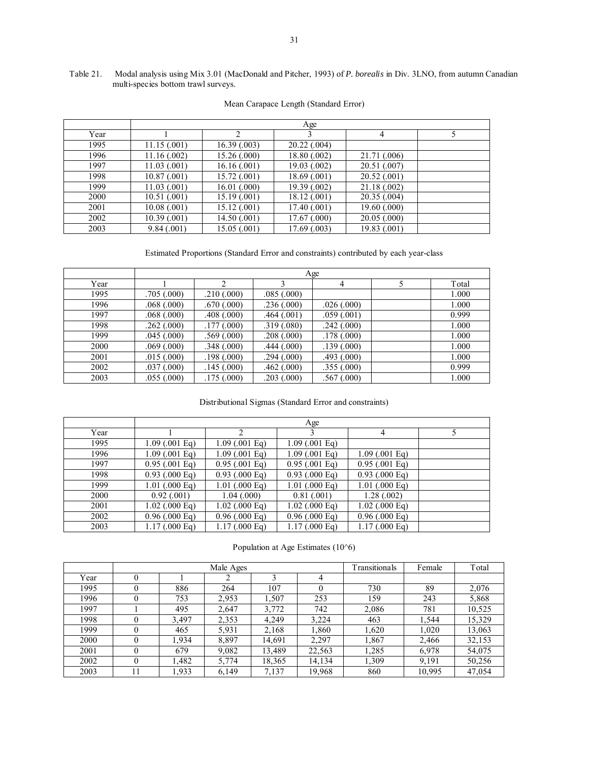#### Table 21. Modal analysis using Mix 3.01 (MacDonald and Pitcher, 1993) of *P. borealis* in Div. 3LNO, from autumn Canadian multi-species bottom trawl surveys.

|      | Age          |              |                  |              |  |  |  |  |  |
|------|--------------|--------------|------------------|--------------|--|--|--|--|--|
| Year |              | 2            |                  | 4            |  |  |  |  |  |
| 1995 | 11.15(.001)  | 16.39(0.003) | $20.22$ $(.004)$ |              |  |  |  |  |  |
| 1996 | 11.16(002)   | 15.26 (.000) | 18.80 (.002)     | 21.71 (.006) |  |  |  |  |  |
| 1997 | 11.03(001)   | 16.16(001)   | 19.03 (.002)     | 20.51 (.007) |  |  |  |  |  |
| 1998 | 10.87(0.001) | 15.72 (.001) | 18.69 (.001)     | 20.52(.001)  |  |  |  |  |  |
| 1999 | 11.03(001)   | 16.01(.000)  | 19.39 (.002)     | 21.18(.002)  |  |  |  |  |  |
| 2000 | 10.51(0.001) | 15.19 (.001) | 18.12 (.001)     | 20.35(.004)  |  |  |  |  |  |
| 2001 | 10.08(.001)  | 15.12 (.001) | 17.40 (.001)     | 19.60(0.000) |  |  |  |  |  |
| 2002 | 10.39(0.001) | 14.50 (.001) | 17.67 (.000)     | 20.05(.000)  |  |  |  |  |  |
| 2003 | 9.84(0.001)  | 15.05 (.001) | 17.69 (.003)     | 19.83 (.001) |  |  |  |  |  |

#### Mean Carapace Length (Standard Error)

Estimated Proportions (Standard Error and constraints) contributed by each year-class

|      |            | Age        |            |             |  |       |  |  |  |  |  |
|------|------------|------------|------------|-------------|--|-------|--|--|--|--|--|
| Year |            | າ          |            | 4           |  | Total |  |  |  |  |  |
| 1995 | .705(.000) | .210(.000) | .085(.000) |             |  | 1.000 |  |  |  |  |  |
| 1996 | .068(.000) | .670(.000) | .236(.000) | .026(.000)  |  | 1.000 |  |  |  |  |  |
| 1997 | .068(.000) | .408(.000) | .464(.001) | .059(.001)  |  | 0.999 |  |  |  |  |  |
| 1998 | .262(.000) | .177(000)  | .319(.080) | .242(.000)  |  | 1.000 |  |  |  |  |  |
| 1999 | .045(.000) | .569(.000) | .208(.000) | .178(.000)  |  | 1.000 |  |  |  |  |  |
| 2000 | .069(.000) | .348(.000) | .444(.000) | .139(.000)  |  | 1.000 |  |  |  |  |  |
| 2001 | .015(.000) | .198(.000) | .294(.000) | .493(.000)  |  | 1.000 |  |  |  |  |  |
| 2002 | .037(.000) | .145(.000) | .462(.000) | .355(.000)  |  | 0.999 |  |  |  |  |  |
| 2003 | .055(.000) | .175(.000) | .203(.000) | .567 (.000) |  | 1.000 |  |  |  |  |  |

#### Distributional Sigmas (Standard Error and constraints)

|      |                        | Age                    |                        |                        |  |  |  |  |  |  |
|------|------------------------|------------------------|------------------------|------------------------|--|--|--|--|--|--|
| Year |                        | ↑                      |                        | 4                      |  |  |  |  |  |  |
| 1995 | $1.09$ (.001 Eq)       | $1.09$ (.001 Eq)       | $1.09(.001)$ Eq        |                        |  |  |  |  |  |  |
| 1996 | $1.09(0.001)$ Eq)      | $1.09(0.001)$ Eq)      | $1.09(0.001)$ Eq)      | $1.09(0.001)$ Eq)      |  |  |  |  |  |  |
| 1997 | $0.95(.001)$ Eq)       | $0.95(.001)$ Eq)       | $0.95(.001)$ Eq)       | $0.95(.001)$ Eq        |  |  |  |  |  |  |
| 1998 | $0.93$ (.000 Eq)       | $0.93$ (.000 Eq)       | $0.93$ (.000 Eq)       | $0.93$ (.000 Eq)       |  |  |  |  |  |  |
| 1999 | $1.01$ (.000 Eq)       | $1.01$ (.000 Eq)       | $1.01$ (.000 Eq)       | $1.01$ (.000 Eq)       |  |  |  |  |  |  |
| 2000 | 0.92(0.001)            | 1.04(0.000)            | 0.81(0.001)            | 1.28(.002)             |  |  |  |  |  |  |
| 2001 | $1.02$ (.000 Eq)       | $1.02$ (.000 Eq)       | $1.02$ (.000 Eq)       | $1.02$ (.000 Eq)       |  |  |  |  |  |  |
| 2002 | $0.96$ (.000 Eq)       | $0.96$ (.000 Eq)       | $0.96$ (.000 Eq)       | $0.96$ (.000 Eq)       |  |  |  |  |  |  |
| 2003 | $1.17(000 \text{ Eq})$ | $1.17(000 \text{ Eq})$ | $1.17(000 \text{ Eq})$ | $1.17(000 \text{ Eq})$ |  |  |  |  |  |  |

Population at Age Estimates (10^6)

|      |          |       | Male Ages |        |        | Transitionals | Female | Total  |
|------|----------|-------|-----------|--------|--------|---------------|--------|--------|
| Year | 0        |       |           |        | 4      |               |        |        |
| 1995 |          | 886   | 264       | 107    |        | 730           | 89     | 2,076  |
| 1996 |          | 753   | 2,953     | .507   | 253    | 159           | 243    | 5,868  |
| 1997 |          | 495   | 2,647     | 3,772  | 742    | 2,086         | 781    | 10,525 |
| 1998 |          | 3,497 | 2,353     | 4,249  | 3,224  | 463           | 1,544  | 15,329 |
| 1999 |          | 465   | 5,931     | 2,168  | 1,860  | 1,620         | 1,020  | 13,063 |
| 2000 | 0        | 1.934 | 8,897     | 14,691 | 2.297  | 1.867         | 2,466  | 32,153 |
| 2001 |          | 679   | 9,082     | 13,489 | 22,563 | 1,285         | 6,978  | 54,075 |
| 2002 | $\theta$ | 1,482 | 5,774     | 18,365 | 14,134 | 1,309         | 9,191  | 50,256 |
| 2003 |          | 1,933 | 6,149     | 7,137  | 19,968 | 860           | 10,995 | 47,054 |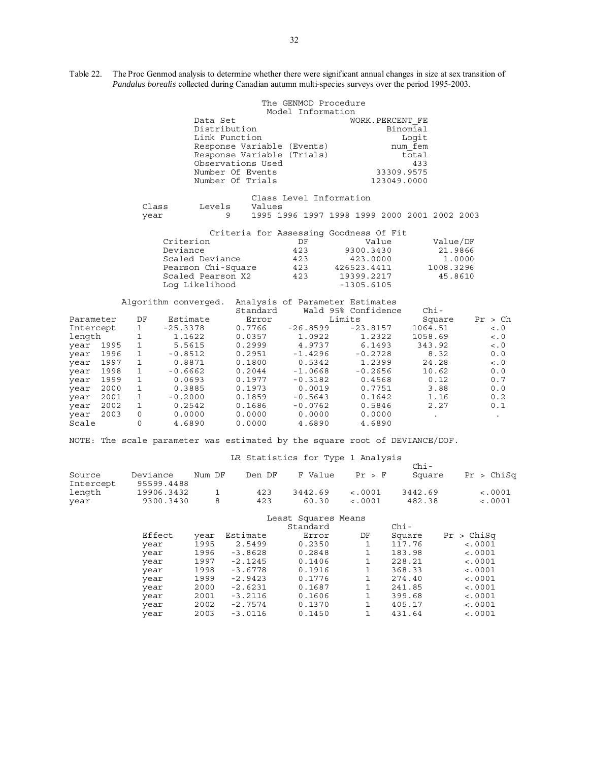Table 22. The Proc Genmod analysis to determine whether there were significant annual changes in size at sex transition of *Pandalus borealis* collected during Canadian autumn multi-species surveys over the period 1995-2003.

|                    |      | The GENMOD Procedure |                      |                            |                         |                                              |           |             |  |
|--------------------|------|----------------------|----------------------|----------------------------|-------------------------|----------------------------------------------|-----------|-------------|--|
|                    |      |                      |                      |                            | Model Information       |                                              |           |             |  |
|                    |      |                      | Data Set             |                            |                         | WORK. PERCENT FE                             |           |             |  |
|                    |      |                      | Distribution         |                            |                         | Binomial                                     |           |             |  |
|                    |      |                      | Link Function        |                            |                         | Logit                                        |           |             |  |
|                    |      |                      |                      | Response Variable (Events) |                         |                                              | num fem   |             |  |
|                    |      |                      |                      | Response Variable (Trials) |                         |                                              | total     |             |  |
|                    |      |                      |                      | Observations Used          |                         |                                              | 433       |             |  |
|                    |      |                      |                      | Number Of Events           |                         | 33309.9575                                   |           |             |  |
|                    |      |                      |                      | Number Of Trials           |                         | 123049.0000                                  |           |             |  |
|                    |      |                      |                      |                            | Class Level Information |                                              |           |             |  |
|                    |      | Class                | Levels               | Values                     |                         |                                              |           |             |  |
|                    |      | year                 | 9                    |                            |                         | 1995 1996 1997 1998 1999 2000 2001 2002 2003 |           |             |  |
|                    |      |                      |                      |                            |                         |                                              |           |             |  |
|                    |      |                      |                      |                            |                         | Criteria for Assessing Goodness Of Fit       |           |             |  |
| Criterion          |      |                      |                      |                            | DF                      | Value                                        | Value/DF  |             |  |
|                    |      |                      | Deviance             |                            | 423                     | 9300.3430                                    | 21.9866   |             |  |
| Scaled Deviance    |      |                      |                      |                            | 423                     | 423.0000                                     | 1,0000    |             |  |
| Pearson Chi-Square |      |                      |                      |                            | 423                     | 426523.4411                                  | 1008.3296 |             |  |
|                    |      |                      | Scaled Pearson X2    |                            | 423                     | 19399.2217                                   | 45.8610   |             |  |
|                    |      |                      | Log Likelihood       |                            |                         | $-1305.6105$                                 |           |             |  |
|                    |      |                      | Algorithm converged. |                            |                         | Analysis of Parameter Estimates              |           |             |  |
|                    |      |                      |                      | Standard                   |                         | Wald 95% Confidence                          | $Chi-$    |             |  |
| Parameter          |      | DF                   | Estimate             | Error                      |                         | Limits                                       | Square    | Pr > Ch     |  |
| Intercept          |      | $\mathbf{1}$         | $-25.3378$           | 0.7766                     | $-26.8599$              | $-23.8157$                                   | 1064.51   | $\lt$ . $0$ |  |
| length             |      | $\mathbf{1}$         | 1.1622               | 0.0357                     | 1.0922                  | 1.2322                                       | 1058.69   | < 0         |  |
| year 1995          |      | $\mathbf{1}$         | 5.5615               | 0.2999                     | 4.9737                  | 6.1493                                       | 343.92    | $\lt$ . $0$ |  |
| year 1996          |      | $\mathbf{1}$         | $-0.8512$            | 0.2951                     | $-1.4296$               | $-0.2728$                                    | 8.32      | 0.0         |  |
| year               | 1997 | $1\,$                | 0.8871               | 0.1800                     | 0.5342                  | 1.2399                                       | 24.28     | $\lt$ . $0$ |  |
| year               | 1998 | $\mathbf{1}$         | $-0.6662$            | 0.2044                     | $-1.0668$               | $-0.2656$                                    | 10.62     | 0.0         |  |
| year               | 1999 | $\mathbf{1}$         | 0.0693               | 0.1977                     | $-0.3182$               | 0.4568                                       | 0.12      | 0.7         |  |
| year               | 2000 | $\mathbf{1}$         | 0.3885               | 0.1973                     | 0.0019                  | 0.7751                                       | 3.88      | 0.0         |  |
| year               | 2001 | $\mathbf{1}$         | $-0.2000$            | 0.1859                     | $-0.5643$               | 0.1642                                       | 1.16      | 0.2         |  |
| year               | 2002 | $\mathbf{1}$         | 0.2542               | 0.1686                     | $-0.0762$               | 0.5846                                       | 2.27      | 0.1         |  |
| year               | 2003 | 0                    | 0.0000               | 0.0000                     | 0.0000                  | 0.0000                                       |           |             |  |
| Scale              |      | 0                    | 4.6890               | 0.0000                     | 4.6890                  | 4.6890                                       |           |             |  |

NOTE: The scale parameter was estimated by the square root of DEVIANCE/DOF.

### LR Statistics for Type 1 Analysis

| Source    | Deviance   | Num DF | Den DF | F Value | Pr > F           | $Chi -$<br>Square | Pr > Chisq  |
|-----------|------------|--------|--------|---------|------------------|-------------------|-------------|
| Intercept | 95599.4488 |        |        |         |                  |                   |             |
| length    | 19906.3432 |        | 423    | 3442.69 | $\lt$ .0001      | 3442.69           | $\lt$ .0001 |
| year      | 9300.3430  |        | 423    | 60.30   | $\epsilon$ .0001 | 482.38            | $\lt$ .0001 |

#### Least Squares Means

|                |           | Standard |    | $Chi-$ |             |
|----------------|-----------|----------|----|--------|-------------|
| Effect<br>year | Estimate  | Error    | DF | Square | Pr > Chisq  |
| 1995<br>year   | 2.5499    | 0.2350   |    | 117.76 | < .0001     |
| 1996<br>year   | $-3.8628$ | 0.2848   |    | 183.98 | $\lt$ .0001 |
| 1997<br>year   | $-2.1245$ | 0.1406   |    | 228.21 | < .0001     |
| 1998<br>year   | $-3.6778$ | 0.1916   |    | 368.33 | $\lt$ .0001 |
| 1999<br>year   | $-2.9423$ | 0.1776   |    | 274.40 | $\lt$ .0001 |
| 2000<br>year   | $-2.6231$ | 0.1687   |    | 241.85 | $\lt$ .0001 |
| 2001<br>year   | $-3.2116$ | 0.1606   |    | 399.68 | $\lt$ .0001 |
| 2002<br>year   | $-2.7574$ | 0.1370   |    | 405.17 | < .0001     |
| 2003<br>year   | $-3.0116$ | 0.1450   |    | 431.64 | < .0001     |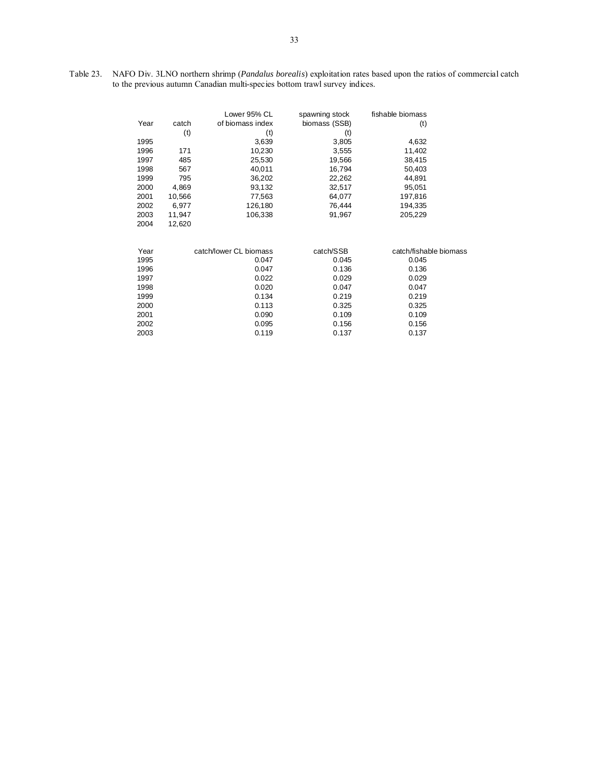Table 23. NAFO Div. 3LNO northern shrimp (*Pandalus borealis*) exploitation rates based upon the ratios of commercial catch to the previous autumn Canadian multi-species bottom trawl survey indices.

|      |        | Lower 95% CL           | spawning stock | fishable biomass       |
|------|--------|------------------------|----------------|------------------------|
| Year | catch  | of biomass index       | biomass (SSB)  | (t)                    |
|      | (t)    | (t)                    | (t)            |                        |
| 1995 |        | 3,639                  | 3,805          | 4,632                  |
| 1996 | 171    | 10,230                 | 3,555          | 11,402                 |
| 1997 | 485    | 25,530                 | 19,566         | 38,415                 |
| 1998 | 567    | 40,011                 | 16,794         | 50,403                 |
| 1999 | 795    | 36,202                 | 22,262         | 44,891                 |
| 2000 | 4,869  | 93,132                 | 32,517         | 95,051                 |
| 2001 | 10,566 | 77,563                 | 64,077         | 197,816                |
| 2002 | 6,977  | 126,180                | 76,444         | 194,335                |
| 2003 | 11,947 | 106,338                | 91,967         | 205,229                |
| 2004 | 12,620 |                        |                |                        |
| Year |        | catch/lower CL biomass | catch/SSB      | catch/fishable biomass |
| 1995 |        | 0.047                  | 0.045          | 0.045                  |
| 1996 |        | 0.047                  | 0.136          | 0.136                  |
| 1997 |        | 0.022                  | 0.029          | 0.029                  |
| 1998 |        | 0.020                  | 0.047          | 0.047                  |
| 1999 |        | 0.134                  | 0.219          | 0.219                  |
| 2000 |        | 0.113                  | 0.325          | 0.325                  |
| 2001 |        | 0.090                  | 0.109          | 0.109                  |
| 2002 |        | 0.095                  | 0.156          | 0.156                  |
| 2003 |        | 0.119                  | 0.137          | 0.137                  |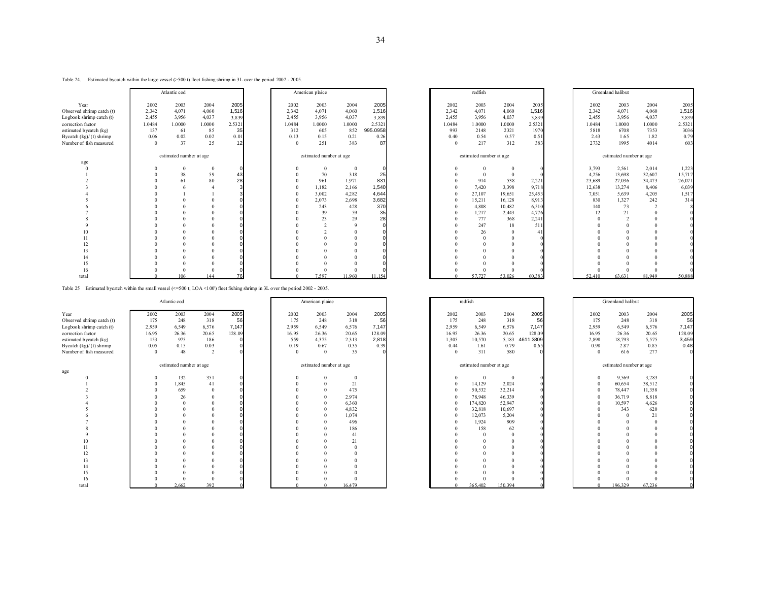#### Table 24. Estimated bycatch within the large vessel (>500 t) fleet fishing shrimp in 3L over the period 2002 - 2005.

|                           |          | Atlantic cod            |          |        |        | American plaice         |          |          |                | redfish                 |        |         |        | Greenland halibut       |        |        |
|---------------------------|----------|-------------------------|----------|--------|--------|-------------------------|----------|----------|----------------|-------------------------|--------|---------|--------|-------------------------|--------|--------|
| Year                      | 2002     | 2003                    | 2004     | 2005   | 2002   | 2003                    | 2004     | 2005     | 2002           | 2003                    | 2004   | 2005    | 2002   | 2003                    | 2004   | 2005   |
| Observed shrimp catch (t) | 2,342    | 4,071                   | 4,060    | 1,516  | 2,342  | 4,071                   | 4,060    | 1,516    | 2,342          | 4,071                   | 4,060  | 1,516   | 2,342  | 4,071                   | 4,060  | 1,516  |
| Logbook shrimp catch (t)  | 2,455    | 3,956                   | 4.037    | 3.839  | 2.455  | 3.956                   | 4.037    | 3.839    | 2,455          | 3,956                   | 4,037  | 3.839   | 2.455  | 3.956                   | 4,037  | 3.839  |
| correction factor         | 1.0484   | 1.0000                  | 1.0000   | 2.5321 | 1.0484 | 1.0000                  | 1.0000   | 2.5321   | 1.0484         | 1.0000                  | 1.0000 | 2.5321  | 1.0484 | 1.0000                  | 1.0000 | 2.5321 |
| estimated bycatch (kg)    | 137      | 61                      | 85       | 35     | 312    | 605                     | 852      | 995.0958 | 993            | 2148                    | 2321   | 1970    | 5818   | 6708                    | 7353   | 3036   |
| Bycatch $(kg)/(t)$ shrimp | 0.06     | 0.02                    | 0.02     | 0.01   | 0.13   | 0.15                    | 0.21     | 0.26     | 0.40           | 0.54                    | 0.57   | 0.51    | 2.43   | 1.65                    | 1.82   | 0.79   |
| Number of fish measured   | $\Omega$ | 37                      | 25       |        |        | 251                     | 383      | 87       | $\overline{0}$ | 217                     | 312    | 383     | 2732   | 1995                    | 4014   | 603    |
|                           |          | estimated number at age |          |        |        | estimated number at age |          |          |                | estimated number at age |        |         |        | estimated number at age |        |        |
| age                       |          |                         |          |        |        |                         |          |          |                |                         |        |         |        |                         |        |        |
|                           |          |                         | $\Omega$ |        |        |                         | $\bf{0}$ |          |                |                         |        |         | 3,793  | 2,561                   | 2,014  | 1,223  |
|                           |          | 38                      | 59       | 43     |        | 70                      | 318      | 25       |                |                         |        |         | 4,256  | 13,698                  | 32,607 | 15,717 |
|                           |          | 61                      | 80       | 28     |        | 961                     | 1,971    | 831      |                | 914                     | 538    | 2,22    | 23,689 | 27,036                  | 34,473 | 26,071 |
|                           |          |                         |          |        |        | 1,182                   | 2,166    | 1,540    |                | 7,420                   | 3,398  | 9,718   | 12,638 | 13,274                  | 8,406  | 6,039  |
|                           |          |                         |          |        |        | 3.002                   | 4,282    | 4,644    |                | 27,107                  | 19.651 | 25,453  | 7,051  | 5.639                   | 4,205  | 1,517  |
|                           |          |                         |          |        |        | 2,073                   | 2,698    | 3,682    |                | 15,211                  | 16,128 | 8,913   | 830    | 1,327                   | 242    | 314    |
|                           |          |                         |          |        |        | 243                     | 428      | 370      |                | 4,808                   | 10,482 | 6,510   | 140    | 73                      |        |        |
|                           |          |                         |          |        |        | 39                      | 59       | 35       |                | 1,217                   | 2,443  | 4,776   | 12     |                         |        |        |
|                           |          |                         |          |        |        | 23                      | 29       | 28       |                | 777                     | 368    | 2,241   |        |                         |        |        |
|                           |          |                         |          |        |        |                         |          |          |                | 247                     | 18     | 511     |        |                         |        |        |
|                           |          |                         |          |        |        |                         |          |          |                | 26                      |        |         |        |                         |        |        |
|                           |          |                         |          |        |        |                         |          |          |                |                         |        |         |        |                         |        |        |
|                           |          |                         |          |        |        |                         |          |          |                |                         |        |         |        |                         |        |        |
|                           |          |                         |          |        |        |                         |          |          |                |                         |        |         |        |                         |        |        |
|                           |          |                         |          |        |        |                         |          |          |                |                         |        |         |        |                         |        |        |
|                           |          |                         |          |        |        |                         |          |          |                |                         |        |         |        |                         |        |        |
| 16                        |          |                         |          |        |        |                         |          |          |                |                         |        |         |        |                         |        |        |
| total                     |          | 106                     | 144      |        |        | 7597                    | 11 960   | 11.154   |                | 57 727                  | 53 026 | 60 38 3 | 52.410 | 63.631                  | 81.949 | 50.888 |

Table 25 Estimated bycatch within the small vessel (<=500 t; LOA <100') fleet fishing shrimp in 3L over the period 2002 - 2005.

|                            |          | Atlantic cod            |        |        |       | American plaice         |        |        |            | redfish                 |          |               |          | Greenland halibut       |         |        |
|----------------------------|----------|-------------------------|--------|--------|-------|-------------------------|--------|--------|------------|-------------------------|----------|---------------|----------|-------------------------|---------|--------|
| Year                       | 2002     | 2003                    | 2004   | 2005   | 2002  | 2003<br>248             | 2004   | 2005   | 2002       | 2003                    | 2004     | 2005          | 2002     | 2003                    | 2004    | 2005   |
| Observed shrimp catch (t)  | 175      | 248                     | 318    | 56     | 175   |                         | 318    | 56     | 175        | 248                     | 318      | 56            | 175      | 248                     | 318     | 56     |
| Logbook shrimp catch $(t)$ | 2,959    | 6,549                   | 6,576  | 7,147  | 2,959 | 6,549                   | 6,576  | 7,147  | 2,959      | 6,549                   | 6,576    | 7,147         | 2,959    | 6,549                   | 6,576   | 7,147  |
| correction factor          | 16.95    | 26.36                   | 20.65  | 128.09 | 16.95 | 26.36                   | 20.65  | 128.09 | 16.95      | 26.36                   | 20.65    | 128.09        | 16.95    | 26.36                   | 20.65   | 128.09 |
| estimated bycatch (kg)     | 153      | 975                     | 186    |        | 559   | 4,375                   | 2.313  | 2,818  | 1,305      | 10,570                  | 5,183    | 1.3809<br>461 | 2,898    | 18,793                  | 5,575   | 3,459  |
| Bycatch $(kg)/(t)$ shrimp  | 0.05     | 0.15                    | 0.03   |        | 0.19  | 0.67                    | 0.35   | 0.39   | 0.44       | 1.61                    | 0.79     | 0.65          | 0.98     | 2.87                    | 0.85    | 0.48   |
| Number of fish measured    | $\Omega$ | 48                      | $\sim$ |        |       | $\Omega$                | 35     |        | $\Omega$   | 311                     | 580      |               | $\Omega$ | 616                     | 277     | O      |
|                            |          | estimated number at age |        |        |       | estimated number at age |        |        |            | estimated number at age |          |               |          | estimated number at age |         |        |
| age                        |          |                         |        |        |       |                         |        |        |            |                         |          |               |          |                         |         |        |
|                            |          | 132                     | 351    |        |       |                         |        |        | $^{\circ}$ | $\mathbf{0}$            | $\Omega$ |               |          | 9,569                   | 3,283   |        |
|                            |          | 1,845                   | 41     |        |       |                         | 21     |        | $\Omega$   | 14,129                  | 2,024    |               |          | 60,654                  | 38,512  |        |
|                            |          | 659                     |        |        |       |                         | 475    |        | $^{\circ}$ | 50,532                  | 32,214   |               |          | 78,447                  | 11,358  |        |
|                            |          | 26                      |        |        |       |                         | 2.974  |        |            | 78,948                  | 46,339   |               |          | 36,719                  | 8,818   |        |
|                            |          |                         |        |        |       |                         | 6.360  |        |            | 174,820                 | 52,947   |               |          | 10,597                  | 4,626   |        |
|                            |          |                         |        |        |       |                         | 4,832  |        |            | 32,818                  | 10,697   |               |          | 343                     | 620     |        |
|                            |          |                         |        |        |       |                         | 1,074  |        |            | 12,073                  | 5,204    |               |          |                         | 21      |        |
|                            |          |                         |        |        |       |                         | 496    |        | $\Omega$   | 1,924                   | 909      |               |          |                         |         |        |
|                            |          |                         |        |        |       |                         | 186    |        |            | 158                     | 62       |               |          |                         |         |        |
|                            |          |                         |        |        |       |                         | 41     |        |            | $\Omega$                |          |               |          |                         |         |        |
|                            |          |                         |        |        |       |                         | 21     |        |            |                         |          |               |          |                         |         |        |
|                            |          |                         |        |        |       |                         |        |        |            |                         |          |               |          |                         |         |        |
|                            |          |                         |        |        |       |                         |        |        |            |                         |          |               |          |                         |         |        |
|                            |          |                         |        |        |       |                         |        |        |            |                         |          |               |          |                         |         |        |
|                            |          |                         |        |        |       |                         |        |        |            |                         |          |               |          |                         |         |        |
| 15                         |          |                         |        |        |       |                         |        |        |            |                         |          |               |          |                         |         |        |
| 16                         |          |                         |        |        |       |                         |        |        |            |                         |          |               |          |                         |         |        |
| total                      |          | 2.662                   | 392    |        |       |                         | 16.479 |        |            | 365.402                 | 150 394  |               |          | 196329                  | 67 23 6 |        |

|                | redfish                 |              |          |
|----------------|-------------------------|--------------|----------|
| 2002           | 2003                    | 2004         | 2005     |
| 2.342          | 4.071                   | 4.060        | 1,516    |
| 2.455          | 3.956                   | 4,037        | 3.839    |
| 1.0484         | 1.0000                  | 1.0000       | 2.5321   |
| 993            | 2148                    | 2321         | 1970     |
| 0.40           | 0.54                    | 0.57         | 0.51     |
| $\mathbf{0}$   | 217                     | 312          | 383      |
|                |                         |              |          |
|                | estimated number at age |              |          |
| $\mathbf{0}$   | $\mathbf{0}$            | $\mathbf{0}$ |          |
| $\mathbf{0}$   | $\mathbf{0}$            | $\mathbf{0}$ | 0        |
| $\theta$       | 914                     | 538          | 2,221    |
| $\mathbf{0}$   | 7,420                   | 3,398        | 9,718    |
| $\mathbf{0}$   | 27.107                  | 19.651       | 25,453   |
| $\mathbf{0}$   | 15,211                  | 16,128       | 8,913    |
| $\mathbf{0}$   | 4,808                   | 10,482       | 6,510    |
| $\mathbf{0}$   | 1.217                   | 2.443        | 4,776    |
| $\mathbf{0}$   | 777                     | 368          | 2,241    |
| $\theta$       | 247                     | 18           | 511      |
| $\theta$       | 26                      | $\mathbf{0}$ | 41       |
| $\mathbf{0}$   | $\mathbf{0}$            | $\mathbf{0}$ | $\bf{0}$ |
| $\mathbf{0}$   | $\mathbf{0}$            | $\mathbf{0}$ | 0        |
| $\theta$       | $\mathbf{0}$            | $\theta$     | 0        |
| $\theta$       | $\theta$                | $\theta$     | $\bf{0}$ |
| $\mathbf{0}$   | $\mathbf{0}$            | $\mathbf{0}$ | 0        |
| $\overline{0}$ | $\mathbf{0}$            | $\mathbf{0}$ |          |
| $\theta$       | 57.727                  | 53.026       | 60.383   |

|              | Greenland halibut       |                |          |
|--------------|-------------------------|----------------|----------|
| 2002         | 2003                    | 2004           | 2005     |
| 2,342        | 4.071                   | 4.060          | 1,516    |
| 2.455        | 3.956                   | 4.037          | 3.839    |
| 1.0484       | 1.0000                  | 1.0000         | 2.5321   |
| 5818         | 6708                    | 7353           | 3036     |
| 2.43         | 1.65                    | 1.82           | 0.79     |
| 2732         | 1995                    | 4014           | 603      |
|              |                         |                |          |
|              | estimated number at age |                |          |
| 3,793        | 2.561                   | 2.014          | 1,223    |
| 4,256        | 13,698                  | 32,607         | 15,717   |
| 23.689       | 27.036                  | 34.473         | 26,071   |
| 12,638       | 13,274                  | 8,406          | 6,039    |
| 7,051        | 5.639                   | 4.205          | 1.517    |
| 830          | 1,327                   | 242            | 314      |
| 140          | 73                      | $\overline{2}$ | 8        |
| 12           | 21                      | $\mathbf{0}$   |          |
| $\mathbf{0}$ | $\overline{c}$          | $\theta$       | 0        |
| $\theta$     | $\mathbf{0}$            | $\theta$       | 0        |
| $\mathbf{0}$ | $\mathbf{0}$            | $\mathbf{0}$   | $\bf{0}$ |
| $\theta$     | $\theta$                | $\theta$       | $\bf{0}$ |
| $\mathbf{0}$ | $\theta$                | $\mathbf{0}$   | 0        |
| $\theta$     | $\theta$                | $\theta$       | 0        |
| $\mathbf{0}$ | $\mathbf{0}$            | $\mathbf{0}$   |          |
| $\theta$     | $\theta$                | $\theta$       |          |
| $\theta$     | $\theta$                | $\theta$       |          |
| 52.410       | 63.631                  | 81.949         | 50.888   |

|                | redfish                 |              |                  |
|----------------|-------------------------|--------------|------------------|
| 2002           | 2003                    | 2004         | 2005             |
| 175            | 248                     | 318          | 56               |
| 2.959          | 6,549                   | 6,576        | 7,147            |
| 16.95          | 26.36                   | 20.65        | 128.09           |
| 1,305          | 10,570                  | 5,183        | 4611.3809        |
| 0.44           | 1.61                    | 0.79         | 0.65             |
| $\mathbf{0}$   | 311                     | 580          | U                |
|                |                         |              |                  |
|                | estimated number at age |              |                  |
| $\mathbf{0}$   | $\mathbf{0}$            | $\mathbf{0}$ |                  |
| $\mathbf{0}$   | 14,129                  | 2,024        |                  |
| $\mathbf{0}$   | 50,532                  | 32,214       |                  |
| $\mathbf{0}$   | 78.948                  | 46,339       | $\boldsymbol{0}$ |
| $\bf{0}$       | 174.820                 | 52.947       |                  |
| $\mathbf{0}$   | 32,818                  | 10,697       |                  |
| $\bf{0}$       | 12,073                  | 5,204        | $\boldsymbol{0}$ |
| $\mathbf{0}$   | 1,924                   | 909          | $\boldsymbol{0}$ |
| $\mathbf{0}$   | 158                     | 62           | $\boldsymbol{0}$ |
| $\mathbf{0}$   | $\mathbf{0}$            | $\mathbf{0}$ | $\boldsymbol{0}$ |
| $\mathbf{0}$   | $\mathbf{0}$            | $\mathbf{0}$ | $\boldsymbol{0}$ |
| $\mathbf{0}$   | $\mathbf{0}$            | $\theta$     | $\bf{0}$         |
| $\mathbf{0}$   | $\mathbf{0}$            | $\mathbf{0}$ | $\bf{0}$         |
| $\mathbf{0}$   | $\mathbf{0}$            | $\mathbf{0}$ |                  |
| $\overline{0}$ | $\mathbf{0}$            | $\mathbf{0}$ |                  |
| $\mathbf{0}$   | $\mathbf{0}$            | $\mathbf{0}$ |                  |
| $\overline{0}$ | $\theta$                | $\mathbf{0}$ |                  |
| $\theta$       | 365.402                 | 150.394      | $\alpha$         |

|                | Greenland halibut       |                |                     |
|----------------|-------------------------|----------------|---------------------|
| 2002           | 2003                    | 2004           | 2005                |
| 175            | 248                     | 318            | 56                  |
| 2,959          | 6.549                   | 6,576          | 7,147               |
| 16.95          | 26.36                   | 20.65          | 128.09              |
| 2,898          | 18,793                  | 5,575          | 3,459               |
| 0.98           | 2.87                    | 0.85           | 0.48                |
| $\mathbf{0}$   | 616                     | 277            | 0                   |
|                | estimated number at age |                |                     |
| $\bf{0}$       | 9,569                   | 3,283          |                     |
| $\bf{0}$       | 60,654                  | 38,512         | 0                   |
| $\bf{0}$       | 78,447                  | 11,358         |                     |
| $\mathbf{0}$   | 36,719                  | 8,818          |                     |
| $\bf{0}$       | 10,597                  | 4.626          |                     |
| $\mathbf{0}$   | 343                     | 620            |                     |
| $\bf{0}$       | $\theta$                | 21             |                     |
| $\bf{0}$       | $\mathbf{0}$            | $\mathbf{0}$   |                     |
| $\bf{0}$       | $\mathbf{0}$            | $\mathbf{0}$   |                     |
| $\mathbf{0}$   | $\mathbf{0}$            | $\mathbf{0}$   | 00000               |
| $\bf{0}$       | $\mathbf{0}$            | $\mathbf{0}$   |                     |
| $\mathbf{0}$   | $\mathbf{0}$            | $\mathbf{0}$   |                     |
| $\mathbf{0}$   | $\mathbf{0}$            | $\mathbf{0}$   |                     |
| $\mathbf{0}$   | $\mathbf{0}$            | $\mathbf{0}$   | 0<br>0              |
| $\mathbf{0}$   | $\mathbf{0}$            | $\mathbf{0}$   |                     |
| $\mathbf{0}$   | $\mathbf{0}$            | $\mathbf{0}$   | 0                   |
| $\overline{0}$ | $\overline{0}$          | $\overline{0}$ | 0<br>$\overline{a}$ |
| Λ              | 106.220                 | 67226          |                     |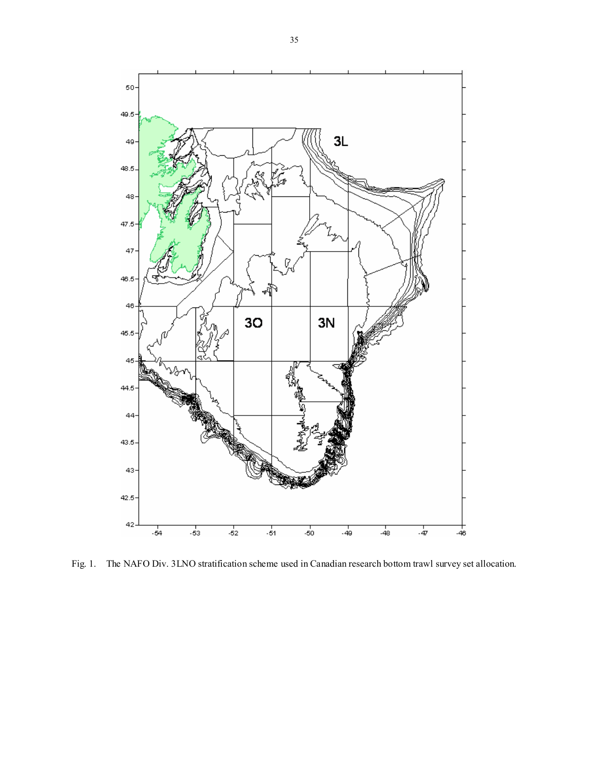

Fig. 1. The NAFO Div. 3LNO stratification scheme used in Canadian research bottom trawl survey set allocation.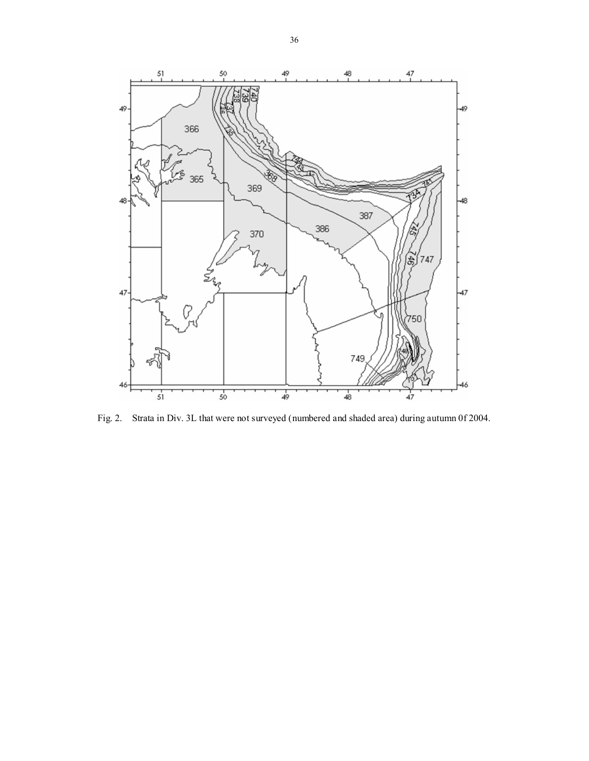

Fig. 2. Strata in Div. 3L that were not surveyed (numbered and shaded area) during autumn 0f 2004.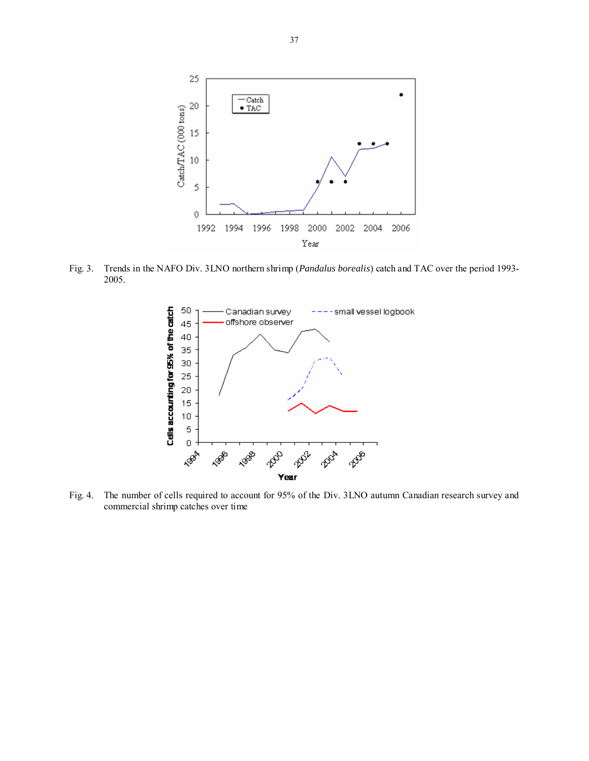

Fig. 3. Trends in the NAFO Div. 3LNO northern shrimp (*Pandalus borealis*) catch and TAC over the period 1993- 2005.



Fig. 4. The number of cells required to account for 95% of the Div. 3LNO autumn Canadian research survey and commercial shrimp catches over time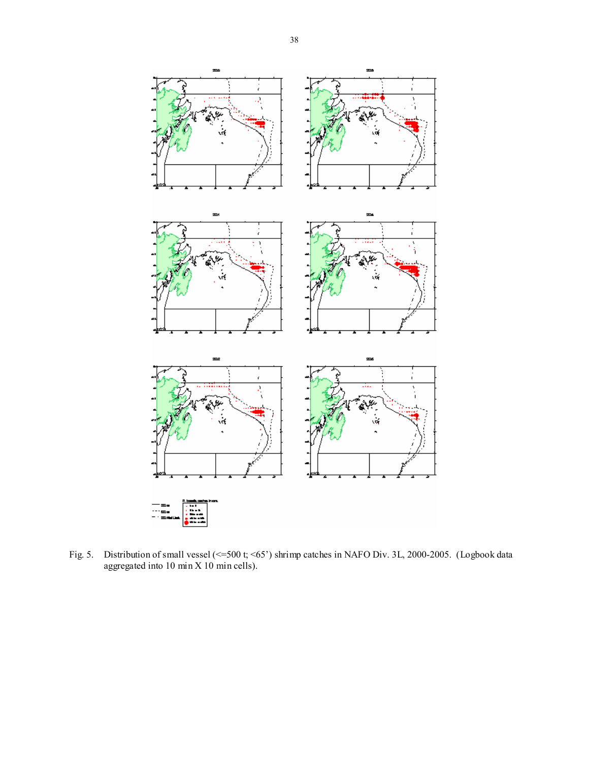

Fig. 5. Distribution of small vessel (<=500 t; <65') shrimp catches in NAFO Div. 3L, 2000-2005. (Logbook data aggregated into 10 min X 10 min cells).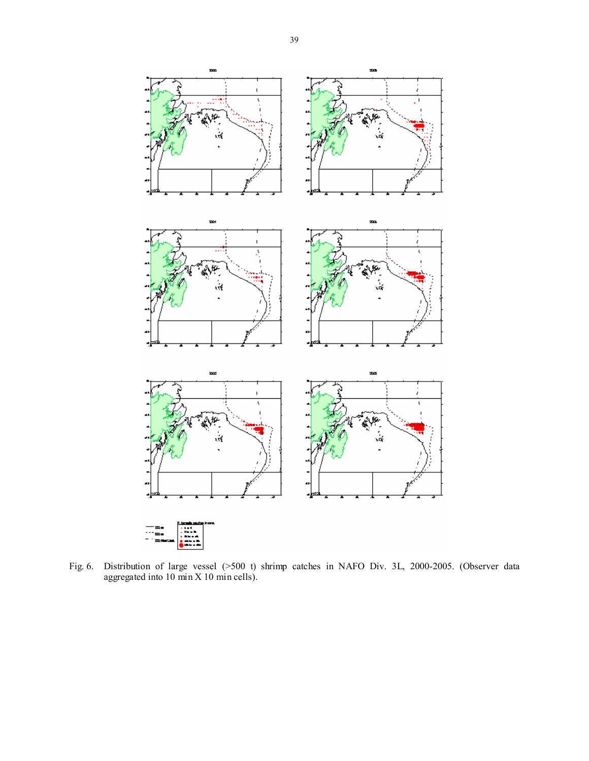

Fig. 6. Distribution of large vessel (>500 t) shrimp catches in NAFO Div. 3L, 2000-2005. (Observer data aggregated into 10 min X 10 min cells).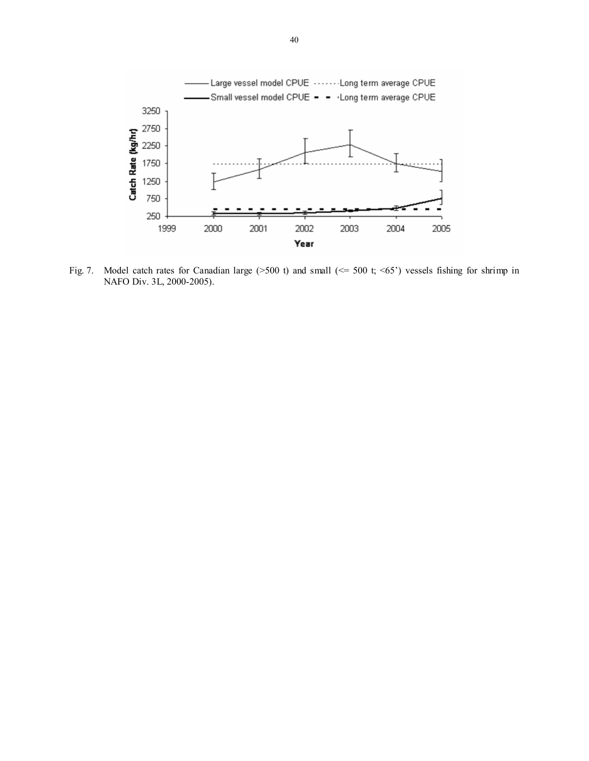

Fig. 7. Model catch rates for Canadian large (>500 t) and small (<= 500 t; <65') vessels fishing for shrimp in NAFO Div. 3L, 2000-2005).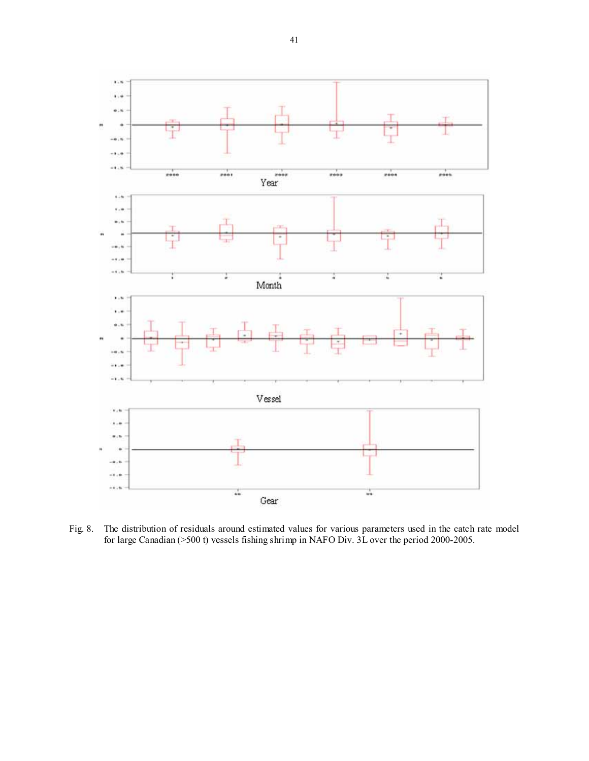

Fig. 8. The distribution of residuals around estimated values for various parameters used in the catch rate model for large Canadian (>500 t) vessels fishing shrimp in NAFO Div. 3L over the period 2000-2005.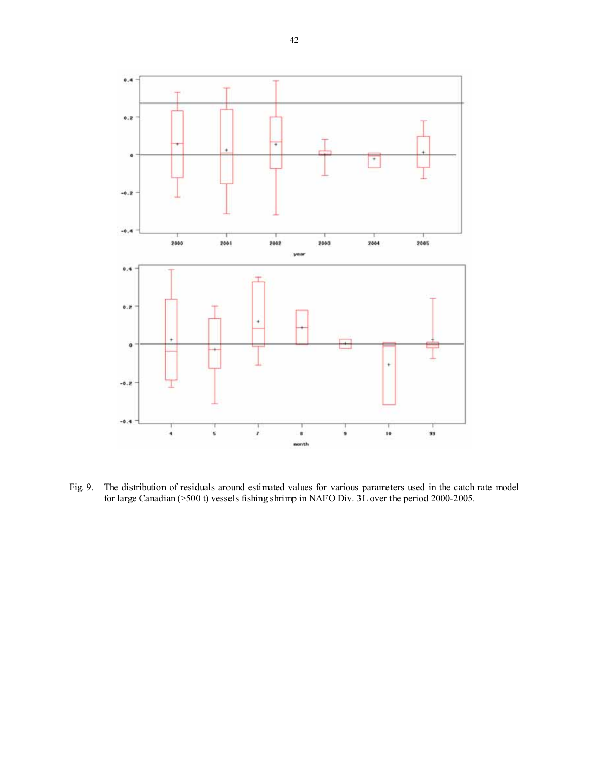

Fig. 9. The distribution of residuals around estimated values for various parameters used in the catch rate model for large Canadian (>500 t) vessels fishing shrimp in NAFO Div. 3L over the period 2000-2005.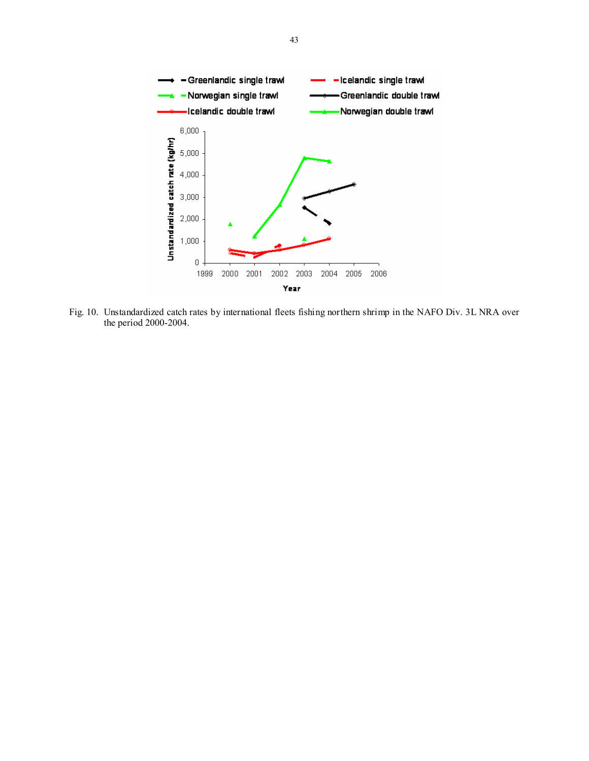

Fig. 10. Unstandardized catch rates by international fleets fishing northern shrimp in the NAFO Div. 3L NRA over the period 2000-2004.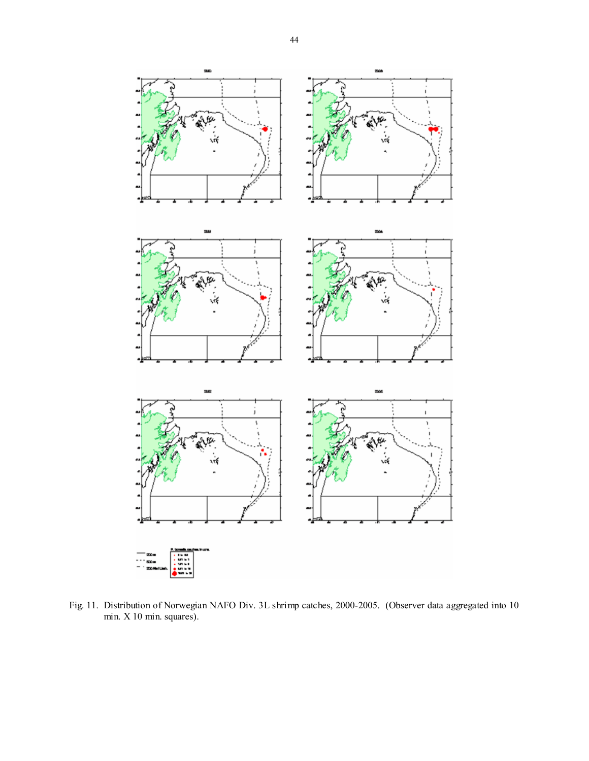

Fig. 11. Distribution of Norwegian NAFO Div. 3L shrimp catches, 2000-2005. (Observer data aggregated into 10 min. X 10 min. squares).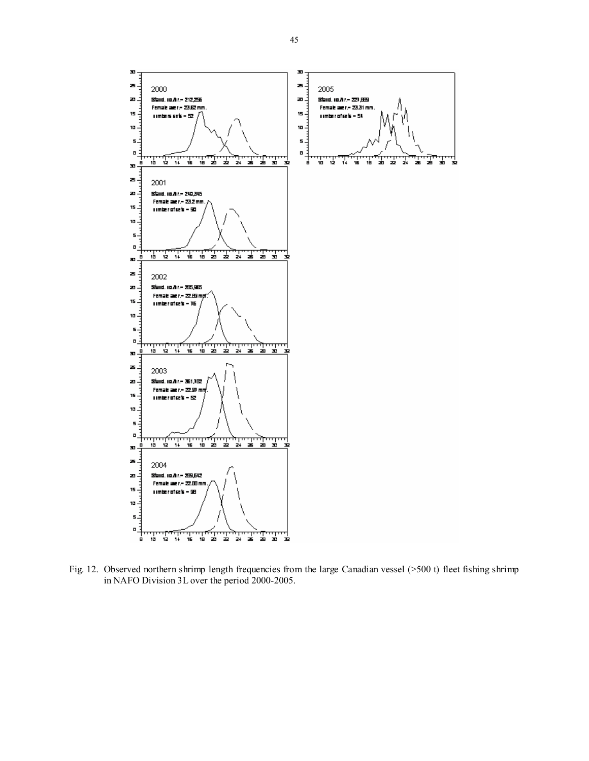

Fig. 12. Observed northern shrimp length frequencies from the large Canadian vessel (>500 t) fleet fishing shrimp in NAFO Division 3L over the period 2000-2005.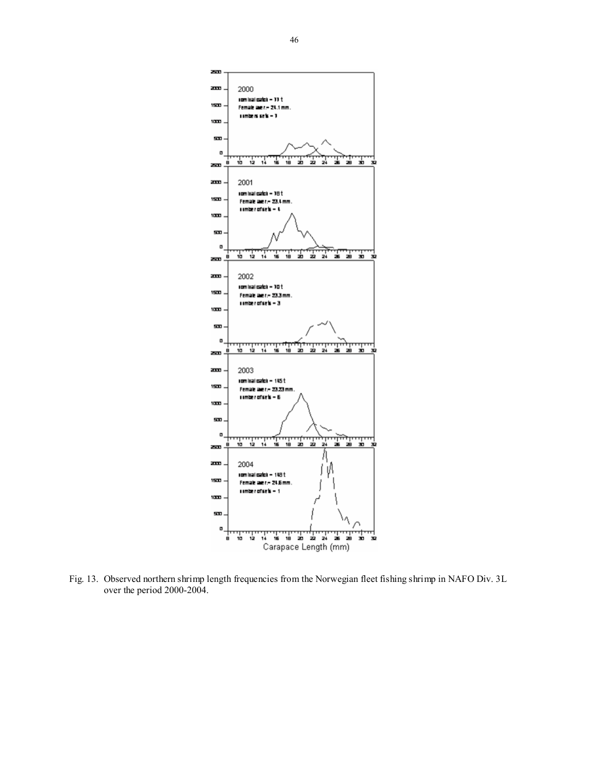

Fig. 13. Observed northern shrimp length frequencies from the Norwegian fleet fishing shrimp in NAFO Div. 3L over the period 2000-2004.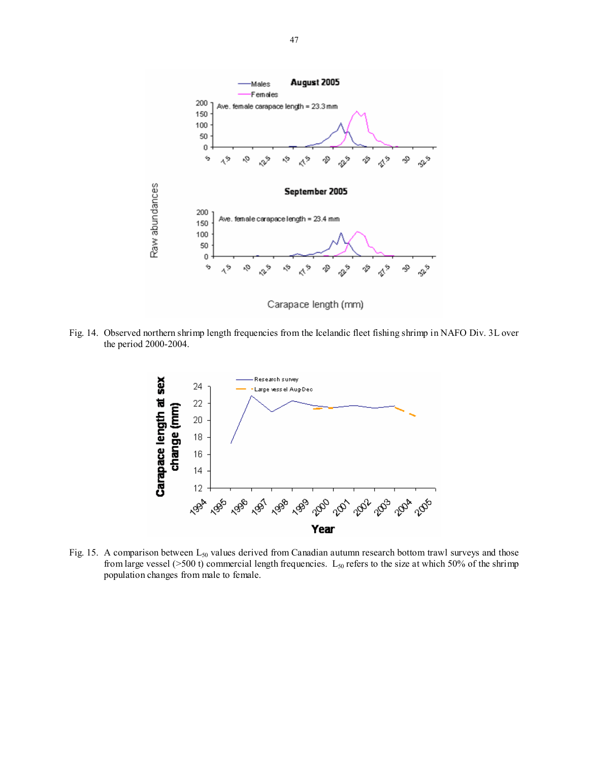

Fig. 14. Observed northern shrimp length frequencies from the Icelandic fleet fishing shrimp in NAFO Div. 3L over the period 2000-2004.



Fig. 15. A comparison between  $L_{50}$  values derived from Canadian autumn research bottom trawl surveys and those from large vessel ( $>500$  t) commercial length frequencies.  $L_{50}$  refers to the size at which 50% of the shrimp population changes from male to female.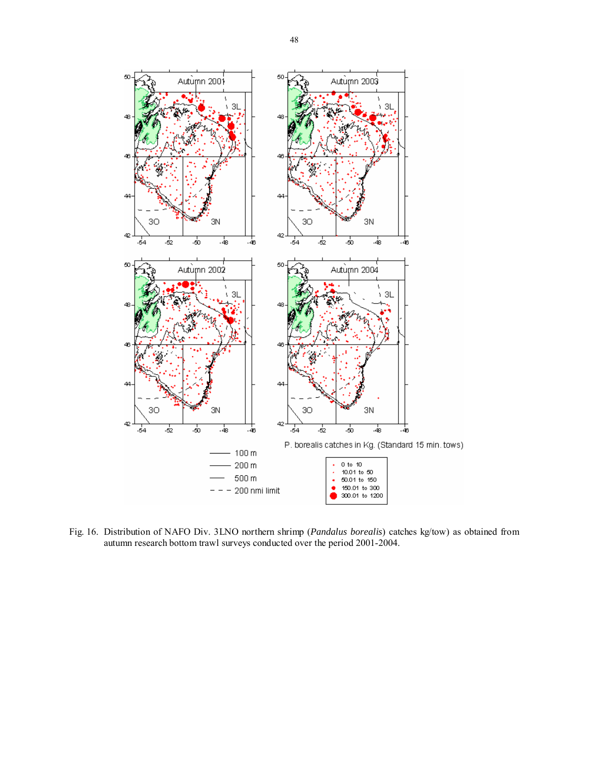

Fig. 16. Distribution of NAFO Div. 3LNO northern shrimp (*Pandalus borealis*) catches kg/tow) as obtained from autumn research bottom trawl surveys conducted over the period 2001-2004.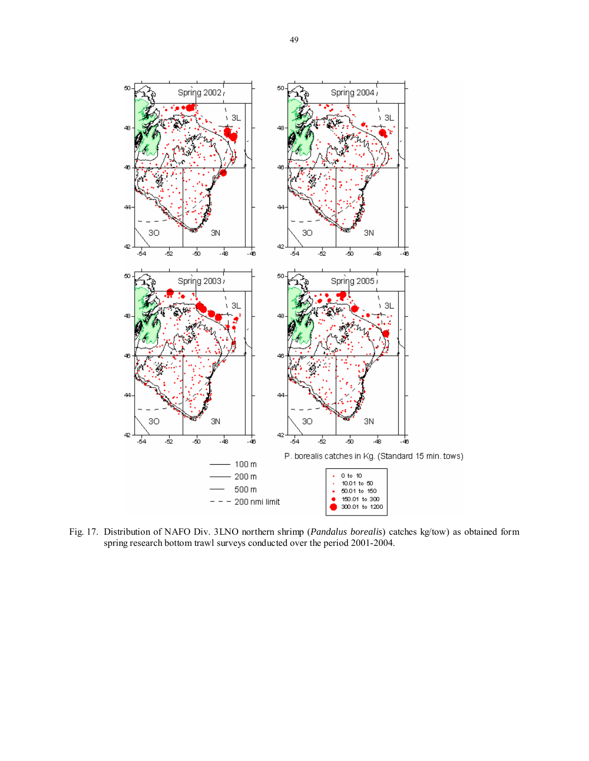

Fig. 17. Distribution of NAFO Div. 3LNO northern shrimp (*Pandalus borealis*) catches kg/tow) as obtained form spring research bottom trawl surveys conducted over the period 2001-2004.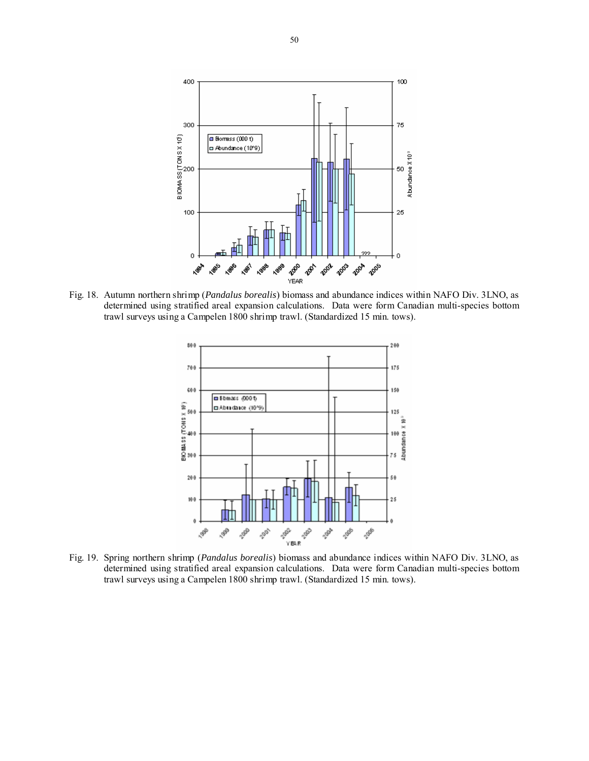

Fig. 18. Autumn northern shrimp (*Pandalus borealis*) biomass and abundance indices within NAFO Div. 3LNO, as determined using stratified areal expansion calculations. Data were form Canadian multi-species bottom trawl surveys using a Campelen 1800 shrimp trawl. (Standardized 15 min. tows).



determined using stratified areal expansion calculations. Data were form Canadian multi-species bottom trawl surveys using a Campelen 1800 shrimp trawl. (Standardized 15 min. tows).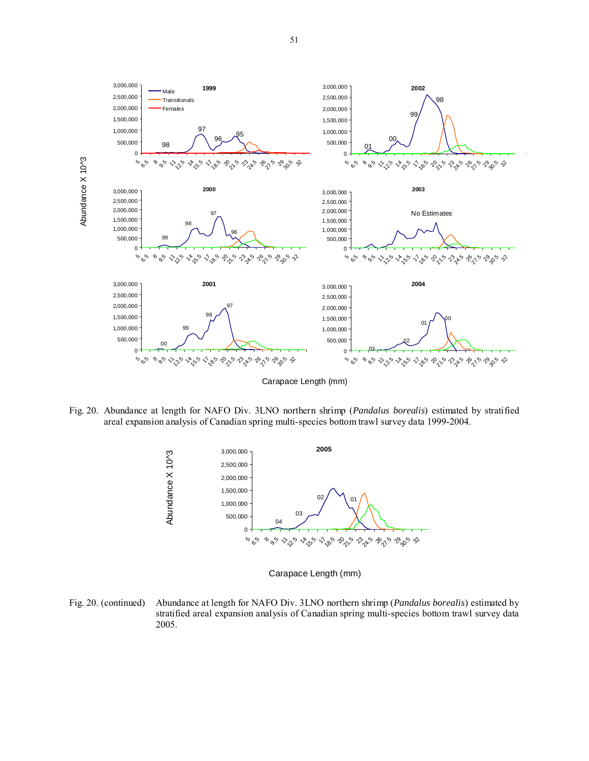

Fig. 20. Abundance at length for NAFO Div. 3LNO northern shrimp (*Pandalus borealis*) estimated by stratified areal expansion analysis of Canadian spring multi-species bottom trawl survey data 1999-2004.



Carapace Length (mm)

Fig. 20. (continued) Abundance at length for NAFO Div. 3LNO northern shrimp (*Pandalus borealis*) estimated by stratified areal expansion analysis of Canadian spring multi-species bottom trawl survey data 2005.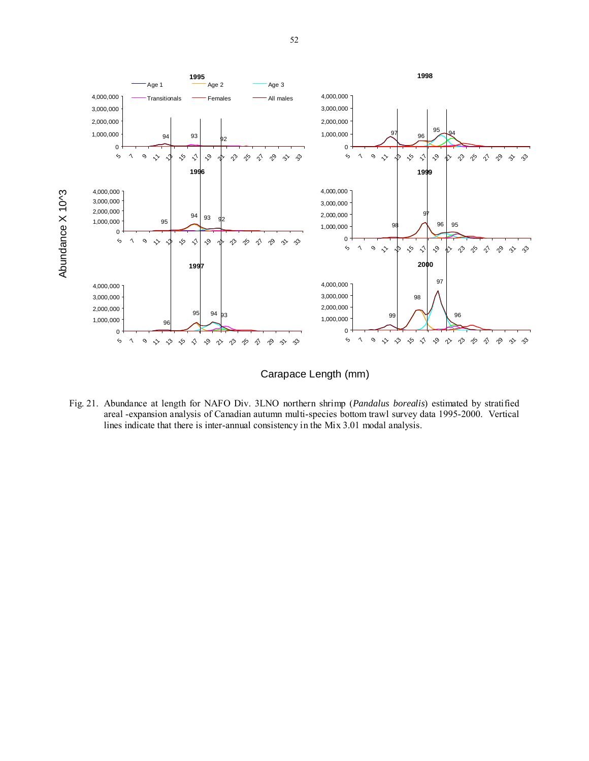



Fig. 21. Abundance at length for NAFO Div. 3LNO northern shrimp (*Pandalus borealis*) estimated by stratified areal -expansion analysis of Canadian autumn multi-species bottom trawl survey data 1995-2000. Vertical lines indicate that there is inter-annual consistency in the Mix 3.01 modal analysis.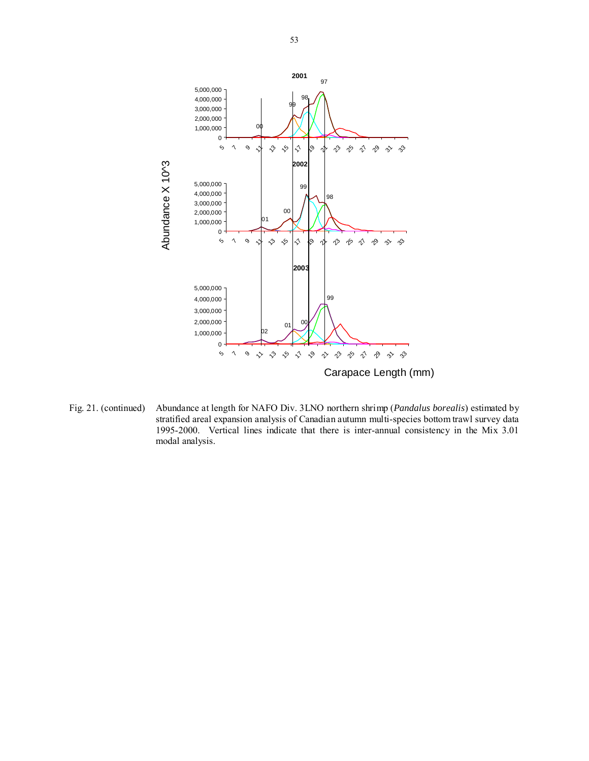

Fig. 21. (continued) Abundance at length for NAFO Div. 3LNO northern shrimp (*Pandalus borealis*) estimated by stratified areal expansion analysis of Canadian autumn multi-species bottom trawl survey data 1995-2000. Vertical lines indicate that there is inter-annual consistency in the Mix 3.01 modal analysis.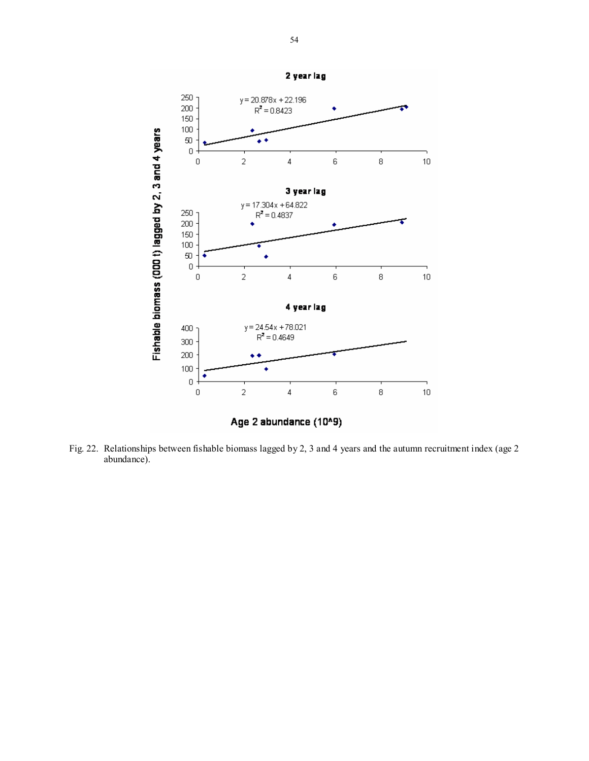

Fig. 22. Relationships between fishable biomass lagged by 2, 3 and 4 years and the autumn recruitment index (age 2 abundance).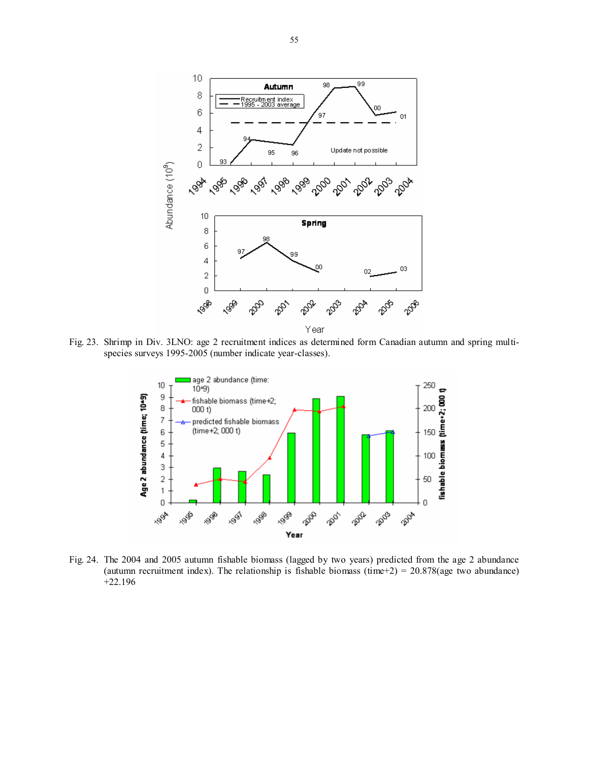

Fig. 23. Shrimp in Div. 3LNO: age 2 recruitment indices as determined form Canadian autumn and spring multispecies surveys 1995-2005 (number indicate year-classes).



Fig. 24. The 2004 and 2005 autumn fishable biomass (lagged by two years) predicted from the age 2 abundance (autumn recruitment index). The relationship is fishable biomass (time+2) =  $20.878$ (age two abundance) +22.196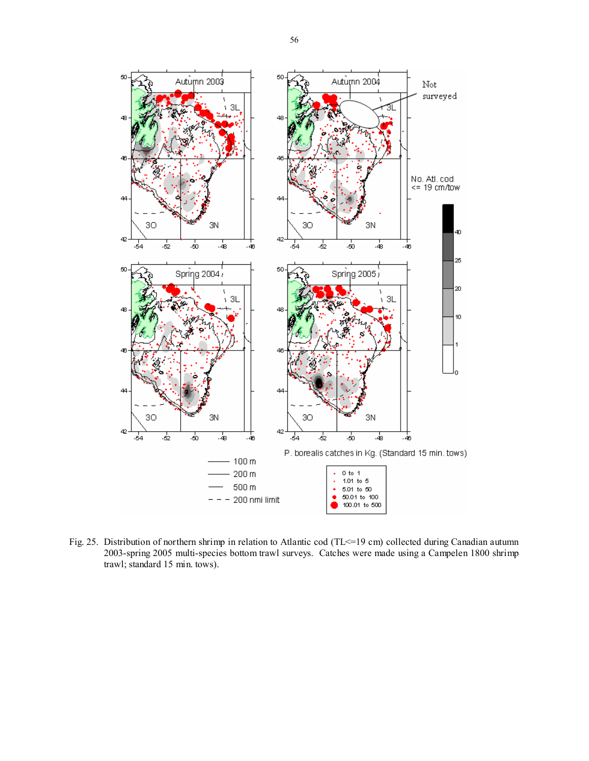

Fig. 25. Distribution of northern shrimp in relation to Atlantic cod (TL <= 19 cm) collected during Canadian autumn 2003-spring 2005 multi-species bottom trawl surveys. Catches were made using a Campelen 1800 shrimp trawl; standard 15 min. tows).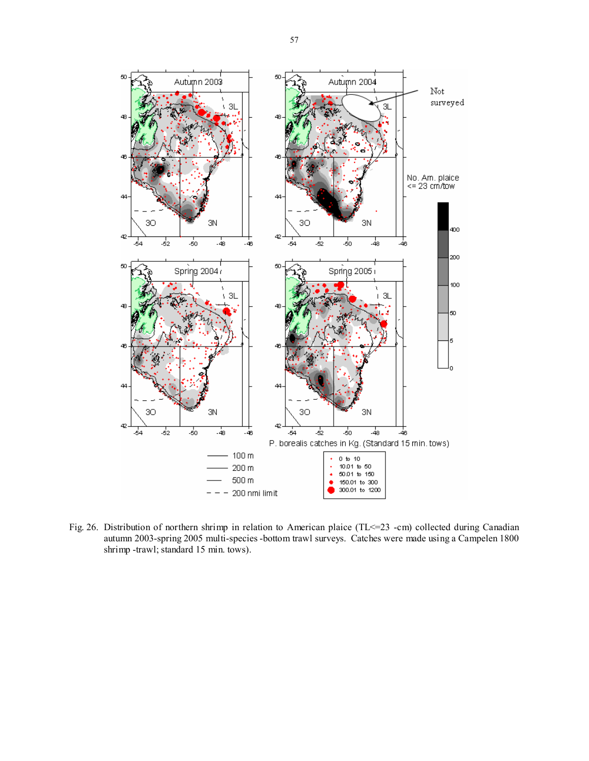

Fig. 26. Distribution of northern shrimp in relation to American plaice (TL <= 23 -cm) collected during Canadian autumn 2003-spring 2005 multi-species -bottom trawl surveys. Catches were made using a Campelen 1800 shrimp -trawl; standard 15 min. tows).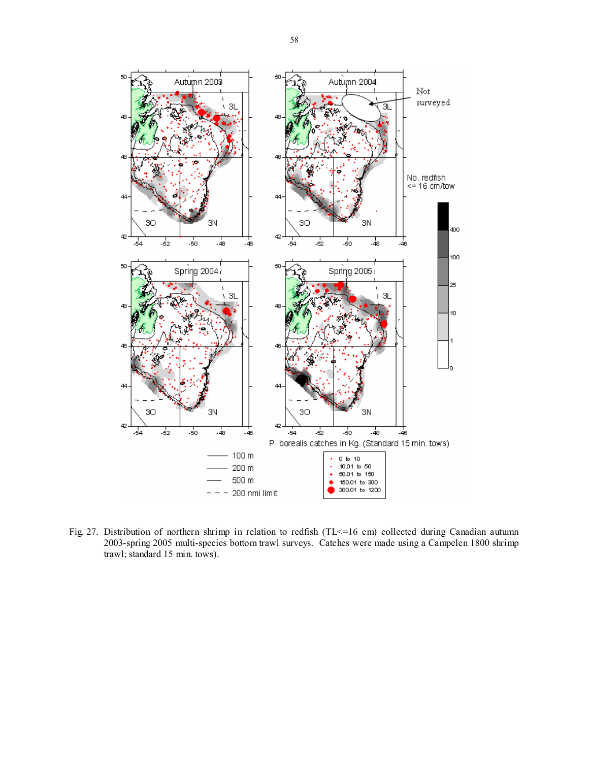

Fig. 27. Distribution of northern shrimp in relation to redfish (TL<=16 cm) collected during Canadian autumn 2003-spring 2005 multi-species bottom trawl surveys. Catches were made using a Campelen 1800 shrimp trawl; standard 15 min. tows).